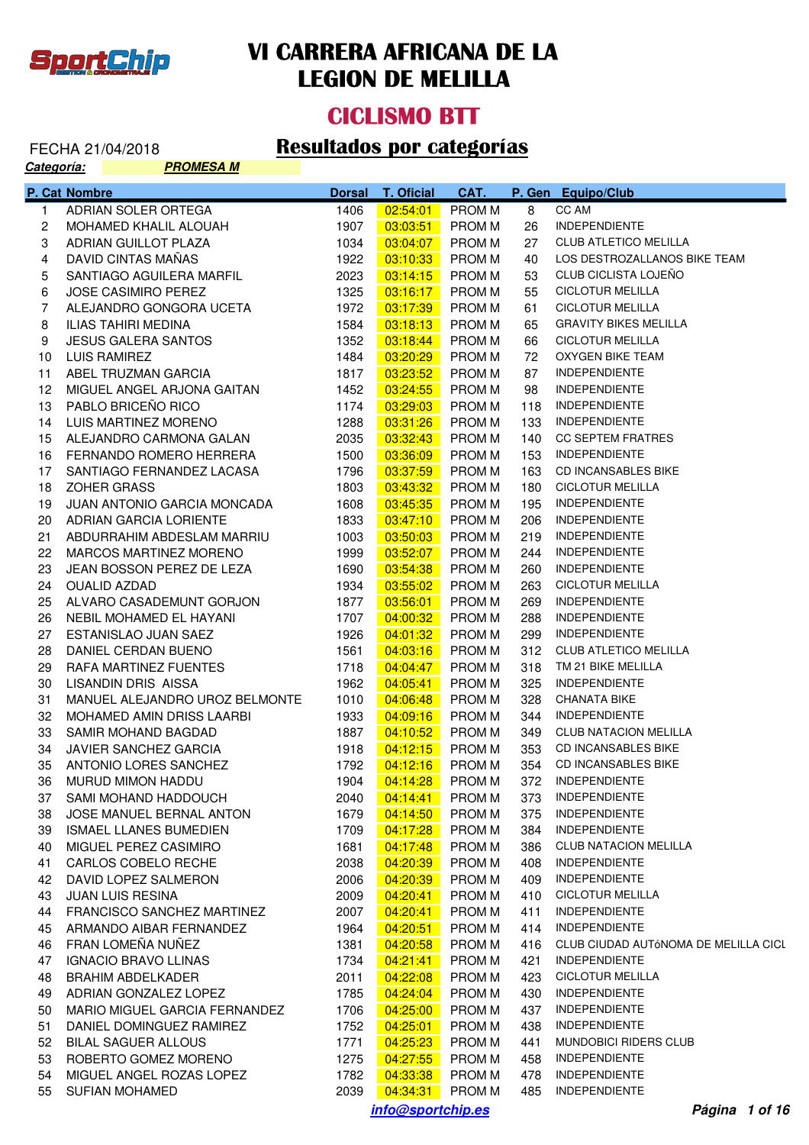

#### **CICLISMO BTT**

| <u> Categoría:</u> |                     | <u>PROMESA M</u>               |               |                          |               |      |                                      |  |  |
|--------------------|---------------------|--------------------------------|---------------|--------------------------|---------------|------|--------------------------------------|--|--|
|                    | P. Cat Nombre       |                                | <b>Dorsal</b> | <b>T. Oficial</b>        | CAT.          |      | P. Gen Equipo/Club                   |  |  |
| 1.                 |                     | ADRIAN SOLER ORTEGA            | 1406          | 02:54:01                 | <b>PROM M</b> | 8    | CC AM                                |  |  |
| 2                  |                     | MOHAMED KHALIL ALOUAH          | 1907          | 03:03:51                 | <b>PROM M</b> | 26   | <b>INDEPENDIENTE</b>                 |  |  |
| 3                  |                     | ADRIAN GUILLOT PLAZA           | 1034          | 03:04:07                 | <b>PROM M</b> | 27   | <b>CLUB ATLETICO MELILLA</b>         |  |  |
| 4                  |                     | DAVID CINTAS MAÑAS             | 1922          | 03:10:33                 | <b>PROM M</b> | 40   | LOS DESTROZALLANOS BIKE TEAM         |  |  |
| 5                  |                     | SANTIAGO AGUILERA MARFIL       | 2023          | 03:14:15                 | <b>PROM M</b> | 53   | CLUB CICLISTA LOJEÑO                 |  |  |
| 6                  |                     | <b>JOSE CASIMIRO PEREZ</b>     | 1325          | 03:16:17                 | <b>PROM M</b> | 55   | <b>CICLOTUR MELILLA</b>              |  |  |
| 7                  |                     | ALEJANDRO GONGORA UCETA        | 1972          | 03:17:39                 | <b>PROM M</b> | 61   | <b>CICLOTUR MELILLA</b>              |  |  |
| 8                  |                     | ILIAS TAHIRI MEDINA            | 1584          | 03:18:13                 | <b>PROM M</b> | 65   | <b>GRAVITY BIKES MELILLA</b>         |  |  |
| 9                  |                     | <b>JESUS GALERA SANTOS</b>     | 1352          | 03:18:44                 | <b>PROM M</b> | 66   | <b>CICLOTUR MELILLA</b>              |  |  |
| 10                 | LUIS RAMIREZ        |                                | 1484          | 03:20:29                 | <b>PROM M</b> | 72   | OXYGEN BIKE TEAM                     |  |  |
| 11                 |                     | ABEL TRUZMAN GARCIA            | 1817          | 03:23:52                 | <b>PROM M</b> | 87   | <b>INDEPENDIENTE</b>                 |  |  |
| 12                 |                     | MIGUEL ANGEL ARJONA GAITAN     | 1452          | 03:24:55                 | <b>PROM M</b> | 98   | <b>INDEPENDIENTE</b>                 |  |  |
| 13                 |                     | PABLO BRICEÑO RICO             | 1174          | 03:29:03                 | <b>PROM M</b> | 118  | <b>INDEPENDIENTE</b>                 |  |  |
| 14                 |                     | LUIS MARTINEZ MORENO           | 1288          | 03:31:26                 | <b>PROM M</b> | 133  | <b>INDEPENDIENTE</b>                 |  |  |
| 15                 |                     | ALEJANDRO CARMONA GALAN        | 2035          | 03:32:43                 | <b>PROM M</b> | 140  | <b>CC SEPTEM FRATRES</b>             |  |  |
| 16                 |                     | FERNANDO ROMERO HERRERA        | 1500          | 03:36:09                 | <b>PROM M</b> | 153  | <b>INDEPENDIENTE</b>                 |  |  |
| 17                 |                     | SANTIAGO FERNANDEZ LACASA      | 1796          | 03:37:59                 | <b>PROM M</b> | 163  | <b>CD INCANSABLES BIKE</b>           |  |  |
| 18                 | ZOHER GRASS         |                                | 1803          | 03:43:32                 | <b>PROM M</b> | 180  | <b>CICLOTUR MELILLA</b>              |  |  |
| 19                 |                     | JUAN ANTONIO GARCIA MONCADA    | 1608          | 03:45:35                 | <b>PROM M</b> | 195  | <b>INDEPENDIENTE</b>                 |  |  |
| 20                 |                     | ADRIAN GARCIA LORIENTE         | 1833          | 03:47:10                 | <b>PROM M</b> | 206  | <b>INDEPENDIENTE</b>                 |  |  |
| 21                 |                     | ABDURRAHIM ABDESLAM MARRIU     | 1003          | 03:50:03                 | <b>PROM M</b> | 219  | <b>INDEPENDIENTE</b>                 |  |  |
| 22                 |                     | MARCOS MARTINEZ MORENO         | 1999          | 03:52:07                 | PROM M        | 244  | <b>INDEPENDIENTE</b>                 |  |  |
| 23                 |                     | JEAN BOSSON PEREZ DE LEZA      | 1690          | 03:54:38                 | <b>PROM M</b> | 260  | <b>INDEPENDIENTE</b>                 |  |  |
| 24                 | <b>OUALID AZDAD</b> |                                | 1934          | 03:55:02                 | <b>PROM M</b> | 263  | <b>CICLOTUR MELILLA</b>              |  |  |
| 25                 |                     | ALVARO CASADEMUNT GORJON       | 1877          | 03:56:01                 | <b>PROM M</b> | 269  | <b>INDEPENDIENTE</b>                 |  |  |
| 26                 |                     | NEBIL MOHAMED EL HAYANI        | 1707          | 04:00:32                 | <b>PROM M</b> | 288  | <b>INDEPENDIENTE</b>                 |  |  |
| 27                 |                     | ESTANISLAO JUAN SAEZ           | 1926          | 04:01:32                 | <b>PROM M</b> | 299  | <b>INDEPENDIENTE</b>                 |  |  |
| 28                 |                     | DANIEL CERDAN BUENO            | 1561          | 04:03:16                 | <b>PROM M</b> | 312  | <b>CLUB ATLETICO MELILLA</b>         |  |  |
| 29                 |                     | RAFA MARTINEZ FUENTES          | 1718          | 04:04:47                 | <b>PROM M</b> | 318  | TM 21 BIKE MELILLA                   |  |  |
| 30                 |                     | LISANDIN DRIS AISSA            | 1962          | 04:05:41                 | <b>PROM M</b> | 325  | <b>INDEPENDIENTE</b>                 |  |  |
| 31                 |                     | MANUEL ALEJANDRO UROZ BELMONTE | 1010          | 04:06:48                 | <b>PROM M</b> | 328  | <b>CHANATA BIKE</b>                  |  |  |
| 32                 |                     | MOHAMED AMIN DRISS LAARBI      | 1933          | 04:09:16                 | <b>PROM M</b> | 344  | <b>INDEPENDIENTE</b>                 |  |  |
| 33                 |                     | SAMIR MOHAND BAGDAD            | 1887          | 04:10:52                 | <b>PROM M</b> | 349  | <b>CLUB NATACION MELILLA</b>         |  |  |
| 34                 |                     | JAVIER SANCHEZ GARCIA          | 1918          | 04:12:15                 | <b>PROM M</b> | 353  | CD INCANSABLES BIKE                  |  |  |
| 35                 |                     | ANTONIO LORES SANCHEZ          | 1792          | $\sqrt{04.12:16}$ PROM M |               | 354  | CD INCANSABLES BIKE                  |  |  |
| 36                 |                     | MURUD MIMON HADDU              | 1904          | 04:14:28                 | PROM M        |      | 372 INDEPENDIENTE                    |  |  |
| 37                 |                     | SAMI MOHAND HADDOUCH           | 2040          | 04:14:41                 | PROM M        | 373. | <b>INDEPENDIENTE</b>                 |  |  |
| 38                 |                     | JOSE MANUEL BERNAL ANTON       | 1679          | 04:14:50                 | <b>PROM M</b> | 375  | <b>INDEPENDIENTE</b>                 |  |  |
| 39                 |                     | <b>ISMAEL LLANES BUMEDIEN</b>  | 1709          | 04:17:28                 | PROM M        | 384  | <b>INDEPENDIENTE</b>                 |  |  |
| 40                 |                     | MIGUEL PEREZ CASIMIRO          | 1681          | 04:17:48                 | PROM M        | 386  | <b>CLUB NATACION MELILLA</b>         |  |  |
| 41                 |                     | CARLOS COBELO RECHE            | 2038          | 04:20:39                 | PROM M        | 408  | <b>INDEPENDIENTE</b>                 |  |  |
| 42                 |                     | DAVID LOPEZ SALMERON           | 2006          | 04:20:39                 | PROM M        | 409  | <b>INDEPENDIENTE</b>                 |  |  |
| 43                 |                     | <b>JUAN LUIS RESINA</b>        | 2009          | 04:20:41                 | PROM M        | 410  | <b>CICLOTUR MELILLA</b>              |  |  |
| 44                 |                     | FRANCISCO SANCHEZ MARTINEZ     | 2007          | 04:20:41                 | PROM M        | 411  | <b>INDEPENDIENTE</b>                 |  |  |
| 45                 |                     | ARMANDO AIBAR FERNANDEZ        | 1964          | 04:20:51                 | PROM M        | 414  | <b>INDEPENDIENTE</b>                 |  |  |
| 46                 |                     | FRAN LOMEÑA NUÑEZ              | 1381          | 04:20:58                 | PROM M        | 416  | CLUB CIUDAD AUTÓNOMA DE MELILLA CICL |  |  |
| 47                 |                     | <b>IGNACIO BRAVO LLINAS</b>    | 1734          | 04:21:41                 | <b>PROM M</b> | 421  | <b>INDEPENDIENTE</b>                 |  |  |
| 48                 |                     | <b>BRAHIM ABDELKADER</b>       | 2011          | 04:22:08                 | PROM M        | 423  | <b>CICLOTUR MELILLA</b>              |  |  |
| 49                 |                     | ADRIAN GONZALEZ LOPEZ          | 1785          | 04:24:04                 | PROM M        | 430  | <b>INDEPENDIENTE</b>                 |  |  |
| 50                 |                     | MARIO MIGUEL GARCIA FERNANDEZ  | 1706          | 04:25:00                 | <b>PROM M</b> | 437  | <b>INDEPENDIENTE</b>                 |  |  |
| 51                 |                     | DANIEL DOMINGUEZ RAMIREZ       | 1752          | 04:25:01                 | PROM M        | 438  | <b>INDEPENDIENTE</b>                 |  |  |
| 52 <sub>2</sub>    |                     | <b>BILAL SAGUER ALLOUS</b>     | 1771          | 04:25:23                 | PROM M        | 441  | <b>MUNDOBICI RIDERS CLUB</b>         |  |  |
| 53                 |                     | ROBERTO GOMEZ MORENO           | 1275          | 04:27:55                 | <b>PROM M</b> | 458  | <b>INDEPENDIENTE</b>                 |  |  |
| 54                 |                     | MIGUEL ANGEL ROZAS LOPEZ       | 1782          | 04:33:38                 | <b>PROM M</b> | 478  | <b>INDEPENDIENTE</b>                 |  |  |
| 55                 |                     | <b>SUFIAN MOHAMED</b>          | 2039          | 04:34:31                 | PROM M        | 485  | <b>INDEPENDIENTE</b>                 |  |  |
|                    |                     |                                |               | info@sportchip.es        |               |      | Página 1 of 16                       |  |  |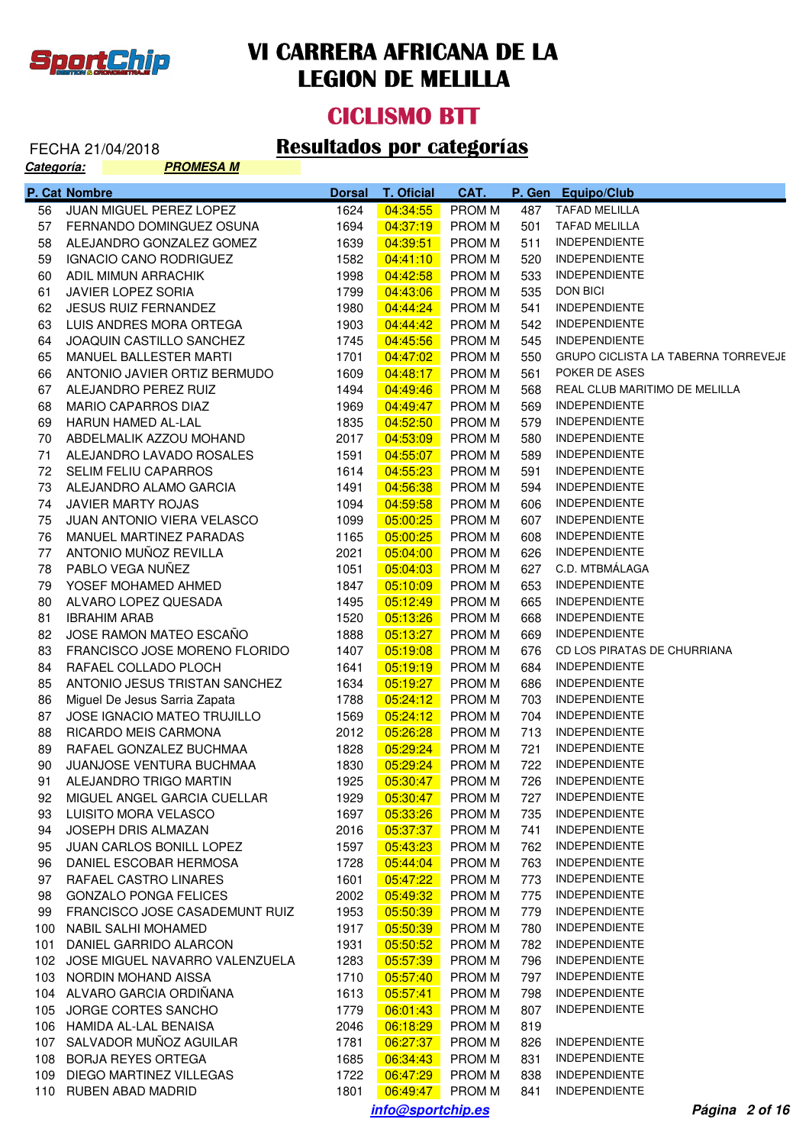

**Categoría:** 

## **VI CARRERA AFRICANA DE LA LEGION DE MELILLA**

#### **CICLISMO BTT**

# FECHA 21/04/2018 **Resultados por categorías**<br>Categoría: **RECOLOGADO RESULTADOS POR CATEGORÍAS**

|     | P. Cat Nombre                      | <b>Dorsal</b> | <b>T. Oficial</b> | CAT.          |     | P. Gen Equipo/Club                  |
|-----|------------------------------------|---------------|-------------------|---------------|-----|-------------------------------------|
| 56  | JUAN MIGUEL PEREZ LOPEZ            | 1624          | 04:34:55          | <b>PROMM</b>  | 487 | <b>TAFAD MELILLA</b>                |
| 57  | FERNANDO DOMINGUEZ OSUNA           | 1694          | 04:37:19          | <b>PROM M</b> | 501 | TAFAD MELILLA                       |
| 58  | ALEJANDRO GONZALEZ GOMEZ           | 1639          | 04:39:51          | <b>PROM M</b> | 511 | <b>INDEPENDIENTE</b>                |
| 59  | IGNACIO CANO RODRIGUEZ             | 1582          | 04:41:10          | <b>PROM M</b> | 520 | <b>INDEPENDIENTE</b>                |
| 60  | ADIL MIMUN ARRACHIK                | 1998          | 04:42:58          | <b>PROM M</b> | 533 | <b>INDEPENDIENTE</b>                |
| 61  | JAVIER LOPEZ SORIA                 | 1799          | 04:43:06          | <b>PROM M</b> | 535 | DON BICI                            |
| 62  | <b>JESUS RUIZ FERNANDEZ</b>        | 1980          | 04:44:24          | <b>PROM M</b> | 541 | <b>INDEPENDIENTE</b>                |
| 63  | LUIS ANDRES MORA ORTEGA            | 1903          | 04:44:42          | <b>PROM M</b> | 542 | <b>INDEPENDIENTE</b>                |
| 64  | JOAQUIN CASTILLO SANCHEZ           | 1745          | 04:45:56          | <b>PROM M</b> | 545 | <b>INDEPENDIENTE</b>                |
| 65  | MANUEL BALLESTER MARTI             | 1701          | 04:47:02          | <b>PROM M</b> | 550 | GRUPO CICLISTA LA TABERNA TORREVEJE |
| 66  | ANTONIO JAVIER ORTIZ BERMUDO       | 1609          | 04:48:17          | <b>PROM M</b> | 561 | POKER DE ASES                       |
| 67  | ALEJANDRO PEREZ RUIZ               | 1494          | 04:49:46          | <b>PROM M</b> | 568 | REAL CLUB MARITIMO DE MELILLA       |
| 68  | MARIO CAPARROS DIAZ                | 1969          | 04:49:47          | <b>PROM M</b> | 569 | <b>INDEPENDIENTE</b>                |
| 69  | <b>HARUN HAMED AL-LAL</b>          | 1835          | 04:52:50          | <b>PROM M</b> | 579 | <b>INDEPENDIENTE</b>                |
| 70  | ABDELMALIK AZZOU MOHAND            | 2017          | 04:53:09          | <b>PROM M</b> | 580 | <b>INDEPENDIENTE</b>                |
| 71  | ALEJANDRO LAVADO ROSALES           | 1591          | 04:55:07          | <b>PROM M</b> | 589 | <b>INDEPENDIENTE</b>                |
| 72  | <b>SELIM FELIU CAPARROS</b>        | 1614          | 04:55:23          | <b>PROM M</b> | 591 | <b>INDEPENDIENTE</b>                |
| 73  | ALEJANDRO ALAMO GARCIA             | 1491          | 04:56:38          | <b>PROM M</b> | 594 | <b>INDEPENDIENTE</b>                |
| 74  | JAVIER MARTY ROJAS                 | 1094          | 04:59:58          | <b>PROM M</b> | 606 | <b>INDEPENDIENTE</b>                |
| 75  | JUAN ANTONIO VIERA VELASCO         | 1099          | 05:00:25          | <b>PROM M</b> | 607 | <b>INDEPENDIENTE</b>                |
| 76  | MANUEL MARTINEZ PARADAS            | 1165          | 05:00:25          | <b>PROM M</b> | 608 | <b>INDEPENDIENTE</b>                |
| 77  | ANTONIO MUÑOZ REVILLA              | 2021          | 05:04:00          | <b>PROM M</b> | 626 | <b>INDEPENDIENTE</b>                |
| 78  | PABLO VEGA NUÑEZ                   | 1051          | 05:04:03          | <b>PROM M</b> | 627 | C.D. MTBMÁLAGA                      |
| 79  | YOSEF MOHAMED AHMED                | 1847          | 05:10:09          | <b>PROM M</b> | 653 | <b>INDEPENDIENTE</b>                |
| 80  | ALVARO LOPEZ QUESADA               | 1495          | 05:12:49          | <b>PROM M</b> | 665 | <b>INDEPENDIENTE</b>                |
| 81  | <b>IBRAHIM ARAB</b>                | 1520          | 05:13:26          | <b>PROM M</b> | 668 | <b>INDEPENDIENTE</b>                |
| 82  | JOSE RAMON MATEO ESCAÑO            | 1888          | 05:13:27          | <b>PROM M</b> | 669 | <b>INDEPENDIENTE</b>                |
| 83  | FRANCISCO JOSE MORENO FLORIDO      | 1407          | 05:19:08          | <b>PROM M</b> | 676 | CD LOS PIRATAS DE CHURRIANA         |
| 84  | RAFAEL COLLADO PLOCH               | 1641          | 05:19:19          | <b>PROM M</b> | 684 | INDEPENDIENTE                       |
| 85  | ANTONIO JESUS TRISTAN SANCHEZ      | 1634          | 05:19:27          | <b>PROM M</b> | 686 | INDEPENDIENTE                       |
| 86  | Miguel De Jesus Sarria Zapata      | 1788          | 05:24:12          | <b>PROM M</b> | 703 | <b>INDEPENDIENTE</b>                |
| 87  | JOSE IGNACIO MATEO TRUJILLO        | 1569          | 05:24:12          | <b>PROM M</b> | 704 | <b>INDEPENDIENTE</b>                |
| 88  | RICARDO MEIS CARMONA               | 2012          | 05:26:28          | <b>PROM M</b> | 713 | <b>INDEPENDIENTE</b>                |
| 89  | RAFAEL GONZALEZ BUCHMAA            | 1828          | 05:29:24          | <b>PROMM</b>  | 721 | <b>INDEPENDIENTE</b>                |
| 90  | JUANJOSE VENTURA BUCHMAA           | 1830          | 05:29:24          | <b>PROM M</b> | 722 | <b>INDEPENDIENTE</b>                |
| 91  | ALEJANDRO TRIGO MARTIN             | 1925          | 05:30:47          | <b>PROMM</b>  | 726 | <b>INDEPENDIENTE</b>                |
| 92  | MIGUEL ANGEL GARCIA CUELLAR        | 1929          | 05:30:47          | PROM M        | 727 | <b>INDEPENDIENTE</b>                |
| 93  | LUISITO MORA VELASCO               | 1697          | 05:33:26          | <b>PROM M</b> | 735 | <b>INDEPENDIENTE</b>                |
| 94  | JOSEPH DRIS ALMAZAN                | 2016          | 05:37:37          | <b>PROM M</b> | 741 | <b>INDEPENDIENTE</b>                |
| 95  | JUAN CARLOS BONILL LOPEZ           | 1597          | 05:43:23          | <b>PROM M</b> | 762 | <b>INDEPENDIENTE</b>                |
| 96  | DANIEL ESCOBAR HERMOSA             | 1728          | 05:44:04          | <b>PROM M</b> | 763 | <b>INDEPENDIENTE</b>                |
| 97  | RAFAEL CASTRO LINARES              | 1601          | 05:47:22          | <b>PROMM</b>  | 773 | <b>INDEPENDIENTE</b>                |
| 98  | <b>GONZALO PONGA FELICES</b>       | 2002          | 05:49:32          | <b>PROM M</b> | 775 | <b>INDEPENDIENTE</b>                |
| 99  | FRANCISCO JOSE CASADEMUNT RUIZ     | 1953          | 05:50:39          | <b>PROM M</b> | 779 | <b>INDEPENDIENTE</b>                |
| 100 | <b>NABIL SALHI MOHAMED</b>         | 1917          | 05:50:39          | <b>PROM M</b> | 780 | <b>INDEPENDIENTE</b>                |
| 101 | DANIEL GARRIDO ALARCON             | 1931          | 05:50:52          | <b>PROM M</b> | 782 | <b>INDEPENDIENTE</b>                |
|     | 102 JOSE MIGUEL NAVARRO VALENZUELA | 1283          | 05:57:39          | <b>PROMM</b>  | 796 | <b>INDEPENDIENTE</b>                |
| 103 | NORDIN MOHAND AISSA                | 1710          | 05:57:40          | <b>PROM M</b> | 797 | <b>INDEPENDIENTE</b>                |
|     | 104 ALVARO GARCIA ORDIÑANA         | 1613          | 05:57:41          | <b>PROM M</b> | 798 | <b>INDEPENDIENTE</b>                |
| 105 | JORGE CORTES SANCHO                | 1779          | 06:01:43          | <b>PROM M</b> | 807 | <b>INDEPENDIENTE</b>                |
| 106 | HAMIDA AL-LAL BENAISA              | 2046          | 06:18:29          | <b>PROM M</b> | 819 |                                     |
| 107 | SALVADOR MUÑOZ AGUILAR             | 1781          | 06:27:37          | <b>PROM M</b> | 826 | <b>INDEPENDIENTE</b>                |
| 108 | <b>BORJA REYES ORTEGA</b>          | 1685          | 06:34:43          | <b>PROM M</b> | 831 | <b>INDEPENDIENTE</b>                |
| 109 | DIEGO MARTINEZ VILLEGAS            | 1722          | 06:47:29          | <b>PROM M</b> | 838 | <b>INDEPENDIENTE</b>                |
| 110 | RUBEN ABAD MADRID                  | 1801          | 06:49:47          | <b>PROM M</b> | 841 | <b>INDEPENDIENTE</b>                |

**info@sportchip.es Página 2 of 16**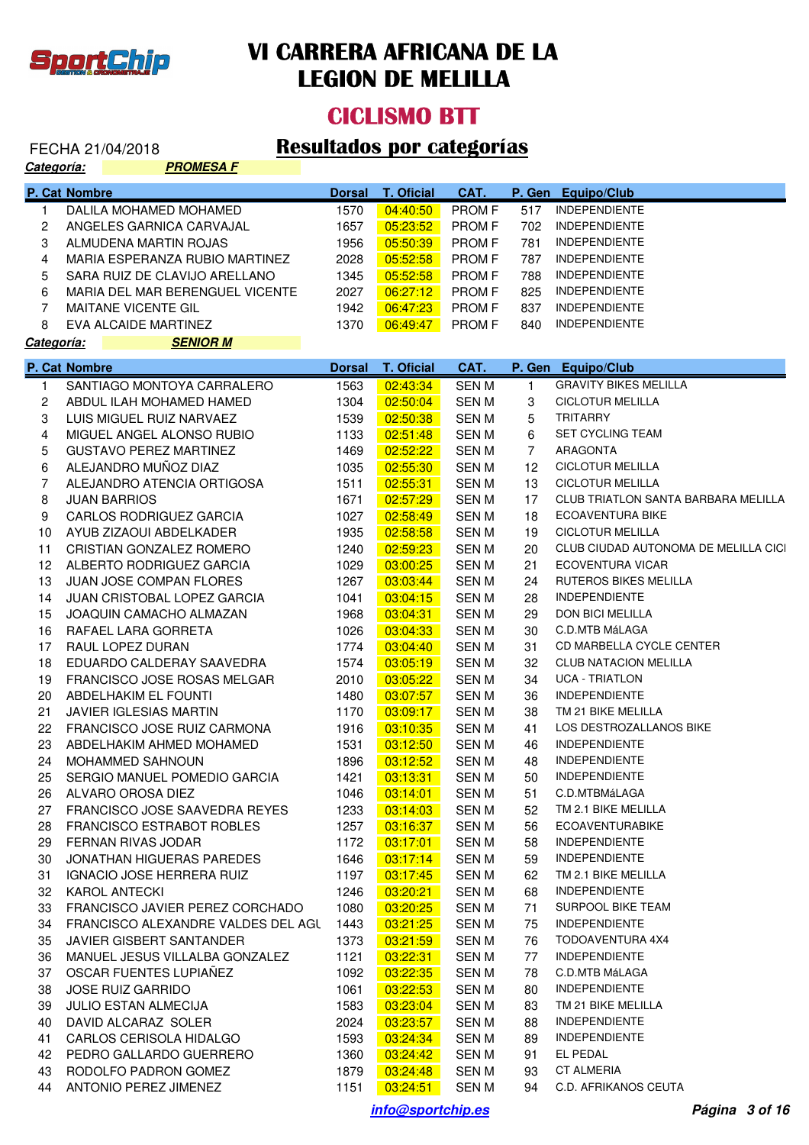

#### **CICLISMO BTT**

| P. Cat Nombre<br><b>T. Oficial</b><br><b>Dorsal</b><br>CAT.<br>P. Gen<br><b>Equipo/Club</b><br><b>INDEPENDIENTE</b><br>04:40:50<br>PROM F<br>DALILA MOHAMED MOHAMED<br>1570<br>517<br>$\mathbf{1}$<br>PROM F<br><b>INDEPENDIENTE</b><br>2<br>ANGELES GARNICA CARVAJAL<br>1657<br>05:23:52<br>702<br>3<br><b>INDEPENDIENTE</b><br>ALMUDENA MARTIN ROJAS<br>1956<br>05:50:39<br>PROM F<br>781<br>4<br>PROM F<br><b>INDEPENDIENTE</b><br>MARIA ESPERANZA RUBIO MARTINEZ<br>2028<br>05:52:58<br>787<br><b>INDEPENDIENTE</b><br>5<br>SARA RUIZ DE CLAVIJO ARELLANO<br>05:52:58<br><b>PROMF</b><br>1345<br>788<br>6<br><b>INDEPENDIENTE</b><br>MARIA DEL MAR BERENGUEL VICENTE<br>2027<br>06:27:12<br><b>PROMF</b><br>825<br>$\overline{7}$<br><b>INDEPENDIENTE</b><br><b>MAITANE VICENTE GIL</b><br>1942<br>06:47:23<br><b>PROMF</b><br>837<br><b>INDEPENDIENTE</b><br>8<br>EVA ALCAIDE MARTINEZ<br>1370<br>06:49:47<br>PROM F<br>840<br><b>SENIOR M</b><br>Categoría:<br>T. Oficial<br>CAT.<br>P. Gen Equipo/Club<br>P. Cat Nombre<br><b>Dorsal</b><br><b>GRAVITY BIKES MELILLA</b><br>02:43:34<br>SANTIAGO MONTOYA CARRALERO<br>1563<br><b>SENM</b><br>$\mathbf{1}$<br>1<br>3<br><b>CICLOTUR MELILLA</b><br>$\mathbf{2}$<br>ABDUL ILAH MOHAMED HAMED<br>1304<br>02:50:04<br><b>SENM</b><br><b>TRITARRY</b><br>3<br>LUIS MIGUEL RUIZ NARVAEZ<br>1539<br>02:50:38<br><b>SENM</b><br>5<br><b>SET CYCLING TEAM</b><br>4<br>MIGUEL ANGEL ALONSO RUBIO<br>1133<br>02:51:48<br><b>SENM</b><br>6<br>5<br>$\overline{7}$<br>ARAGONTA<br><b>GUSTAVO PEREZ MARTINEZ</b><br>1469<br>02:52:22<br><b>SENM</b><br>ALEJANDRO MUÑOZ DIAZ<br>6<br><b>CICLOTUR MELILLA</b><br>02:55:30<br><b>SENM</b><br>12<br>1035<br>ALEJANDRO ATENCIA ORTIGOSA<br><b>CICLOTUR MELILLA</b><br>$\overline{7}$<br>1511<br>02:55:31<br><b>SENM</b><br>13<br><b>CLUB TRIATLON SANTA BARBARA MELILLA</b><br>8<br><b>JUAN BARRIOS</b><br>1671<br>02:57:29<br><b>SENM</b><br>17<br><b>ECOAVENTURA BIKE</b><br>9<br><b>CARLOS RODRIGUEZ GARCIA</b><br>1027<br>02:58:49<br><b>SENM</b><br>18<br>AYUB ZIZAOUI ABDELKADER<br>1935<br>02:58:58<br><b>SENM</b><br>19<br><b>CICLOTUR MELILLA</b><br>10<br>CRISTIAN GONZALEZ ROMERO<br>1240<br>02:59:23<br><b>SENM</b><br>CLUB CIUDAD AUTONOMA DE MELILLA CICI<br>11<br>20<br><b>ECOVENTURA VICAR</b><br>ALBERTO RODRIGUEZ GARCIA<br>1029<br>03:00:25<br><b>SENM</b><br>21<br>12<br><b>RUTEROS BIKES MELILLA</b><br>JUAN JOSE COMPAN FLORES<br>1267<br>03:03:44<br><b>SENM</b><br>24<br>13<br>14<br>JUAN CRISTOBAL LOPEZ GARCIA<br>1041<br>03:04:15<br><b>SENM</b><br>28<br><b>INDEPENDIENTE</b><br>JOAQUIN CAMACHO ALMAZAN<br>1968<br>03:04:31<br><b>SENM</b><br>29<br><b>DON BICI MELILLA</b><br>15<br>RAFAEL LARA GORRETA<br>03:04:33<br><b>SENM</b><br>30<br>C.D.MTB MáLAGA<br>16<br>1026<br>RAUL LOPEZ DURAN<br>1774<br>03:04:40<br><b>SENM</b><br>31<br>CD MARBELLA CYCLE CENTER<br>17<br><b>CLUB NATACION MELILLA</b><br>EDUARDO CALDERAY SAAVEDRA<br>1574<br>03:05:19<br><b>SENM</b><br>32<br>18<br><b>UCA - TRIATLON</b><br>FRANCISCO JOSE ROSAS MELGAR<br>2010<br>03:05:22<br><b>SENM</b><br>34<br>19<br>ABDELHAKIM EL FOUNTI<br>03:07:57<br><b>SENM</b><br>36<br><b>INDEPENDIENTE</b><br>20<br>1480<br>21<br><b>JAVIER IGLESIAS MARTIN</b><br>03:09:17<br><b>SENM</b><br>38<br>TM 21 BIKE MELILLA<br>1170<br>1916<br>03:10:35<br><b>SENM</b><br>41<br>LOS DESTROZALLANOS BIKE<br>22<br>FRANCISCO JOSE RUIZ CARMONA<br>23<br>ABDELHAKIM AHMED MOHAMED<br>1531<br>03:12:50<br><b>SENM</b><br><b>INDEPENDIENTE</b><br>46<br>24<br>1896<br>03:12:52<br><b>SENM</b><br>48<br><b>INDEPENDIENTE</b><br><b>MOHAMMED SAHNOUN</b><br>SERGIO MANUEL POMEDIO GARCIA<br>03:13:31<br><b>SENM</b><br><b>INDEPENDIENTE</b><br>1421<br>25<br>50<br>ALVARO OROSA DIEZ<br>03:14:01<br><b>SENM</b><br>51<br>C.D.MTBMáLAGA<br>26<br>1046<br>FRANCISCO JOSE SAAVEDRA REYES<br>1233<br>03:14:03<br><b>SENM</b><br>TM 2.1 BIKE MELILLA<br>27<br>52<br><b>ECOAVENTURABIKE</b><br><b>FRANCISCO ESTRABOT ROBLES</b><br>1257<br>03:16:37<br>56<br>28<br>SEN M<br>FERNAN RIVAS JODAR<br>1172<br>03:17:01<br><b>SENM</b><br><b>INDEPENDIENTE</b><br>29<br>58<br>JONATHAN HIGUERAS PAREDES<br>1646<br>03:17:14<br><b>SENM</b><br><b>INDEPENDIENTE</b><br>30<br>59<br>03:17:45<br><b>SENM</b><br>TM 2.1 BIKE MELILLA<br>31<br>IGNACIO JOSE HERRERA RUIZ<br>1197<br>62<br><b>KAROL ANTECKI</b><br>1246<br>03:20:21<br><b>SENM</b><br><b>INDEPENDIENTE</b><br>32<br>68<br>FRANCISCO JAVIER PEREZ CORCHADO<br>1080<br>03:20:25<br><b>SENM</b><br>71<br>SURPOOL BIKE TEAM<br>33<br>FRANCISCO ALEXANDRE VALDES DEL AGU<br>03:21:25<br><b>SENM</b><br><b>INDEPENDIENTE</b><br>34<br>1443<br>75<br>JAVIER GISBERT SANTANDER<br>03:21:59<br><b>SENM</b><br>TODOAVENTURA 4X4<br>35<br>1373<br>76<br>MANUEL JESUS VILLALBA GONZALEZ<br>1121<br>03:22:31<br><b>SENM</b><br><b>INDEPENDIENTE</b><br>36<br>77<br>OSCAR FUENTES LUPIAÑEZ<br>03:22:35<br><b>SENM</b><br>C.D.MTB MáLAGA<br>37<br>1092<br>78<br><b>JOSE RUIZ GARRIDO</b><br>1061<br>03:22:53<br><b>SENM</b><br><b>INDEPENDIENTE</b><br>38<br>80<br>03:23:04<br><b>JULIO ESTAN ALMECIJA</b><br>1583<br><b>SENM</b><br>TM 21 BIKE MELILLA<br>39<br>83<br>03:23:57<br>DAVID ALCARAZ SOLER<br>2024<br><b>SENM</b><br><b>INDEPENDIENTE</b><br>40<br>88<br>03:24:34<br>CARLOS CERISOLA HIDALGO<br>1593<br><b>SENM</b><br><b>INDEPENDIENTE</b><br>41<br>89<br>PEDRO GALLARDO GUERRERO<br>03:24:42<br><b>SENM</b><br>91<br>EL PEDAL<br>42<br>1360<br><b>CT ALMERIA</b><br>RODOLFO PADRON GOMEZ<br>1879<br>03:24:48<br><b>SENM</b><br>43<br>93<br>44<br>ANTONIO PEREZ JIMENEZ<br>1151<br>03:24:51<br>C.D. AFRIKANOS CEUTA<br>SEN M<br>94 | Categoría: | <u>PROMESA F</u> |  |  |  |
|--------------------------------------------------------------------------------------------------------------------------------------------------------------------------------------------------------------------------------------------------------------------------------------------------------------------------------------------------------------------------------------------------------------------------------------------------------------------------------------------------------------------------------------------------------------------------------------------------------------------------------------------------------------------------------------------------------------------------------------------------------------------------------------------------------------------------------------------------------------------------------------------------------------------------------------------------------------------------------------------------------------------------------------------------------------------------------------------------------------------------------------------------------------------------------------------------------------------------------------------------------------------------------------------------------------------------------------------------------------------------------------------------------------------------------------------------------------------------------------------------------------------------------------------------------------------------------------------------------------------------------------------------------------------------------------------------------------------------------------------------------------------------------------------------------------------------------------------------------------------------------------------------------------------------------------------------------------------------------------------------------------------------------------------------------------------------------------------------------------------------------------------------------------------------------------------------------------------------------------------------------------------------------------------------------------------------------------------------------------------------------------------------------------------------------------------------------------------------------------------------------------------------------------------------------------------------------------------------------------------------------------------------------------------------------------------------------------------------------------------------------------------------------------------------------------------------------------------------------------------------------------------------------------------------------------------------------------------------------------------------------------------------------------------------------------------------------------------------------------------------------------------------------------------------------------------------------------------------------------------------------------------------------------------------------------------------------------------------------------------------------------------------------------------------------------------------------------------------------------------------------------------------------------------------------------------------------------------------------------------------------------------------------------------------------------------------------------------------------------------------------------------------------------------------------------------------------------------------------------------------------------------------------------------------------------------------------------------------------------------------------------------------------------------------------------------------------------------------------------------------------------------------------------------------------------------------------------------------------------------------------------------------------------------------------------------------------------------------------------------------------------------------------------------------------------------------------------------------------------------------------------------------------------------------------------------------------------------------------------------------------------------------------------------------------------------------------------------------------------------------------------------------------------------------------------------------------------------------------------------------------------------------------------------------------------------------------------------------------------------------------------------------------------------------------------------------------------------------------------------------------------------------------------------------------------------------------------------------------------------------------------------------------------------------------------------------------------------------------------------------------------------------------------------------------------------------------------------------------------------------------------------------------------------------------------------------------------------------------------------------------------------------------|------------|------------------|--|--|--|
|                                                                                                                                                                                                                                                                                                                                                                                                                                                                                                                                                                                                                                                                                                                                                                                                                                                                                                                                                                                                                                                                                                                                                                                                                                                                                                                                                                                                                                                                                                                                                                                                                                                                                                                                                                                                                                                                                                                                                                                                                                                                                                                                                                                                                                                                                                                                                                                                                                                                                                                                                                                                                                                                                                                                                                                                                                                                                                                                                                                                                                                                                                                                                                                                                                                                                                                                                                                                                                                                                                                                                                                                                                                                                                                                                                                                                                                                                                                                                                                                                                                                                                                                                                                                                                                                                                                                                                                                                                                                                                                                                                                                                                                                                                                                                                                                                                                                                                                                                                                                                                                                                                                                                                                                                                                                                                                                                                                                                                                                                                                                                                                                                                                        |            |                  |  |  |  |
|                                                                                                                                                                                                                                                                                                                                                                                                                                                                                                                                                                                                                                                                                                                                                                                                                                                                                                                                                                                                                                                                                                                                                                                                                                                                                                                                                                                                                                                                                                                                                                                                                                                                                                                                                                                                                                                                                                                                                                                                                                                                                                                                                                                                                                                                                                                                                                                                                                                                                                                                                                                                                                                                                                                                                                                                                                                                                                                                                                                                                                                                                                                                                                                                                                                                                                                                                                                                                                                                                                                                                                                                                                                                                                                                                                                                                                                                                                                                                                                                                                                                                                                                                                                                                                                                                                                                                                                                                                                                                                                                                                                                                                                                                                                                                                                                                                                                                                                                                                                                                                                                                                                                                                                                                                                                                                                                                                                                                                                                                                                                                                                                                                                        |            |                  |  |  |  |
|                                                                                                                                                                                                                                                                                                                                                                                                                                                                                                                                                                                                                                                                                                                                                                                                                                                                                                                                                                                                                                                                                                                                                                                                                                                                                                                                                                                                                                                                                                                                                                                                                                                                                                                                                                                                                                                                                                                                                                                                                                                                                                                                                                                                                                                                                                                                                                                                                                                                                                                                                                                                                                                                                                                                                                                                                                                                                                                                                                                                                                                                                                                                                                                                                                                                                                                                                                                                                                                                                                                                                                                                                                                                                                                                                                                                                                                                                                                                                                                                                                                                                                                                                                                                                                                                                                                                                                                                                                                                                                                                                                                                                                                                                                                                                                                                                                                                                                                                                                                                                                                                                                                                                                                                                                                                                                                                                                                                                                                                                                                                                                                                                                                        |            |                  |  |  |  |
|                                                                                                                                                                                                                                                                                                                                                                                                                                                                                                                                                                                                                                                                                                                                                                                                                                                                                                                                                                                                                                                                                                                                                                                                                                                                                                                                                                                                                                                                                                                                                                                                                                                                                                                                                                                                                                                                                                                                                                                                                                                                                                                                                                                                                                                                                                                                                                                                                                                                                                                                                                                                                                                                                                                                                                                                                                                                                                                                                                                                                                                                                                                                                                                                                                                                                                                                                                                                                                                                                                                                                                                                                                                                                                                                                                                                                                                                                                                                                                                                                                                                                                                                                                                                                                                                                                                                                                                                                                                                                                                                                                                                                                                                                                                                                                                                                                                                                                                                                                                                                                                                                                                                                                                                                                                                                                                                                                                                                                                                                                                                                                                                                                                        |            |                  |  |  |  |
|                                                                                                                                                                                                                                                                                                                                                                                                                                                                                                                                                                                                                                                                                                                                                                                                                                                                                                                                                                                                                                                                                                                                                                                                                                                                                                                                                                                                                                                                                                                                                                                                                                                                                                                                                                                                                                                                                                                                                                                                                                                                                                                                                                                                                                                                                                                                                                                                                                                                                                                                                                                                                                                                                                                                                                                                                                                                                                                                                                                                                                                                                                                                                                                                                                                                                                                                                                                                                                                                                                                                                                                                                                                                                                                                                                                                                                                                                                                                                                                                                                                                                                                                                                                                                                                                                                                                                                                                                                                                                                                                                                                                                                                                                                                                                                                                                                                                                                                                                                                                                                                                                                                                                                                                                                                                                                                                                                                                                                                                                                                                                                                                                                                        |            |                  |  |  |  |
|                                                                                                                                                                                                                                                                                                                                                                                                                                                                                                                                                                                                                                                                                                                                                                                                                                                                                                                                                                                                                                                                                                                                                                                                                                                                                                                                                                                                                                                                                                                                                                                                                                                                                                                                                                                                                                                                                                                                                                                                                                                                                                                                                                                                                                                                                                                                                                                                                                                                                                                                                                                                                                                                                                                                                                                                                                                                                                                                                                                                                                                                                                                                                                                                                                                                                                                                                                                                                                                                                                                                                                                                                                                                                                                                                                                                                                                                                                                                                                                                                                                                                                                                                                                                                                                                                                                                                                                                                                                                                                                                                                                                                                                                                                                                                                                                                                                                                                                                                                                                                                                                                                                                                                                                                                                                                                                                                                                                                                                                                                                                                                                                                                                        |            |                  |  |  |  |
|                                                                                                                                                                                                                                                                                                                                                                                                                                                                                                                                                                                                                                                                                                                                                                                                                                                                                                                                                                                                                                                                                                                                                                                                                                                                                                                                                                                                                                                                                                                                                                                                                                                                                                                                                                                                                                                                                                                                                                                                                                                                                                                                                                                                                                                                                                                                                                                                                                                                                                                                                                                                                                                                                                                                                                                                                                                                                                                                                                                                                                                                                                                                                                                                                                                                                                                                                                                                                                                                                                                                                                                                                                                                                                                                                                                                                                                                                                                                                                                                                                                                                                                                                                                                                                                                                                                                                                                                                                                                                                                                                                                                                                                                                                                                                                                                                                                                                                                                                                                                                                                                                                                                                                                                                                                                                                                                                                                                                                                                                                                                                                                                                                                        |            |                  |  |  |  |
|                                                                                                                                                                                                                                                                                                                                                                                                                                                                                                                                                                                                                                                                                                                                                                                                                                                                                                                                                                                                                                                                                                                                                                                                                                                                                                                                                                                                                                                                                                                                                                                                                                                                                                                                                                                                                                                                                                                                                                                                                                                                                                                                                                                                                                                                                                                                                                                                                                                                                                                                                                                                                                                                                                                                                                                                                                                                                                                                                                                                                                                                                                                                                                                                                                                                                                                                                                                                                                                                                                                                                                                                                                                                                                                                                                                                                                                                                                                                                                                                                                                                                                                                                                                                                                                                                                                                                                                                                                                                                                                                                                                                                                                                                                                                                                                                                                                                                                                                                                                                                                                                                                                                                                                                                                                                                                                                                                                                                                                                                                                                                                                                                                                        |            |                  |  |  |  |
|                                                                                                                                                                                                                                                                                                                                                                                                                                                                                                                                                                                                                                                                                                                                                                                                                                                                                                                                                                                                                                                                                                                                                                                                                                                                                                                                                                                                                                                                                                                                                                                                                                                                                                                                                                                                                                                                                                                                                                                                                                                                                                                                                                                                                                                                                                                                                                                                                                                                                                                                                                                                                                                                                                                                                                                                                                                                                                                                                                                                                                                                                                                                                                                                                                                                                                                                                                                                                                                                                                                                                                                                                                                                                                                                                                                                                                                                                                                                                                                                                                                                                                                                                                                                                                                                                                                                                                                                                                                                                                                                                                                                                                                                                                                                                                                                                                                                                                                                                                                                                                                                                                                                                                                                                                                                                                                                                                                                                                                                                                                                                                                                                                                        |            |                  |  |  |  |
|                                                                                                                                                                                                                                                                                                                                                                                                                                                                                                                                                                                                                                                                                                                                                                                                                                                                                                                                                                                                                                                                                                                                                                                                                                                                                                                                                                                                                                                                                                                                                                                                                                                                                                                                                                                                                                                                                                                                                                                                                                                                                                                                                                                                                                                                                                                                                                                                                                                                                                                                                                                                                                                                                                                                                                                                                                                                                                                                                                                                                                                                                                                                                                                                                                                                                                                                                                                                                                                                                                                                                                                                                                                                                                                                                                                                                                                                                                                                                                                                                                                                                                                                                                                                                                                                                                                                                                                                                                                                                                                                                                                                                                                                                                                                                                                                                                                                                                                                                                                                                                                                                                                                                                                                                                                                                                                                                                                                                                                                                                                                                                                                                                                        |            |                  |  |  |  |
|                                                                                                                                                                                                                                                                                                                                                                                                                                                                                                                                                                                                                                                                                                                                                                                                                                                                                                                                                                                                                                                                                                                                                                                                                                                                                                                                                                                                                                                                                                                                                                                                                                                                                                                                                                                                                                                                                                                                                                                                                                                                                                                                                                                                                                                                                                                                                                                                                                                                                                                                                                                                                                                                                                                                                                                                                                                                                                                                                                                                                                                                                                                                                                                                                                                                                                                                                                                                                                                                                                                                                                                                                                                                                                                                                                                                                                                                                                                                                                                                                                                                                                                                                                                                                                                                                                                                                                                                                                                                                                                                                                                                                                                                                                                                                                                                                                                                                                                                                                                                                                                                                                                                                                                                                                                                                                                                                                                                                                                                                                                                                                                                                                                        |            |                  |  |  |  |
|                                                                                                                                                                                                                                                                                                                                                                                                                                                                                                                                                                                                                                                                                                                                                                                                                                                                                                                                                                                                                                                                                                                                                                                                                                                                                                                                                                                                                                                                                                                                                                                                                                                                                                                                                                                                                                                                                                                                                                                                                                                                                                                                                                                                                                                                                                                                                                                                                                                                                                                                                                                                                                                                                                                                                                                                                                                                                                                                                                                                                                                                                                                                                                                                                                                                                                                                                                                                                                                                                                                                                                                                                                                                                                                                                                                                                                                                                                                                                                                                                                                                                                                                                                                                                                                                                                                                                                                                                                                                                                                                                                                                                                                                                                                                                                                                                                                                                                                                                                                                                                                                                                                                                                                                                                                                                                                                                                                                                                                                                                                                                                                                                                                        |            |                  |  |  |  |
|                                                                                                                                                                                                                                                                                                                                                                                                                                                                                                                                                                                                                                                                                                                                                                                                                                                                                                                                                                                                                                                                                                                                                                                                                                                                                                                                                                                                                                                                                                                                                                                                                                                                                                                                                                                                                                                                                                                                                                                                                                                                                                                                                                                                                                                                                                                                                                                                                                                                                                                                                                                                                                                                                                                                                                                                                                                                                                                                                                                                                                                                                                                                                                                                                                                                                                                                                                                                                                                                                                                                                                                                                                                                                                                                                                                                                                                                                                                                                                                                                                                                                                                                                                                                                                                                                                                                                                                                                                                                                                                                                                                                                                                                                                                                                                                                                                                                                                                                                                                                                                                                                                                                                                                                                                                                                                                                                                                                                                                                                                                                                                                                                                                        |            |                  |  |  |  |
|                                                                                                                                                                                                                                                                                                                                                                                                                                                                                                                                                                                                                                                                                                                                                                                                                                                                                                                                                                                                                                                                                                                                                                                                                                                                                                                                                                                                                                                                                                                                                                                                                                                                                                                                                                                                                                                                                                                                                                                                                                                                                                                                                                                                                                                                                                                                                                                                                                                                                                                                                                                                                                                                                                                                                                                                                                                                                                                                                                                                                                                                                                                                                                                                                                                                                                                                                                                                                                                                                                                                                                                                                                                                                                                                                                                                                                                                                                                                                                                                                                                                                                                                                                                                                                                                                                                                                                                                                                                                                                                                                                                                                                                                                                                                                                                                                                                                                                                                                                                                                                                                                                                                                                                                                                                                                                                                                                                                                                                                                                                                                                                                                                                        |            |                  |  |  |  |
|                                                                                                                                                                                                                                                                                                                                                                                                                                                                                                                                                                                                                                                                                                                                                                                                                                                                                                                                                                                                                                                                                                                                                                                                                                                                                                                                                                                                                                                                                                                                                                                                                                                                                                                                                                                                                                                                                                                                                                                                                                                                                                                                                                                                                                                                                                                                                                                                                                                                                                                                                                                                                                                                                                                                                                                                                                                                                                                                                                                                                                                                                                                                                                                                                                                                                                                                                                                                                                                                                                                                                                                                                                                                                                                                                                                                                                                                                                                                                                                                                                                                                                                                                                                                                                                                                                                                                                                                                                                                                                                                                                                                                                                                                                                                                                                                                                                                                                                                                                                                                                                                                                                                                                                                                                                                                                                                                                                                                                                                                                                                                                                                                                                        |            |                  |  |  |  |
|                                                                                                                                                                                                                                                                                                                                                                                                                                                                                                                                                                                                                                                                                                                                                                                                                                                                                                                                                                                                                                                                                                                                                                                                                                                                                                                                                                                                                                                                                                                                                                                                                                                                                                                                                                                                                                                                                                                                                                                                                                                                                                                                                                                                                                                                                                                                                                                                                                                                                                                                                                                                                                                                                                                                                                                                                                                                                                                                                                                                                                                                                                                                                                                                                                                                                                                                                                                                                                                                                                                                                                                                                                                                                                                                                                                                                                                                                                                                                                                                                                                                                                                                                                                                                                                                                                                                                                                                                                                                                                                                                                                                                                                                                                                                                                                                                                                                                                                                                                                                                                                                                                                                                                                                                                                                                                                                                                                                                                                                                                                                                                                                                                                        |            |                  |  |  |  |
|                                                                                                                                                                                                                                                                                                                                                                                                                                                                                                                                                                                                                                                                                                                                                                                                                                                                                                                                                                                                                                                                                                                                                                                                                                                                                                                                                                                                                                                                                                                                                                                                                                                                                                                                                                                                                                                                                                                                                                                                                                                                                                                                                                                                                                                                                                                                                                                                                                                                                                                                                                                                                                                                                                                                                                                                                                                                                                                                                                                                                                                                                                                                                                                                                                                                                                                                                                                                                                                                                                                                                                                                                                                                                                                                                                                                                                                                                                                                                                                                                                                                                                                                                                                                                                                                                                                                                                                                                                                                                                                                                                                                                                                                                                                                                                                                                                                                                                                                                                                                                                                                                                                                                                                                                                                                                                                                                                                                                                                                                                                                                                                                                                                        |            |                  |  |  |  |
|                                                                                                                                                                                                                                                                                                                                                                                                                                                                                                                                                                                                                                                                                                                                                                                                                                                                                                                                                                                                                                                                                                                                                                                                                                                                                                                                                                                                                                                                                                                                                                                                                                                                                                                                                                                                                                                                                                                                                                                                                                                                                                                                                                                                                                                                                                                                                                                                                                                                                                                                                                                                                                                                                                                                                                                                                                                                                                                                                                                                                                                                                                                                                                                                                                                                                                                                                                                                                                                                                                                                                                                                                                                                                                                                                                                                                                                                                                                                                                                                                                                                                                                                                                                                                                                                                                                                                                                                                                                                                                                                                                                                                                                                                                                                                                                                                                                                                                                                                                                                                                                                                                                                                                                                                                                                                                                                                                                                                                                                                                                                                                                                                                                        |            |                  |  |  |  |
|                                                                                                                                                                                                                                                                                                                                                                                                                                                                                                                                                                                                                                                                                                                                                                                                                                                                                                                                                                                                                                                                                                                                                                                                                                                                                                                                                                                                                                                                                                                                                                                                                                                                                                                                                                                                                                                                                                                                                                                                                                                                                                                                                                                                                                                                                                                                                                                                                                                                                                                                                                                                                                                                                                                                                                                                                                                                                                                                                                                                                                                                                                                                                                                                                                                                                                                                                                                                                                                                                                                                                                                                                                                                                                                                                                                                                                                                                                                                                                                                                                                                                                                                                                                                                                                                                                                                                                                                                                                                                                                                                                                                                                                                                                                                                                                                                                                                                                                                                                                                                                                                                                                                                                                                                                                                                                                                                                                                                                                                                                                                                                                                                                                        |            |                  |  |  |  |
|                                                                                                                                                                                                                                                                                                                                                                                                                                                                                                                                                                                                                                                                                                                                                                                                                                                                                                                                                                                                                                                                                                                                                                                                                                                                                                                                                                                                                                                                                                                                                                                                                                                                                                                                                                                                                                                                                                                                                                                                                                                                                                                                                                                                                                                                                                                                                                                                                                                                                                                                                                                                                                                                                                                                                                                                                                                                                                                                                                                                                                                                                                                                                                                                                                                                                                                                                                                                                                                                                                                                                                                                                                                                                                                                                                                                                                                                                                                                                                                                                                                                                                                                                                                                                                                                                                                                                                                                                                                                                                                                                                                                                                                                                                                                                                                                                                                                                                                                                                                                                                                                                                                                                                                                                                                                                                                                                                                                                                                                                                                                                                                                                                                        |            |                  |  |  |  |
|                                                                                                                                                                                                                                                                                                                                                                                                                                                                                                                                                                                                                                                                                                                                                                                                                                                                                                                                                                                                                                                                                                                                                                                                                                                                                                                                                                                                                                                                                                                                                                                                                                                                                                                                                                                                                                                                                                                                                                                                                                                                                                                                                                                                                                                                                                                                                                                                                                                                                                                                                                                                                                                                                                                                                                                                                                                                                                                                                                                                                                                                                                                                                                                                                                                                                                                                                                                                                                                                                                                                                                                                                                                                                                                                                                                                                                                                                                                                                                                                                                                                                                                                                                                                                                                                                                                                                                                                                                                                                                                                                                                                                                                                                                                                                                                                                                                                                                                                                                                                                                                                                                                                                                                                                                                                                                                                                                                                                                                                                                                                                                                                                                                        |            |                  |  |  |  |
|                                                                                                                                                                                                                                                                                                                                                                                                                                                                                                                                                                                                                                                                                                                                                                                                                                                                                                                                                                                                                                                                                                                                                                                                                                                                                                                                                                                                                                                                                                                                                                                                                                                                                                                                                                                                                                                                                                                                                                                                                                                                                                                                                                                                                                                                                                                                                                                                                                                                                                                                                                                                                                                                                                                                                                                                                                                                                                                                                                                                                                                                                                                                                                                                                                                                                                                                                                                                                                                                                                                                                                                                                                                                                                                                                                                                                                                                                                                                                                                                                                                                                                                                                                                                                                                                                                                                                                                                                                                                                                                                                                                                                                                                                                                                                                                                                                                                                                                                                                                                                                                                                                                                                                                                                                                                                                                                                                                                                                                                                                                                                                                                                                                        |            |                  |  |  |  |
|                                                                                                                                                                                                                                                                                                                                                                                                                                                                                                                                                                                                                                                                                                                                                                                                                                                                                                                                                                                                                                                                                                                                                                                                                                                                                                                                                                                                                                                                                                                                                                                                                                                                                                                                                                                                                                                                                                                                                                                                                                                                                                                                                                                                                                                                                                                                                                                                                                                                                                                                                                                                                                                                                                                                                                                                                                                                                                                                                                                                                                                                                                                                                                                                                                                                                                                                                                                                                                                                                                                                                                                                                                                                                                                                                                                                                                                                                                                                                                                                                                                                                                                                                                                                                                                                                                                                                                                                                                                                                                                                                                                                                                                                                                                                                                                                                                                                                                                                                                                                                                                                                                                                                                                                                                                                                                                                                                                                                                                                                                                                                                                                                                                        |            |                  |  |  |  |
|                                                                                                                                                                                                                                                                                                                                                                                                                                                                                                                                                                                                                                                                                                                                                                                                                                                                                                                                                                                                                                                                                                                                                                                                                                                                                                                                                                                                                                                                                                                                                                                                                                                                                                                                                                                                                                                                                                                                                                                                                                                                                                                                                                                                                                                                                                                                                                                                                                                                                                                                                                                                                                                                                                                                                                                                                                                                                                                                                                                                                                                                                                                                                                                                                                                                                                                                                                                                                                                                                                                                                                                                                                                                                                                                                                                                                                                                                                                                                                                                                                                                                                                                                                                                                                                                                                                                                                                                                                                                                                                                                                                                                                                                                                                                                                                                                                                                                                                                                                                                                                                                                                                                                                                                                                                                                                                                                                                                                                                                                                                                                                                                                                                        |            |                  |  |  |  |
|                                                                                                                                                                                                                                                                                                                                                                                                                                                                                                                                                                                                                                                                                                                                                                                                                                                                                                                                                                                                                                                                                                                                                                                                                                                                                                                                                                                                                                                                                                                                                                                                                                                                                                                                                                                                                                                                                                                                                                                                                                                                                                                                                                                                                                                                                                                                                                                                                                                                                                                                                                                                                                                                                                                                                                                                                                                                                                                                                                                                                                                                                                                                                                                                                                                                                                                                                                                                                                                                                                                                                                                                                                                                                                                                                                                                                                                                                                                                                                                                                                                                                                                                                                                                                                                                                                                                                                                                                                                                                                                                                                                                                                                                                                                                                                                                                                                                                                                                                                                                                                                                                                                                                                                                                                                                                                                                                                                                                                                                                                                                                                                                                                                        |            |                  |  |  |  |
|                                                                                                                                                                                                                                                                                                                                                                                                                                                                                                                                                                                                                                                                                                                                                                                                                                                                                                                                                                                                                                                                                                                                                                                                                                                                                                                                                                                                                                                                                                                                                                                                                                                                                                                                                                                                                                                                                                                                                                                                                                                                                                                                                                                                                                                                                                                                                                                                                                                                                                                                                                                                                                                                                                                                                                                                                                                                                                                                                                                                                                                                                                                                                                                                                                                                                                                                                                                                                                                                                                                                                                                                                                                                                                                                                                                                                                                                                                                                                                                                                                                                                                                                                                                                                                                                                                                                                                                                                                                                                                                                                                                                                                                                                                                                                                                                                                                                                                                                                                                                                                                                                                                                                                                                                                                                                                                                                                                                                                                                                                                                                                                                                                                        |            |                  |  |  |  |
|                                                                                                                                                                                                                                                                                                                                                                                                                                                                                                                                                                                                                                                                                                                                                                                                                                                                                                                                                                                                                                                                                                                                                                                                                                                                                                                                                                                                                                                                                                                                                                                                                                                                                                                                                                                                                                                                                                                                                                                                                                                                                                                                                                                                                                                                                                                                                                                                                                                                                                                                                                                                                                                                                                                                                                                                                                                                                                                                                                                                                                                                                                                                                                                                                                                                                                                                                                                                                                                                                                                                                                                                                                                                                                                                                                                                                                                                                                                                                                                                                                                                                                                                                                                                                                                                                                                                                                                                                                                                                                                                                                                                                                                                                                                                                                                                                                                                                                                                                                                                                                                                                                                                                                                                                                                                                                                                                                                                                                                                                                                                                                                                                                                        |            |                  |  |  |  |
|                                                                                                                                                                                                                                                                                                                                                                                                                                                                                                                                                                                                                                                                                                                                                                                                                                                                                                                                                                                                                                                                                                                                                                                                                                                                                                                                                                                                                                                                                                                                                                                                                                                                                                                                                                                                                                                                                                                                                                                                                                                                                                                                                                                                                                                                                                                                                                                                                                                                                                                                                                                                                                                                                                                                                                                                                                                                                                                                                                                                                                                                                                                                                                                                                                                                                                                                                                                                                                                                                                                                                                                                                                                                                                                                                                                                                                                                                                                                                                                                                                                                                                                                                                                                                                                                                                                                                                                                                                                                                                                                                                                                                                                                                                                                                                                                                                                                                                                                                                                                                                                                                                                                                                                                                                                                                                                                                                                                                                                                                                                                                                                                                                                        |            |                  |  |  |  |
|                                                                                                                                                                                                                                                                                                                                                                                                                                                                                                                                                                                                                                                                                                                                                                                                                                                                                                                                                                                                                                                                                                                                                                                                                                                                                                                                                                                                                                                                                                                                                                                                                                                                                                                                                                                                                                                                                                                                                                                                                                                                                                                                                                                                                                                                                                                                                                                                                                                                                                                                                                                                                                                                                                                                                                                                                                                                                                                                                                                                                                                                                                                                                                                                                                                                                                                                                                                                                                                                                                                                                                                                                                                                                                                                                                                                                                                                                                                                                                                                                                                                                                                                                                                                                                                                                                                                                                                                                                                                                                                                                                                                                                                                                                                                                                                                                                                                                                                                                                                                                                                                                                                                                                                                                                                                                                                                                                                                                                                                                                                                                                                                                                                        |            |                  |  |  |  |
|                                                                                                                                                                                                                                                                                                                                                                                                                                                                                                                                                                                                                                                                                                                                                                                                                                                                                                                                                                                                                                                                                                                                                                                                                                                                                                                                                                                                                                                                                                                                                                                                                                                                                                                                                                                                                                                                                                                                                                                                                                                                                                                                                                                                                                                                                                                                                                                                                                                                                                                                                                                                                                                                                                                                                                                                                                                                                                                                                                                                                                                                                                                                                                                                                                                                                                                                                                                                                                                                                                                                                                                                                                                                                                                                                                                                                                                                                                                                                                                                                                                                                                                                                                                                                                                                                                                                                                                                                                                                                                                                                                                                                                                                                                                                                                                                                                                                                                                                                                                                                                                                                                                                                                                                                                                                                                                                                                                                                                                                                                                                                                                                                                                        |            |                  |  |  |  |
|                                                                                                                                                                                                                                                                                                                                                                                                                                                                                                                                                                                                                                                                                                                                                                                                                                                                                                                                                                                                                                                                                                                                                                                                                                                                                                                                                                                                                                                                                                                                                                                                                                                                                                                                                                                                                                                                                                                                                                                                                                                                                                                                                                                                                                                                                                                                                                                                                                                                                                                                                                                                                                                                                                                                                                                                                                                                                                                                                                                                                                                                                                                                                                                                                                                                                                                                                                                                                                                                                                                                                                                                                                                                                                                                                                                                                                                                                                                                                                                                                                                                                                                                                                                                                                                                                                                                                                                                                                                                                                                                                                                                                                                                                                                                                                                                                                                                                                                                                                                                                                                                                                                                                                                                                                                                                                                                                                                                                                                                                                                                                                                                                                                        |            |                  |  |  |  |
|                                                                                                                                                                                                                                                                                                                                                                                                                                                                                                                                                                                                                                                                                                                                                                                                                                                                                                                                                                                                                                                                                                                                                                                                                                                                                                                                                                                                                                                                                                                                                                                                                                                                                                                                                                                                                                                                                                                                                                                                                                                                                                                                                                                                                                                                                                                                                                                                                                                                                                                                                                                                                                                                                                                                                                                                                                                                                                                                                                                                                                                                                                                                                                                                                                                                                                                                                                                                                                                                                                                                                                                                                                                                                                                                                                                                                                                                                                                                                                                                                                                                                                                                                                                                                                                                                                                                                                                                                                                                                                                                                                                                                                                                                                                                                                                                                                                                                                                                                                                                                                                                                                                                                                                                                                                                                                                                                                                                                                                                                                                                                                                                                                                        |            |                  |  |  |  |
|                                                                                                                                                                                                                                                                                                                                                                                                                                                                                                                                                                                                                                                                                                                                                                                                                                                                                                                                                                                                                                                                                                                                                                                                                                                                                                                                                                                                                                                                                                                                                                                                                                                                                                                                                                                                                                                                                                                                                                                                                                                                                                                                                                                                                                                                                                                                                                                                                                                                                                                                                                                                                                                                                                                                                                                                                                                                                                                                                                                                                                                                                                                                                                                                                                                                                                                                                                                                                                                                                                                                                                                                                                                                                                                                                                                                                                                                                                                                                                                                                                                                                                                                                                                                                                                                                                                                                                                                                                                                                                                                                                                                                                                                                                                                                                                                                                                                                                                                                                                                                                                                                                                                                                                                                                                                                                                                                                                                                                                                                                                                                                                                                                                        |            |                  |  |  |  |
|                                                                                                                                                                                                                                                                                                                                                                                                                                                                                                                                                                                                                                                                                                                                                                                                                                                                                                                                                                                                                                                                                                                                                                                                                                                                                                                                                                                                                                                                                                                                                                                                                                                                                                                                                                                                                                                                                                                                                                                                                                                                                                                                                                                                                                                                                                                                                                                                                                                                                                                                                                                                                                                                                                                                                                                                                                                                                                                                                                                                                                                                                                                                                                                                                                                                                                                                                                                                                                                                                                                                                                                                                                                                                                                                                                                                                                                                                                                                                                                                                                                                                                                                                                                                                                                                                                                                                                                                                                                                                                                                                                                                                                                                                                                                                                                                                                                                                                                                                                                                                                                                                                                                                                                                                                                                                                                                                                                                                                                                                                                                                                                                                                                        |            |                  |  |  |  |
|                                                                                                                                                                                                                                                                                                                                                                                                                                                                                                                                                                                                                                                                                                                                                                                                                                                                                                                                                                                                                                                                                                                                                                                                                                                                                                                                                                                                                                                                                                                                                                                                                                                                                                                                                                                                                                                                                                                                                                                                                                                                                                                                                                                                                                                                                                                                                                                                                                                                                                                                                                                                                                                                                                                                                                                                                                                                                                                                                                                                                                                                                                                                                                                                                                                                                                                                                                                                                                                                                                                                                                                                                                                                                                                                                                                                                                                                                                                                                                                                                                                                                                                                                                                                                                                                                                                                                                                                                                                                                                                                                                                                                                                                                                                                                                                                                                                                                                                                                                                                                                                                                                                                                                                                                                                                                                                                                                                                                                                                                                                                                                                                                                                        |            |                  |  |  |  |
|                                                                                                                                                                                                                                                                                                                                                                                                                                                                                                                                                                                                                                                                                                                                                                                                                                                                                                                                                                                                                                                                                                                                                                                                                                                                                                                                                                                                                                                                                                                                                                                                                                                                                                                                                                                                                                                                                                                                                                                                                                                                                                                                                                                                                                                                                                                                                                                                                                                                                                                                                                                                                                                                                                                                                                                                                                                                                                                                                                                                                                                                                                                                                                                                                                                                                                                                                                                                                                                                                                                                                                                                                                                                                                                                                                                                                                                                                                                                                                                                                                                                                                                                                                                                                                                                                                                                                                                                                                                                                                                                                                                                                                                                                                                                                                                                                                                                                                                                                                                                                                                                                                                                                                                                                                                                                                                                                                                                                                                                                                                                                                                                                                                        |            |                  |  |  |  |
|                                                                                                                                                                                                                                                                                                                                                                                                                                                                                                                                                                                                                                                                                                                                                                                                                                                                                                                                                                                                                                                                                                                                                                                                                                                                                                                                                                                                                                                                                                                                                                                                                                                                                                                                                                                                                                                                                                                                                                                                                                                                                                                                                                                                                                                                                                                                                                                                                                                                                                                                                                                                                                                                                                                                                                                                                                                                                                                                                                                                                                                                                                                                                                                                                                                                                                                                                                                                                                                                                                                                                                                                                                                                                                                                                                                                                                                                                                                                                                                                                                                                                                                                                                                                                                                                                                                                                                                                                                                                                                                                                                                                                                                                                                                                                                                                                                                                                                                                                                                                                                                                                                                                                                                                                                                                                                                                                                                                                                                                                                                                                                                                                                                        |            |                  |  |  |  |
|                                                                                                                                                                                                                                                                                                                                                                                                                                                                                                                                                                                                                                                                                                                                                                                                                                                                                                                                                                                                                                                                                                                                                                                                                                                                                                                                                                                                                                                                                                                                                                                                                                                                                                                                                                                                                                                                                                                                                                                                                                                                                                                                                                                                                                                                                                                                                                                                                                                                                                                                                                                                                                                                                                                                                                                                                                                                                                                                                                                                                                                                                                                                                                                                                                                                                                                                                                                                                                                                                                                                                                                                                                                                                                                                                                                                                                                                                                                                                                                                                                                                                                                                                                                                                                                                                                                                                                                                                                                                                                                                                                                                                                                                                                                                                                                                                                                                                                                                                                                                                                                                                                                                                                                                                                                                                                                                                                                                                                                                                                                                                                                                                                                        |            |                  |  |  |  |
|                                                                                                                                                                                                                                                                                                                                                                                                                                                                                                                                                                                                                                                                                                                                                                                                                                                                                                                                                                                                                                                                                                                                                                                                                                                                                                                                                                                                                                                                                                                                                                                                                                                                                                                                                                                                                                                                                                                                                                                                                                                                                                                                                                                                                                                                                                                                                                                                                                                                                                                                                                                                                                                                                                                                                                                                                                                                                                                                                                                                                                                                                                                                                                                                                                                                                                                                                                                                                                                                                                                                                                                                                                                                                                                                                                                                                                                                                                                                                                                                                                                                                                                                                                                                                                                                                                                                                                                                                                                                                                                                                                                                                                                                                                                                                                                                                                                                                                                                                                                                                                                                                                                                                                                                                                                                                                                                                                                                                                                                                                                                                                                                                                                        |            |                  |  |  |  |
|                                                                                                                                                                                                                                                                                                                                                                                                                                                                                                                                                                                                                                                                                                                                                                                                                                                                                                                                                                                                                                                                                                                                                                                                                                                                                                                                                                                                                                                                                                                                                                                                                                                                                                                                                                                                                                                                                                                                                                                                                                                                                                                                                                                                                                                                                                                                                                                                                                                                                                                                                                                                                                                                                                                                                                                                                                                                                                                                                                                                                                                                                                                                                                                                                                                                                                                                                                                                                                                                                                                                                                                                                                                                                                                                                                                                                                                                                                                                                                                                                                                                                                                                                                                                                                                                                                                                                                                                                                                                                                                                                                                                                                                                                                                                                                                                                                                                                                                                                                                                                                                                                                                                                                                                                                                                                                                                                                                                                                                                                                                                                                                                                                                        |            |                  |  |  |  |
|                                                                                                                                                                                                                                                                                                                                                                                                                                                                                                                                                                                                                                                                                                                                                                                                                                                                                                                                                                                                                                                                                                                                                                                                                                                                                                                                                                                                                                                                                                                                                                                                                                                                                                                                                                                                                                                                                                                                                                                                                                                                                                                                                                                                                                                                                                                                                                                                                                                                                                                                                                                                                                                                                                                                                                                                                                                                                                                                                                                                                                                                                                                                                                                                                                                                                                                                                                                                                                                                                                                                                                                                                                                                                                                                                                                                                                                                                                                                                                                                                                                                                                                                                                                                                                                                                                                                                                                                                                                                                                                                                                                                                                                                                                                                                                                                                                                                                                                                                                                                                                                                                                                                                                                                                                                                                                                                                                                                                                                                                                                                                                                                                                                        |            |                  |  |  |  |
|                                                                                                                                                                                                                                                                                                                                                                                                                                                                                                                                                                                                                                                                                                                                                                                                                                                                                                                                                                                                                                                                                                                                                                                                                                                                                                                                                                                                                                                                                                                                                                                                                                                                                                                                                                                                                                                                                                                                                                                                                                                                                                                                                                                                                                                                                                                                                                                                                                                                                                                                                                                                                                                                                                                                                                                                                                                                                                                                                                                                                                                                                                                                                                                                                                                                                                                                                                                                                                                                                                                                                                                                                                                                                                                                                                                                                                                                                                                                                                                                                                                                                                                                                                                                                                                                                                                                                                                                                                                                                                                                                                                                                                                                                                                                                                                                                                                                                                                                                                                                                                                                                                                                                                                                                                                                                                                                                                                                                                                                                                                                                                                                                                                        |            |                  |  |  |  |
|                                                                                                                                                                                                                                                                                                                                                                                                                                                                                                                                                                                                                                                                                                                                                                                                                                                                                                                                                                                                                                                                                                                                                                                                                                                                                                                                                                                                                                                                                                                                                                                                                                                                                                                                                                                                                                                                                                                                                                                                                                                                                                                                                                                                                                                                                                                                                                                                                                                                                                                                                                                                                                                                                                                                                                                                                                                                                                                                                                                                                                                                                                                                                                                                                                                                                                                                                                                                                                                                                                                                                                                                                                                                                                                                                                                                                                                                                                                                                                                                                                                                                                                                                                                                                                                                                                                                                                                                                                                                                                                                                                                                                                                                                                                                                                                                                                                                                                                                                                                                                                                                                                                                                                                                                                                                                                                                                                                                                                                                                                                                                                                                                                                        |            |                  |  |  |  |
|                                                                                                                                                                                                                                                                                                                                                                                                                                                                                                                                                                                                                                                                                                                                                                                                                                                                                                                                                                                                                                                                                                                                                                                                                                                                                                                                                                                                                                                                                                                                                                                                                                                                                                                                                                                                                                                                                                                                                                                                                                                                                                                                                                                                                                                                                                                                                                                                                                                                                                                                                                                                                                                                                                                                                                                                                                                                                                                                                                                                                                                                                                                                                                                                                                                                                                                                                                                                                                                                                                                                                                                                                                                                                                                                                                                                                                                                                                                                                                                                                                                                                                                                                                                                                                                                                                                                                                                                                                                                                                                                                                                                                                                                                                                                                                                                                                                                                                                                                                                                                                                                                                                                                                                                                                                                                                                                                                                                                                                                                                                                                                                                                                                        |            |                  |  |  |  |
|                                                                                                                                                                                                                                                                                                                                                                                                                                                                                                                                                                                                                                                                                                                                                                                                                                                                                                                                                                                                                                                                                                                                                                                                                                                                                                                                                                                                                                                                                                                                                                                                                                                                                                                                                                                                                                                                                                                                                                                                                                                                                                                                                                                                                                                                                                                                                                                                                                                                                                                                                                                                                                                                                                                                                                                                                                                                                                                                                                                                                                                                                                                                                                                                                                                                                                                                                                                                                                                                                                                                                                                                                                                                                                                                                                                                                                                                                                                                                                                                                                                                                                                                                                                                                                                                                                                                                                                                                                                                                                                                                                                                                                                                                                                                                                                                                                                                                                                                                                                                                                                                                                                                                                                                                                                                                                                                                                                                                                                                                                                                                                                                                                                        |            |                  |  |  |  |
|                                                                                                                                                                                                                                                                                                                                                                                                                                                                                                                                                                                                                                                                                                                                                                                                                                                                                                                                                                                                                                                                                                                                                                                                                                                                                                                                                                                                                                                                                                                                                                                                                                                                                                                                                                                                                                                                                                                                                                                                                                                                                                                                                                                                                                                                                                                                                                                                                                                                                                                                                                                                                                                                                                                                                                                                                                                                                                                                                                                                                                                                                                                                                                                                                                                                                                                                                                                                                                                                                                                                                                                                                                                                                                                                                                                                                                                                                                                                                                                                                                                                                                                                                                                                                                                                                                                                                                                                                                                                                                                                                                                                                                                                                                                                                                                                                                                                                                                                                                                                                                                                                                                                                                                                                                                                                                                                                                                                                                                                                                                                                                                                                                                        |            |                  |  |  |  |
|                                                                                                                                                                                                                                                                                                                                                                                                                                                                                                                                                                                                                                                                                                                                                                                                                                                                                                                                                                                                                                                                                                                                                                                                                                                                                                                                                                                                                                                                                                                                                                                                                                                                                                                                                                                                                                                                                                                                                                                                                                                                                                                                                                                                                                                                                                                                                                                                                                                                                                                                                                                                                                                                                                                                                                                                                                                                                                                                                                                                                                                                                                                                                                                                                                                                                                                                                                                                                                                                                                                                                                                                                                                                                                                                                                                                                                                                                                                                                                                                                                                                                                                                                                                                                                                                                                                                                                                                                                                                                                                                                                                                                                                                                                                                                                                                                                                                                                                                                                                                                                                                                                                                                                                                                                                                                                                                                                                                                                                                                                                                                                                                                                                        |            |                  |  |  |  |
|                                                                                                                                                                                                                                                                                                                                                                                                                                                                                                                                                                                                                                                                                                                                                                                                                                                                                                                                                                                                                                                                                                                                                                                                                                                                                                                                                                                                                                                                                                                                                                                                                                                                                                                                                                                                                                                                                                                                                                                                                                                                                                                                                                                                                                                                                                                                                                                                                                                                                                                                                                                                                                                                                                                                                                                                                                                                                                                                                                                                                                                                                                                                                                                                                                                                                                                                                                                                                                                                                                                                                                                                                                                                                                                                                                                                                                                                                                                                                                                                                                                                                                                                                                                                                                                                                                                                                                                                                                                                                                                                                                                                                                                                                                                                                                                                                                                                                                                                                                                                                                                                                                                                                                                                                                                                                                                                                                                                                                                                                                                                                                                                                                                        |            |                  |  |  |  |
|                                                                                                                                                                                                                                                                                                                                                                                                                                                                                                                                                                                                                                                                                                                                                                                                                                                                                                                                                                                                                                                                                                                                                                                                                                                                                                                                                                                                                                                                                                                                                                                                                                                                                                                                                                                                                                                                                                                                                                                                                                                                                                                                                                                                                                                                                                                                                                                                                                                                                                                                                                                                                                                                                                                                                                                                                                                                                                                                                                                                                                                                                                                                                                                                                                                                                                                                                                                                                                                                                                                                                                                                                                                                                                                                                                                                                                                                                                                                                                                                                                                                                                                                                                                                                                                                                                                                                                                                                                                                                                                                                                                                                                                                                                                                                                                                                                                                                                                                                                                                                                                                                                                                                                                                                                                                                                                                                                                                                                                                                                                                                                                                                                                        |            |                  |  |  |  |
|                                                                                                                                                                                                                                                                                                                                                                                                                                                                                                                                                                                                                                                                                                                                                                                                                                                                                                                                                                                                                                                                                                                                                                                                                                                                                                                                                                                                                                                                                                                                                                                                                                                                                                                                                                                                                                                                                                                                                                                                                                                                                                                                                                                                                                                                                                                                                                                                                                                                                                                                                                                                                                                                                                                                                                                                                                                                                                                                                                                                                                                                                                                                                                                                                                                                                                                                                                                                                                                                                                                                                                                                                                                                                                                                                                                                                                                                                                                                                                                                                                                                                                                                                                                                                                                                                                                                                                                                                                                                                                                                                                                                                                                                                                                                                                                                                                                                                                                                                                                                                                                                                                                                                                                                                                                                                                                                                                                                                                                                                                                                                                                                                                                        |            |                  |  |  |  |
|                                                                                                                                                                                                                                                                                                                                                                                                                                                                                                                                                                                                                                                                                                                                                                                                                                                                                                                                                                                                                                                                                                                                                                                                                                                                                                                                                                                                                                                                                                                                                                                                                                                                                                                                                                                                                                                                                                                                                                                                                                                                                                                                                                                                                                                                                                                                                                                                                                                                                                                                                                                                                                                                                                                                                                                                                                                                                                                                                                                                                                                                                                                                                                                                                                                                                                                                                                                                                                                                                                                                                                                                                                                                                                                                                                                                                                                                                                                                                                                                                                                                                                                                                                                                                                                                                                                                                                                                                                                                                                                                                                                                                                                                                                                                                                                                                                                                                                                                                                                                                                                                                                                                                                                                                                                                                                                                                                                                                                                                                                                                                                                                                                                        |            |                  |  |  |  |
|                                                                                                                                                                                                                                                                                                                                                                                                                                                                                                                                                                                                                                                                                                                                                                                                                                                                                                                                                                                                                                                                                                                                                                                                                                                                                                                                                                                                                                                                                                                                                                                                                                                                                                                                                                                                                                                                                                                                                                                                                                                                                                                                                                                                                                                                                                                                                                                                                                                                                                                                                                                                                                                                                                                                                                                                                                                                                                                                                                                                                                                                                                                                                                                                                                                                                                                                                                                                                                                                                                                                                                                                                                                                                                                                                                                                                                                                                                                                                                                                                                                                                                                                                                                                                                                                                                                                                                                                                                                                                                                                                                                                                                                                                                                                                                                                                                                                                                                                                                                                                                                                                                                                                                                                                                                                                                                                                                                                                                                                                                                                                                                                                                                        |            |                  |  |  |  |
|                                                                                                                                                                                                                                                                                                                                                                                                                                                                                                                                                                                                                                                                                                                                                                                                                                                                                                                                                                                                                                                                                                                                                                                                                                                                                                                                                                                                                                                                                                                                                                                                                                                                                                                                                                                                                                                                                                                                                                                                                                                                                                                                                                                                                                                                                                                                                                                                                                                                                                                                                                                                                                                                                                                                                                                                                                                                                                                                                                                                                                                                                                                                                                                                                                                                                                                                                                                                                                                                                                                                                                                                                                                                                                                                                                                                                                                                                                                                                                                                                                                                                                                                                                                                                                                                                                                                                                                                                                                                                                                                                                                                                                                                                                                                                                                                                                                                                                                                                                                                                                                                                                                                                                                                                                                                                                                                                                                                                                                                                                                                                                                                                                                        |            |                  |  |  |  |
|                                                                                                                                                                                                                                                                                                                                                                                                                                                                                                                                                                                                                                                                                                                                                                                                                                                                                                                                                                                                                                                                                                                                                                                                                                                                                                                                                                                                                                                                                                                                                                                                                                                                                                                                                                                                                                                                                                                                                                                                                                                                                                                                                                                                                                                                                                                                                                                                                                                                                                                                                                                                                                                                                                                                                                                                                                                                                                                                                                                                                                                                                                                                                                                                                                                                                                                                                                                                                                                                                                                                                                                                                                                                                                                                                                                                                                                                                                                                                                                                                                                                                                                                                                                                                                                                                                                                                                                                                                                                                                                                                                                                                                                                                                                                                                                                                                                                                                                                                                                                                                                                                                                                                                                                                                                                                                                                                                                                                                                                                                                                                                                                                                                        |            |                  |  |  |  |
|                                                                                                                                                                                                                                                                                                                                                                                                                                                                                                                                                                                                                                                                                                                                                                                                                                                                                                                                                                                                                                                                                                                                                                                                                                                                                                                                                                                                                                                                                                                                                                                                                                                                                                                                                                                                                                                                                                                                                                                                                                                                                                                                                                                                                                                                                                                                                                                                                                                                                                                                                                                                                                                                                                                                                                                                                                                                                                                                                                                                                                                                                                                                                                                                                                                                                                                                                                                                                                                                                                                                                                                                                                                                                                                                                                                                                                                                                                                                                                                                                                                                                                                                                                                                                                                                                                                                                                                                                                                                                                                                                                                                                                                                                                                                                                                                                                                                                                                                                                                                                                                                                                                                                                                                                                                                                                                                                                                                                                                                                                                                                                                                                                                        |            |                  |  |  |  |
|                                                                                                                                                                                                                                                                                                                                                                                                                                                                                                                                                                                                                                                                                                                                                                                                                                                                                                                                                                                                                                                                                                                                                                                                                                                                                                                                                                                                                                                                                                                                                                                                                                                                                                                                                                                                                                                                                                                                                                                                                                                                                                                                                                                                                                                                                                                                                                                                                                                                                                                                                                                                                                                                                                                                                                                                                                                                                                                                                                                                                                                                                                                                                                                                                                                                                                                                                                                                                                                                                                                                                                                                                                                                                                                                                                                                                                                                                                                                                                                                                                                                                                                                                                                                                                                                                                                                                                                                                                                                                                                                                                                                                                                                                                                                                                                                                                                                                                                                                                                                                                                                                                                                                                                                                                                                                                                                                                                                                                                                                                                                                                                                                                                        |            |                  |  |  |  |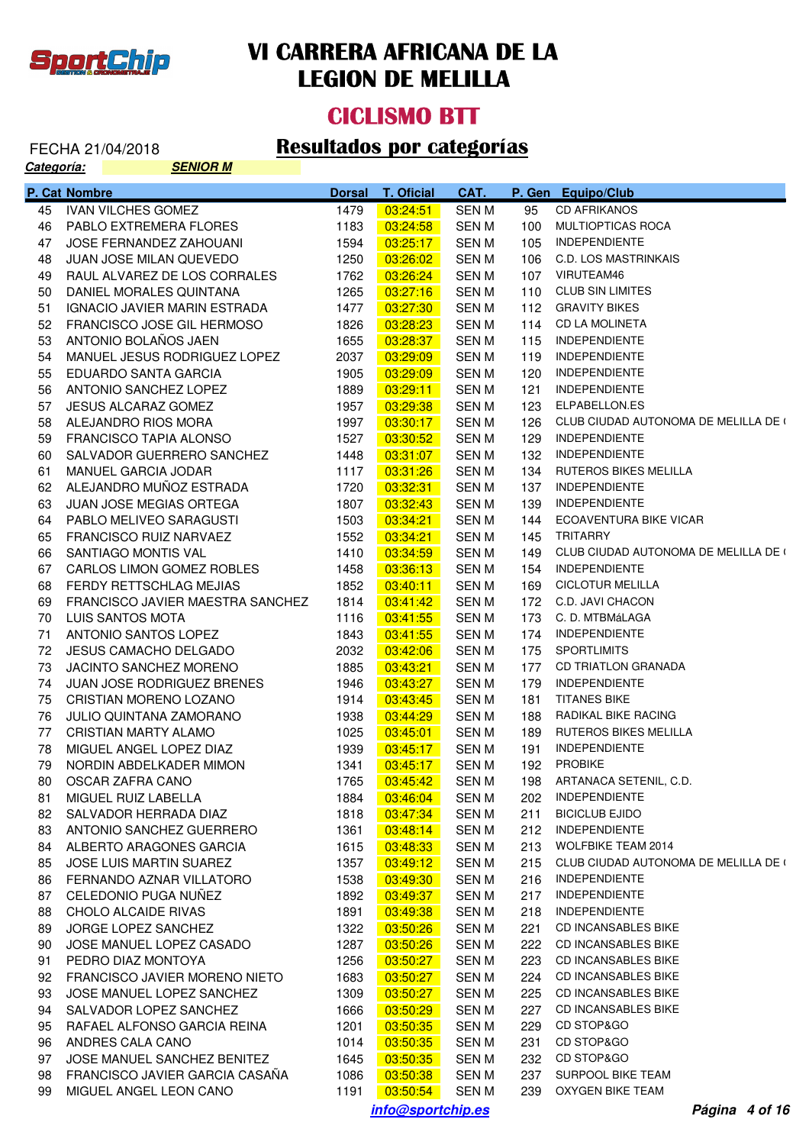

#### **CICLISMO BTT**

| Categoría: | <b>SENIOR M</b>                   |               |                    |             |     |                                      |
|------------|-----------------------------------|---------------|--------------------|-------------|-----|--------------------------------------|
|            | P. Cat Nombre                     | <b>Dorsal</b> | <b>T. Oficial</b>  | CAT.        |     | P. Gen Equipo/Club                   |
| 45         | <b>IVAN VILCHES GOMEZ</b>         | 1479          | 03:24:51           | <b>SENM</b> | 95  | <b>CD AFRIKANOS</b>                  |
| 46         | PABLO EXTREMERA FLORES            | 1183          | 03:24:58           | <b>SENM</b> | 100 | MULTIOPTICAS ROCA                    |
| 47         | JOSE FERNANDEZ ZAHOUANI           | 1594          | 03:25:17           | <b>SENM</b> | 105 | <b>INDEPENDIENTE</b>                 |
| 48         | JUAN JOSE MILAN QUEVEDO           | 1250          | 03:26:02           | <b>SENM</b> | 106 | C.D. LOS MASTRINKAIS                 |
| 49         | RAUL ALVAREZ DE LOS CORRALES      | 1762          | 03:26:24           | <b>SENM</b> | 107 | VIRUTEAM46                           |
| 50         | DANIEL MORALES QUINTANA           | 1265          | 03:27:16           | <b>SENM</b> | 110 | <b>CLUB SIN LIMITES</b>              |
| 51         | IGNACIO JAVIER MARIN ESTRADA      | 1477          | 03:27:30           | <b>SENM</b> | 112 | <b>GRAVITY BIKES</b>                 |
| 52         | FRANCISCO JOSE GIL HERMOSO        | 1826          | 03:28:23           | <b>SENM</b> | 114 | <b>CD LA MOLINETA</b>                |
| 53         | ANTONIO BOLAÑOS JAEN              | 1655          | 03:28:37           | <b>SENM</b> | 115 | <b>INDEPENDIENTE</b>                 |
| 54         | MANUEL JESUS RODRIGUEZ LOPEZ      | 2037          | 03:29:09           | <b>SENM</b> | 119 | <b>INDEPENDIENTE</b>                 |
| 55         | EDUARDO SANTA GARCIA              | 1905          | 03:29:09           | <b>SENM</b> | 120 | <b>INDEPENDIENTE</b>                 |
| 56         | ANTONIO SANCHEZ LOPEZ             | 1889          | 03:29:11           | <b>SENM</b> | 121 | <b>INDEPENDIENTE</b>                 |
| 57         | <b>JESUS ALCARAZ GOMEZ</b>        | 1957          | 03:29:38           | <b>SENM</b> | 123 | ELPABELLON.ES                        |
| 58         | ALEJANDRO RIOS MORA               | 1997          | 03:30:17           | <b>SENM</b> | 126 | CLUB CIUDAD AUTONOMA DE MELILLA DE ( |
| 59         | FRANCISCO TAPIA ALONSO            | 1527          | 03:30:52           | <b>SENM</b> | 129 | <b>INDEPENDIENTE</b>                 |
| 60         | SALVADOR GUERRERO SANCHEZ         | 1448          | 03:31:07           | <b>SENM</b> | 132 | <b>INDEPENDIENTE</b>                 |
| 61         | MANUEL GARCIA JODAR               | 1117          | 03:31:26           | <b>SENM</b> | 134 | <b>RUTEROS BIKES MELILLA</b>         |
| 62         | ALEJANDRO MUÑOZ ESTRADA           | 1720          | 03:32:31           | <b>SENM</b> | 137 | <b>INDEPENDIENTE</b>                 |
| 63         | JUAN JOSE MEGIAS ORTEGA           | 1807          | 03:32:43           | <b>SENM</b> | 139 | <b>INDEPENDIENTE</b>                 |
| 64         | PABLO MELIVEO SARAGUSTI           | 1503          | 03:34:21           | <b>SENM</b> | 144 | ECOAVENTURA BIKE VICAR               |
| 65         | <b>FRANCISCO RUIZ NARVAEZ</b>     | 1552          | 03:34:21           | <b>SENM</b> | 145 | <b>TRITARRY</b>                      |
| 66         | SANTIAGO MONTIS VAL               | 1410          | 03:34:59           | <b>SENM</b> | 149 | CLUB CIUDAD AUTONOMA DE MELILLA DE ( |
| 67         | CARLOS LIMON GOMEZ ROBLES         | 1458          | 03:36:13           | <b>SENM</b> | 154 | <b>INDEPENDIENTE</b>                 |
| 68         | FERDY RETTSCHLAG MEJIAS           | 1852          | 03:40:11           | <b>SENM</b> | 169 | <b>CICLOTUR MELILLA</b>              |
| 69         | FRANCISCO JAVIER MAESTRA SANCHEZ  | 1814          |                    | <b>SENM</b> | 172 | C.D. JAVI CHACON                     |
| 70         | LUIS SANTOS MOTA                  | 1116          | 03:41:42           | <b>SENM</b> | 173 | C. D. MTBMáLAGA                      |
|            |                                   |               | 03:41:55           |             |     | <b>INDEPENDIENTE</b>                 |
| 71         | ANTONIO SANTOS LOPEZ              | 1843          | 03:41:55           | <b>SENM</b> | 174 | <b>SPORTLIMITS</b>                   |
| 72         | <b>JESUS CAMACHO DELGADO</b>      | 2032          | 03:42:06           | <b>SENM</b> | 175 |                                      |
| 73         | JACINTO SANCHEZ MORENO            | 1885          | 03:43:21           | <b>SENM</b> | 177 | <b>CD TRIATLON GRANADA</b>           |
| 74         | <b>JUAN JOSE RODRIGUEZ BRENES</b> | 1946          | 03:43:27           | <b>SENM</b> | 179 | <b>INDEPENDIENTE</b>                 |
| 75         | CRISTIAN MORENO LOZANO            | 1914          | 03:43:45           | <b>SENM</b> | 181 | <b>TITANES BIKE</b>                  |
| 76         | JULIO QUINTANA ZAMORANO           | 1938          | 03:44:29           | <b>SENM</b> | 188 | RADIKAL BIKE RACING                  |
| 77         | <b>CRISTIAN MARTY ALAMO</b>       | 1025          | 03:45:01           | <b>SENM</b> | 189 | <b>RUTEROS BIKES MELILLA</b>         |
| 78         | MIGUEL ANGEL LOPEZ DIAZ           | 1939          | 03:45:17           | <b>SENM</b> | 191 | <b>INDEPENDIENTE</b>                 |
| 79         | NORDIN ABDELKADER MIMON           | 1341          | $\boxed{03:45:17}$ | <b>SENM</b> | 192 | <b>PROBIKE</b>                       |
| 80.        | OSCAR ZAFRA CANO                  | 1765          | 03:45:42           | <b>SENM</b> |     | 198 ARTANACA SETENIL, C.D.           |
| 81         | MIGUEL RUIZ LABELLA               | 1884          | 03:46:04           | <b>SENM</b> |     | 202 INDEPENDIENTE                    |
| 82         | SALVADOR HERRADA DIAZ             | 1818          | 03:47:34           | <b>SENM</b> | 211 | <b>BICICLUB EJIDO</b>                |
| 83         | ANTONIO SANCHEZ GUERRERO          | 1361          | 03:48:14           | <b>SENM</b> | 212 | <b>INDEPENDIENTE</b>                 |
| 84         | ALBERTO ARAGONES GARCIA           | 1615          | 03:48:33           | <b>SENM</b> | 213 | <b>WOLFBIKE TEAM 2014</b>            |
| 85         | JOSE LUIS MARTIN SUAREZ           | 1357          | 03:49:12           | <b>SENM</b> | 215 | CLUB CIUDAD AUTONOMA DE MELILLA DE ( |
| 86         | FERNANDO AZNAR VILLATORO          | 1538          | 03:49:30           | <b>SENM</b> | 216 | <b>INDEPENDIENTE</b>                 |
| 87         | CELEDONIO PUGA NUÑEZ              | 1892          | 03:49:37           | <b>SENM</b> | 217 | <b>INDEPENDIENTE</b>                 |
| 88         | CHOLO ALCAIDE RIVAS               | 1891          | 03:49:38           | <b>SENM</b> | 218 | <b>INDEPENDIENTE</b>                 |
| 89         | JORGE LOPEZ SANCHEZ               | 1322          | 03:50:26           | <b>SENM</b> | 221 | <b>CD INCANSABLES BIKE</b>           |
| 90         | JOSE MANUEL LOPEZ CASADO          | 1287          | 03:50:26           | <b>SENM</b> | 222 | <b>CD INCANSABLES BIKE</b>           |
| 91         | PEDRO DIAZ MONTOYA                | 1256          | 03:50:27           | <b>SENM</b> | 223 | <b>CD INCANSABLES BIKE</b>           |
| 92         | FRANCISCO JAVIER MORENO NIETO     | 1683          | 03:50:27           | <b>SENM</b> | 224 | <b>CD INCANSABLES BIKE</b>           |
| 93         | JOSE MANUEL LOPEZ SANCHEZ         | 1309          | 03:50:27           | <b>SENM</b> | 225 | CD INCANSABLES BIKE                  |
| 94         | SALVADOR LOPEZ SANCHEZ            | 1666          | 03:50:29           | SEN M       | 227 | CD INCANSABLES BIKE                  |
| 95         | RAFAEL ALFONSO GARCIA REINA       | 1201          | 03:50:35           | SEN M       | 229 | CD STOP&GO                           |
| 96         | ANDRES CALA CANO                  | 1014          | 03:50:35           | SEN M       | 231 | CD STOP&GO                           |
| 97         | JOSE MANUEL SANCHEZ BENITEZ       | 1645          | 03:50:35           | SEN M       | 232 | CD STOP&GO                           |
| 98         | FRANCISCO JAVIER GARCIA CASANA    | 1086          | 03:50:38           | SEN M       | 237 | SURPOOL BIKE TEAM                    |
| 99         | MIGUEL ANGEL LEON CANO            | 1191          | 03:50:54           | SEN M       |     | 239 OXYGEN BIKE TEAM                 |
|            |                                   |               | info@sportchip.es  |             |     | Página 4 of 16                       |
|            |                                   |               |                    |             |     |                                      |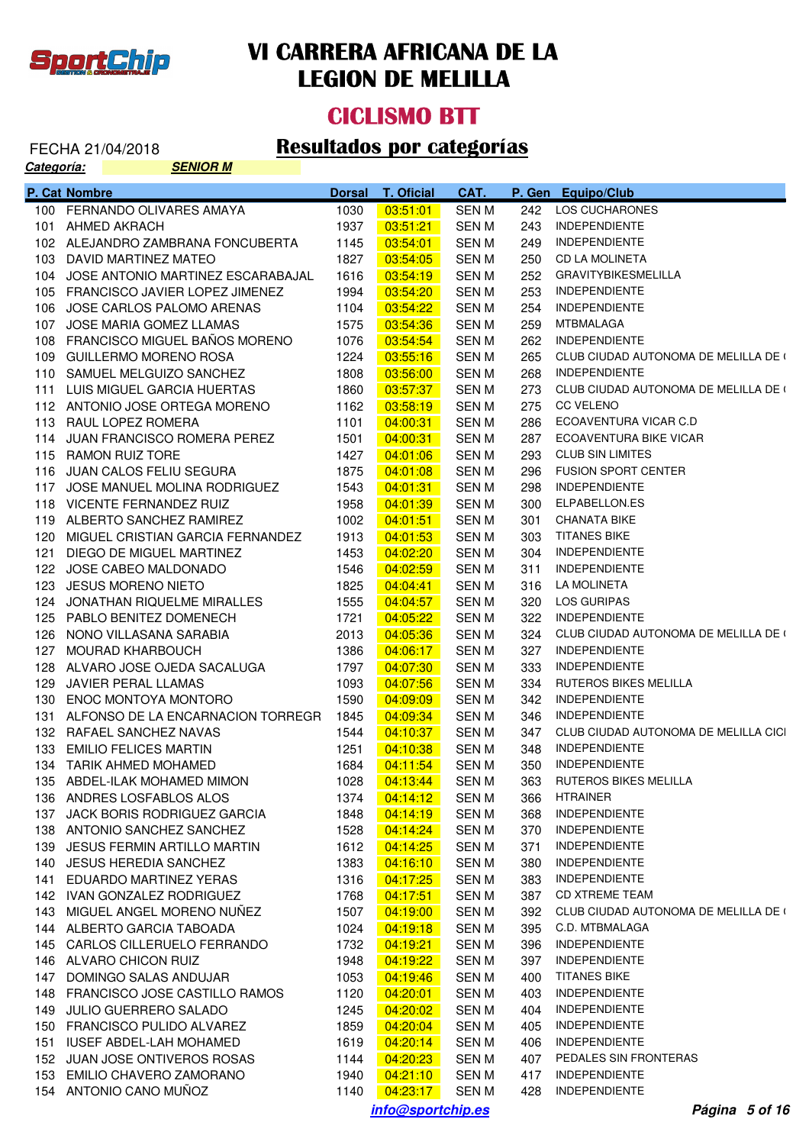

#### **CICLISMO BTT**

| <b>Categoría:</b> |               | <b>SENIOR M</b>                       |               |                   |              |     |                                      |
|-------------------|---------------|---------------------------------------|---------------|-------------------|--------------|-----|--------------------------------------|
|                   | P. Cat Nombre |                                       | <b>Dorsal</b> | <b>T. Oficial</b> | CAT.         |     | P. Gen Equipo/Club                   |
|                   |               | 100 FERNANDO OLIVARES AMAYA           | 1030          | 03:51:01          | <b>SENM</b>  | 242 | <b>LOS CUCHARONES</b>                |
| 101               |               | AHMED AKRACH                          | 1937          | 03:51:21          | SEN M        | 243 | <b>INDEPENDIENTE</b>                 |
|                   |               | 102 ALEJANDRO ZAMBRANA FONCUBERTA     | 1145          | 03:54:01          | SEN M        | 249 | <b>INDEPENDIENTE</b>                 |
|                   |               | 103 DAVID MARTINEZ MATEO              | 1827          | 03:54:05          | SEN M        | 250 | <b>CD LA MOLINETA</b>                |
|                   |               | 104 JOSE ANTONIO MARTINEZ ESCARABAJAL | 1616          | 03:54:19          | SEN M        | 252 | <b>GRAVITYBIKESMELILLA</b>           |
|                   |               | 105 FRANCISCO JAVIER LOPEZ JIMENEZ    | 1994          | 03:54:20          | SEN M        | 253 | <b>INDEPENDIENTE</b>                 |
|                   |               | 106 JOSE CARLOS PALOMO ARENAS         | 1104          | 03:54:22          | SEN M        | 254 | <b>INDEPENDIENTE</b>                 |
| 107               |               | JOSE MARIA GOMEZ LLAMAS               | 1575          | 03:54:36          | SEN M        | 259 | <b>MTBMALAGA</b>                     |
|                   |               | 108 FRANCISCO MIGUEL BAÑOS MORENO     | 1076          | 03:54:54          | SEN M        | 262 | <b>INDEPENDIENTE</b>                 |
|                   |               | 109 GUILLERMO MORENO ROSA             | 1224          | 03:55:16          | SEN M        | 265 | CLUB CIUDAD AUTONOMA DE MELILLA DE ( |
|                   |               | 110 SAMUEL MELGUIZO SANCHEZ           | 1808          | 03:56:00          | SEN M        | 268 | <b>INDEPENDIENTE</b>                 |
|                   |               | 111 LUIS MIGUEL GARCIA HUERTAS        | 1860          | 03:57:37          | SEN M        | 273 | CLUB CIUDAD AUTONOMA DE MELILLA DE ( |
|                   |               | 112 ANTONIO JOSE ORTEGA MORENO        | 1162          | 03:58:19          | SEN M        | 275 | <b>CC VELENO</b>                     |
|                   |               | 113 RAUL LOPEZ ROMERA                 | 1101          | 04:00:31          | SEN M        | 286 | ECOAVENTURA VICAR C.D                |
|                   |               | 114 JUAN FRANCISCO ROMERA PEREZ       | 1501          | 04:00:31          | SEN M        | 287 | <b>ECOAVENTURA BIKE VICAR</b>        |
|                   |               | 115 RAMON RUIZ TORE                   | 1427          | 04:01:06          | SEN M        | 293 | <b>CLUB SIN LIMITES</b>              |
|                   |               | 116 JUAN CALOS FELIU SEGURA           | 1875          | 04:01:08          | SEN M        | 296 | <b>FUSION SPORT CENTER</b>           |
| 117               |               | JOSE MANUEL MOLINA RODRIGUEZ          | 1543          | 04:01:31          | SEN M        | 298 | <b>INDEPENDIENTE</b>                 |
|                   |               | 118 VICENTE FERNANDEZ RUIZ            | 1958          | 04:01:39          | SEN M        | 300 | ELPABELLON.ES                        |
|                   |               | 119 ALBERTO SANCHEZ RAMIREZ           | 1002          | 04:01:51          | SEN M        | 301 | <b>CHANATA BIKE</b>                  |
|                   |               | 120 MIGUEL CRISTIAN GARCIA FERNANDEZ  | 1913          | 04:01:53          | SEN M        | 303 | <b>TITANES BIKE</b>                  |
| 121               |               | DIEGO DE MIGUEL MARTINEZ              | 1453          | 04:02:20          | SEN M        | 304 | <b>INDEPENDIENTE</b>                 |
|                   |               | 122 JOSE CABEO MALDONADO              | 1546          | 04:02:59          | SEN M        | 311 | <b>INDEPENDIENTE</b>                 |
| 123               |               | <b>JESUS MORENO NIETO</b>             | 1825          | 04:04:41          | SEN M        | 316 | LA MOLINETA                          |
|                   |               | 124 JONATHAN RIQUELME MIRALLES        | 1555          | 04:04:57          | SEN M        | 320 | LOS GURIPAS                          |
|                   |               | 125 PABLO BENITEZ DOMENECH            | 1721          | 04:05:22          | SEN M        | 322 | <b>INDEPENDIENTE</b>                 |
|                   |               | 126 NONO VILLASANA SARABIA            | 2013          | 04:05:36          | SEN M        | 324 | CLUB CIUDAD AUTONOMA DE MELILLA DE ( |
| 127               |               | MOURAD KHARBOUCH                      | 1386          | 04:06:17          | SEN M        | 327 | <b>INDEPENDIENTE</b>                 |
|                   |               | 128 ALVARO JOSE OJEDA SACALUGA        | 1797          | 04:07:30          | SEN M        | 333 | <b>INDEPENDIENTE</b>                 |
| 129               |               | JAVIER PERAL LLAMAS                   | 1093          | 04:07:56          | SEN M        | 334 | RUTEROS BIKES MELILLA                |
| 130               |               | <b>ENOC MONTOYA MONTORO</b>           | 1590          | 04:09:09          | SEN M        | 342 | <b>INDEPENDIENTE</b>                 |
| 131               |               | ALFONSO DE LA ENCARNACION TORREGR     | 1845          | 04:09:34          | SEN M        | 346 | <b>INDEPENDIENTE</b>                 |
|                   |               | 132 RAFAEL SANCHEZ NAVAS              | 1544          | 04:10:37          | SEN M        | 347 | CLUB CIUDAD AUTONOMA DE MELILLA CICI |
|                   |               | 133 EMILIO FELICES MARTIN             | 1251          | 04:10:38          | <b>SEN M</b> | 348 | <b>INDEPENDIENTE</b>                 |
|                   |               | 134 TARIK AHMED MOHAMED               | 1684          | 04:11:54          | SEN M        | 350 | <b>INDEPENDIENTE</b>                 |
|                   |               | 135 ABDEL-ILAK MOHAMED MIMON          | 1028          | 04:13:44          | SEN M        |     | 363 RUTEROS BIKES MELILLA            |
|                   |               | 136 ANDRES LOSFABLOS ALOS             | 1374          | 04:14:12          | <b>SEN M</b> | 366 | HTRAINER                             |
|                   |               | 137 JACK BORIS RODRIGUEZ GARCIA       | 1848          | 04:14:19          | SEN M        | 368 | <b>INDEPENDIENTE</b>                 |
|                   |               | 138 ANTONIO SANCHEZ SANCHEZ           | 1528          | 04:14:24          | <b>SEN M</b> | 370 | <b>INDEPENDIENTE</b>                 |
|                   |               | 139 JESUS FERMIN ARTILLO MARTIN       | 1612          | 04:14:25          | <b>SEN M</b> | 371 | <b>INDEPENDIENTE</b>                 |
|                   |               | 140 JESUS HEREDIA SANCHEZ             | 1383          | 04:16:10          | <b>SEN M</b> | 380 | <b>INDEPENDIENTE</b>                 |
|                   |               | 141 EDUARDO MARTINEZ YERAS            | 1316          | 04:17:25          | <b>SEN M</b> | 383 | <b>INDEPENDIENTE</b>                 |
|                   |               | 142 IVAN GONZALEZ RODRIGUEZ           | 1768          | 04:17:51          | SEN M        | 387 | <b>CD XTREME TEAM</b>                |
|                   |               | 143 MIGUEL ANGEL MORENO NUÑEZ         | 1507          | 04:19:00          | <b>SEN M</b> | 392 | CLUB CIUDAD AUTONOMA DE MELILLA DE ( |
|                   |               | 144 ALBERTO GARCIA TABOADA            | 1024          | 04:19:18          | SEN M        | 395 | C.D. MTBMALAGA                       |
|                   |               | 145 CARLOS CILLERUELO FERRANDO        | 1732          | 04:19:21          | SEN M        | 396 | <b>INDEPENDIENTE</b>                 |
|                   |               | 146 ALVARO CHICON RUIZ                | 1948          | 04:19:22          | SEN M        | 397 | <b>INDEPENDIENTE</b>                 |
|                   |               | 147 DOMINGO SALAS ANDUJAR             | 1053          | 04:19:46          | SEN M        | 400 | <b>TITANES BIKE</b>                  |
|                   |               | 148 FRANCISCO JOSE CASTILLO RAMOS     | 1120          | 04:20:01          | SEN M        | 403 | <b>INDEPENDIENTE</b>                 |
|                   |               | 149 JULIO GUERRERO SALADO             | 1245          | 04:20:02          | <b>SEN M</b> | 404 | <b>INDEPENDIENTE</b>                 |
|                   |               | 150 FRANCISCO PULIDO ALVAREZ          | 1859          | 04:20:04          | <b>SEN M</b> | 405 | <b>INDEPENDIENTE</b>                 |
|                   |               | 151 IUSEF ABDEL-LAH MOHAMED           | 1619          | 04:20:14          | SEN M        | 406 | <b>INDEPENDIENTE</b>                 |
|                   |               | 152 JUAN JOSE ONTIVEROS ROSAS         | 1144          | 04:20:23          | SEN M        | 407 | PEDALES SIN FRONTERAS                |
|                   |               | 153 EMILIO CHAVERO ZAMORANO           | 1940          | 04:21:10          | SEN M        | 417 | <b>INDEPENDIENTE</b>                 |
|                   |               | 154 ANTONIO CANO MUÑOZ                | 1140          | 04:23:17          | SEN M        | 428 | <b>INDEPENDIENTE</b>                 |
|                   |               |                                       |               | info@sportchip.es |              |     | Página 5 of 16                       |
|                   |               |                                       |               |                   |              |     |                                      |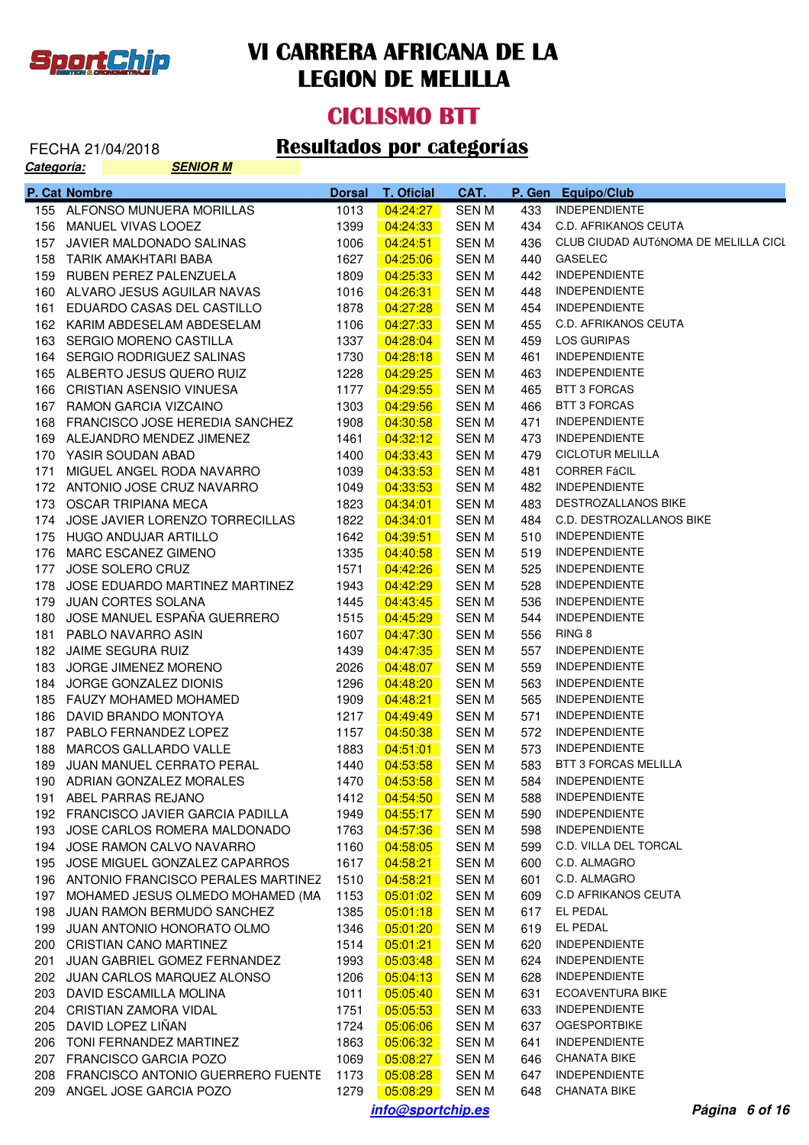

#### **CICLISMO BTT**

| <u> Categoría:</u> | <b>SENIOR M</b>                        |               |                    |       |     |                                      |
|--------------------|----------------------------------------|---------------|--------------------|-------|-----|--------------------------------------|
|                    | P. Cat Nombre                          | <b>Dorsal</b> | <b>T. Oficial</b>  | CAT.  |     | P. Gen Equipo/Club                   |
|                    | 155 ALFONSO MUNUERA MORILLAS           | 1013          | 04:24:27           | SEN M | 433 | <b>INDEPENDIENTE</b>                 |
|                    | 156 MANUEL VIVAS LOOEZ                 | 1399          | 04:24:33           | SEN M | 434 | <b>C.D. AFRIKANOS CEUTA</b>          |
| 157                | JAVIER MALDONADO SALINAS               | 1006          | 04:24:51           | SEN M | 436 | CLUB CIUDAD AUTÓNOMA DE MELILLA CICL |
|                    | 158 TARIK AMAKHTARI BABA               | 1627          | 04:25:06           | SEN M | 440 | <b>GASELEC</b>                       |
|                    | 159 RUBEN PEREZ PALENZUELA             | 1809          | 04:25:33           | SEN M | 442 | <b>INDEPENDIENTE</b>                 |
|                    | 160 ALVARO JESUS AGUILAR NAVAS         | 1016          | 04:26:31           | SEN M | 448 | <b>INDEPENDIENTE</b>                 |
| 161                | EDUARDO CASAS DEL CASTILLO             | 1878          | 04:27:28           | SEN M | 454 | <b>INDEPENDIENTE</b>                 |
|                    | 162 KARIM ABDESELAM ABDESELAM          | 1106          | 04:27:33           | SEN M | 455 | <b>C.D. AFRIKANOS CEUTA</b>          |
|                    | 163 SERGIO MORENO CASTILLA             | 1337          | 04:28:04           | SEN M | 459 | <b>LOS GURIPAS</b>                   |
|                    | 164 SERGIO RODRIGUEZ SALINAS           | 1730          | 04:28:18           | SEN M | 461 | <b>INDEPENDIENTE</b>                 |
|                    | 165 ALBERTO JESUS QUERO RUIZ           | 1228          | 04:29:25           | SEN M | 463 | <b>INDEPENDIENTE</b>                 |
|                    | 166 CRISTIAN ASENSIO VINUESA           | 1177          | 04:29:55           | SEN M | 465 | <b>BTT 3 FORCAS</b>                  |
|                    | 167 RAMON GARCIA VIZCAINO              | 1303          | 04:29:56           | SEN M | 466 | <b>BTT 3 FORCAS</b>                  |
|                    | 168 FRANCISCO JOSE HEREDIA SANCHEZ     | 1908          | 04:30:58           | SEN M | 471 | <b>INDEPENDIENTE</b>                 |
|                    | 169 ALEJANDRO MENDEZ JIMENEZ           | 1461          | 04:32:12           | SEN M | 473 | <b>INDEPENDIENTE</b>                 |
|                    | 170 YASIR SOUDAN ABAD                  | 1400          | 04:33:43           | SEN M | 479 | <b>CICLOTUR MELILLA</b>              |
| 171                | MIGUEL ANGEL RODA NAVARRO              | 1039          | 04:33:53           | SEN M | 481 | <b>CORRER FÁCIL</b>                  |
|                    | 172 ANTONIO JOSE CRUZ NAVARRO          | 1049          | 04:33:53           | SEN M | 482 | <b>INDEPENDIENTE</b>                 |
|                    | 173 OSCAR TRIPIANA MECA                | 1823          | 04:34:01           | SEN M | 483 | DESTROZALLANOS BIKE                  |
|                    | 174 JOSE JAVIER LORENZO TORRECILLAS    | 1822          | 04:34:01           | SEN M | 484 | C.D. DESTROZALLANOS BIKE             |
|                    | 175 HUGO ANDUJAR ARTILLO               | 1642          | 04:39:51           | SEN M | 510 | <b>INDEPENDIENTE</b>                 |
|                    | 176 MARC ESCANEZ GIMENO                | 1335          | 04:40:58           | SEN M | 519 | <b>INDEPENDIENTE</b>                 |
| 177                | JOSE SOLERO CRUZ                       | 1571          | 04:42:26           | SEN M | 525 | <b>INDEPENDIENTE</b>                 |
|                    | 178 JOSE EDUARDO MARTINEZ MARTINEZ     | 1943          | 04:42:29           | SEN M | 528 | <b>INDEPENDIENTE</b>                 |
|                    | 179 JUAN CORTES SOLANA                 | 1445          | 04:43:45           | SEN M | 536 | <b>INDEPENDIENTE</b>                 |
| 180                | JOSE MANUEL ESPAÑA GUERRERO            | 1515          | 04:45:29           | SEN M | 544 | <b>INDEPENDIENTE</b>                 |
|                    | 181 PABLO NAVARRO ASIN                 | 1607          | 04:47:30           | SEN M | 556 | RING 8                               |
|                    | 182 JAIME SEGURA RUIZ                  | 1439          | 04:47:35           | SEN M | 557 | <b>INDEPENDIENTE</b>                 |
| 183                | JORGE JIMENEZ MORENO                   | 2026          | 04:48:07           | SEN M | 559 | <b>INDEPENDIENTE</b>                 |
|                    | 184 JORGE GONZALEZ DIONIS              | 1296          | 04:48:20           | SEN M | 563 | <b>INDEPENDIENTE</b>                 |
|                    | 185 FAUZY MOHAMED MOHAMED              | 1909          | 04:48:21           | SEN M | 565 | <b>INDEPENDIENTE</b>                 |
| 186                | DAVID BRANDO MONTOYA                   | 1217          | 04:49:49           | SEN M | 571 | <b>INDEPENDIENTE</b>                 |
|                    | 187 PABLO FERNANDEZ LOPEZ              | 1157          | 04:50:38           | SEN M | 572 | <b>INDEPENDIENTE</b>                 |
|                    | 188 MARCOS GALLARDO VALLE              | 1883          | 04:51:01           | SEN M | 573 | <b>INDEPENDIENTE</b>                 |
|                    | 189 JUAN MANUEL CERRATO PERAL          | 1440          | $\boxed{04:53:58}$ | SEN M |     | 583 BTT 3 FORCAS MELILLA             |
|                    | 190 ADRIAN GONZALEZ MORALES            | 1470          | 04:53:58           | SEN M |     | 584 INDEPENDIENTE                    |
|                    | 191 ABEL PARRAS REJANO                 | 1412          | 04:54:50           | SEN M |     | 588 INDEPENDIENTE                    |
|                    | 192 FRANCISCO JAVIER GARCIA PADILLA    | 1949          | 04:55:17           | SEN M | 590 | INDEPENDIENTE                        |
|                    | 193 JOSE CARLOS ROMERA MALDONADO       | 1763          | 04:57:36           | SEN M | 598 | <b>INDEPENDIENTE</b>                 |
|                    | 194 JOSE RAMON CALVO NAVARRO           | 1160          | 04:58:05           | SEN M | 599 | C.D. VILLA DEL TORCAL                |
|                    | 195 JOSE MIGUEL GONZALEZ CAPARROS      | 1617          | 04:58:21           | SEN M | 600 | C.D. ALMAGRO                         |
|                    | 196 ANTONIO FRANCISCO PERALES MARTINEZ | 1510          | 04:58:21           | SEN M | 601 | C.D. ALMAGRO                         |
|                    | 197 MOHAMED JESUS OLMEDO MOHAMED (MA   | 1153          | 05:01:02           | SEN M | 609 | <b>C.D AFRIKANOS CEUTA</b>           |
|                    |                                        |               | 05:01:18           |       | 617 | EL PEDAL                             |
|                    | 198 JUAN RAMON BERMUDO SANCHEZ         | 1385          | 05:01:20           | SEN M |     | EL PEDAL                             |
|                    | 199 JUAN ANTONIO HONORATO OLMO         | 1346          |                    | SEN M | 619 |                                      |
|                    | 200 CRISTIAN CANO MARTINEZ             | 1514          | 05:01:21           | SEN M | 620 | <b>INDEPENDIENTE</b>                 |
|                    | 201 JUAN GABRIEL GOMEZ FERNANDEZ       | 1993          | 05:03:48           | SEN M | 624 | <b>INDEPENDIENTE</b>                 |
|                    | 202 JUAN CARLOS MARQUEZ ALONSO         | 1206          | 05:04:13           | SEN M | 628 | <b>INDEPENDIENTE</b>                 |
|                    | 203 DAVID ESCAMILLA MOLINA             | 1011          | 05:05:40           | SEN M | 631 | <b>ECOAVENTURA BIKE</b>              |
|                    | 204 CRISTIAN ZAMORA VIDAL              | 1751          | 05:05:53           | SEN M | 633 | <b>INDEPENDIENTE</b>                 |
|                    | 205 DAVID LOPEZ LIÑAN                  | 1724          | 05:06:06           | SEN M | 637 | <b>OGESPORTBIKE</b>                  |
|                    | 206 TONI FERNANDEZ MARTINEZ            | 1863          | 05:06:32           | SEN M | 641 | <b>INDEPENDIENTE</b>                 |
|                    | 207 FRANCISCO GARCIA POZO              | 1069          | 05:08:27           | SEN M | 646 | CHANATA BIKE                         |
|                    | 208 FRANCISCO ANTONIO GUERRERO FUENTE  | 1173          | 05:08:28           | SEN M |     | 647 INDEPENDIENTE                    |
|                    | 209 ANGEL JOSE GARCIA POZO             | 1279          | 05:08:29           | SEN M |     | 648 CHANATA BIKE                     |
|                    |                                        |               | info@sportchip.es  |       |     | Página 6 of 16                       |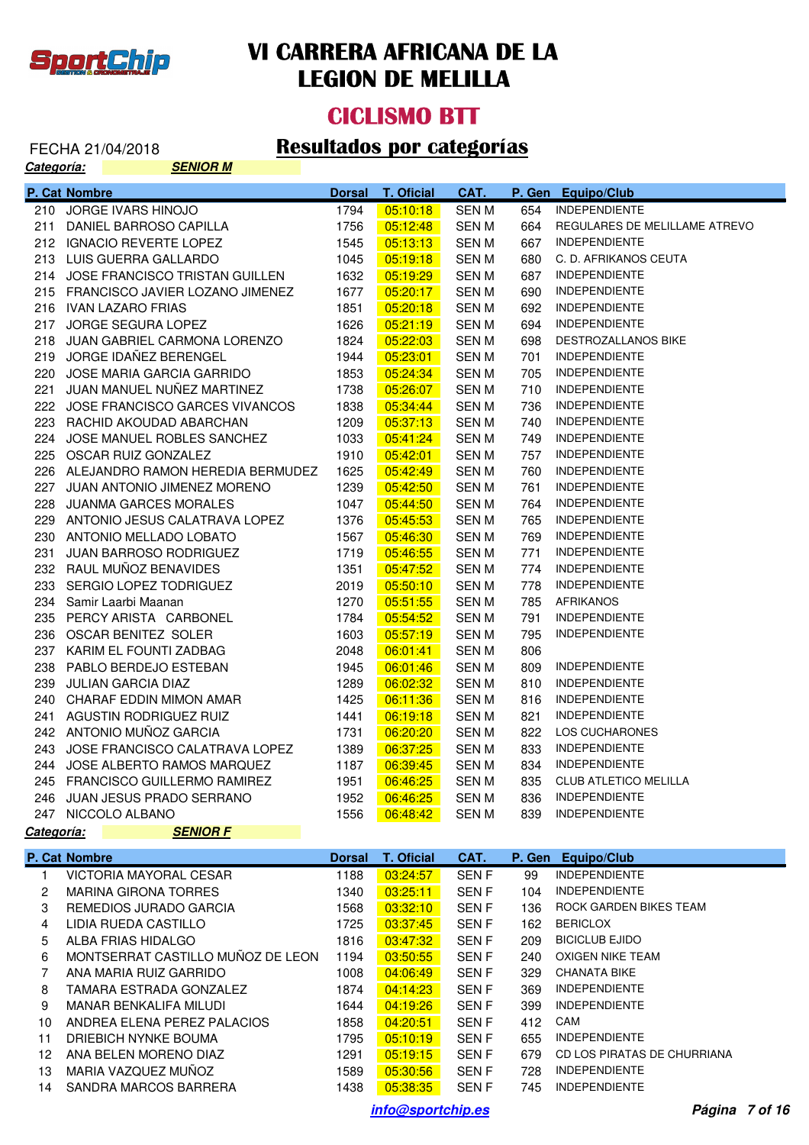

# **CICLISMO BTT**

#### FECHA 21/04/2018 **Resultados por categorías**

| <u>Categoría:</u> | <b>SENIOR M</b>                         |                       |                        |                     |        |                                            |
|-------------------|-----------------------------------------|-----------------------|------------------------|---------------------|--------|--------------------------------------------|
|                   | P. Cat Nombre                           | <b>Dorsal</b>         | <b>T. Oficial</b>      | CAT.                | P. Gen | <b>Equipo/Club</b>                         |
|                   | 210 JORGE IVARS HINOJO                  | 1794                  | 05:10:18               | <b>SENM</b>         | 654    | <b>INDEPENDIENTE</b>                       |
| 211               | DANIEL BARROSO CAPILLA                  | 1756                  | 05:12:48               | <b>SENM</b>         | 664    | REGULARES DE MELILLAME ATREVO              |
|                   | 212 IGNACIO REVERTE LOPEZ               | 1545                  | 05:13:13               | SEN M               | 667    | <b>INDEPENDIENTE</b>                       |
|                   | 213 LUIS GUERRA GALLARDO                | 1045                  | 05:19:18               | SEN M               | 680    | C. D. AFRIKANOS CEUTA                      |
|                   | 214 JOSE FRANCISCO TRISTAN GUILLEN      | 1632                  | 05:19:29               | SEN M               | 687    | <b>INDEPENDIENTE</b>                       |
|                   | 215 FRANCISCO JAVIER LOZANO JIMENEZ     | 1677                  | 05:20:17               | SEN M               | 690    | <b>INDEPENDIENTE</b>                       |
|                   | 216 IVAN LAZARO FRIAS                   | 1851                  | 05:20:18               | <b>SENM</b>         | 692    | <b>INDEPENDIENTE</b>                       |
|                   | 217 JORGE SEGURA LOPEZ                  | 1626                  | 05:21:19               | SEN M               | 694    | <b>INDEPENDIENTE</b>                       |
| 218               | JUAN GABRIEL CARMONA LORENZO            | 1824                  | 05:22:03               | SEN M               | 698    | DESTROZALLANOS BIKE                        |
|                   | 219 JORGE IDAÑEZ BERENGEL               | 1944                  | 05:23:01               | SEN M               | 701    | <b>INDEPENDIENTE</b>                       |
|                   | 220 JOSE MARIA GARCIA GARRIDO           | 1853                  | 05:24:34               | SEN M               | 705    | <b>INDEPENDIENTE</b>                       |
| 221               | JUAN MANUEL NUÑEZ MARTINEZ              | 1738                  | 05:26:07               | SEN M               | 710    | <b>INDEPENDIENTE</b>                       |
|                   | 222 JOSE FRANCISCO GARCES VIVANCOS      | 1838                  | 05:34:44               | SEN M               | 736    | <b>INDEPENDIENTE</b>                       |
| 223               | RACHID AKOUDAD ABARCHAN                 | 1209                  | 05:37:13               | SEN M               | 740    | <b>INDEPENDIENTE</b>                       |
|                   | 224 JOSE MANUEL ROBLES SANCHEZ          | 1033                  | 05:41:24               | SEN M               | 749    | <b>INDEPENDIENTE</b>                       |
|                   | 225 OSCAR RUIZ GONZALEZ                 | 1910                  | 05:42:01               | SEN M               | 757    | <b>INDEPENDIENTE</b>                       |
|                   | 226 ALEJANDRO RAMON HEREDIA BERMUDEZ    | 1625                  | 05:42:49               | <b>SENM</b>         | 760    | <b>INDEPENDIENTE</b>                       |
|                   | 227 JUAN ANTONIO JIMENEZ MORENO         | 1239                  | 05:42:50               | <b>SENM</b>         | 761    | <b>INDEPENDIENTE</b>                       |
| 228               | JUANMA GARCES MORALES                   | 1047                  | 05:44:50               | SEN M               | 764    | <b>INDEPENDIENTE</b>                       |
|                   | 229 ANTONIO JESUS CALATRAVA LOPEZ       | 1376                  | 05:45:53               | SEN M               | 765    | <b>INDEPENDIENTE</b>                       |
|                   | 230 ANTONIO MELLADO LOBATO              | 1567                  | 05:46:30               | SEN M               | 769    | <b>INDEPENDIENTE</b>                       |
| 231               | JUAN BARROSO RODRIGUEZ                  | 1719                  | 05:46:55               | SEN M               | 771    | <b>INDEPENDIENTE</b>                       |
|                   | 232 RAUL MUÑOZ BENAVIDES                | 1351                  | 05:47:52               | SEN M               | 774    | <b>INDEPENDIENTE</b>                       |
| 233               | SERGIO LOPEZ TODRIGUEZ                  | 2019                  | 05:50:10               | SEN M               | 778    | <b>INDEPENDIENTE</b>                       |
|                   | 234 Samir Laarbi Maanan                 | 1270                  | 05:51:55               | SEN M               | 785    | <b>AFRIKANOS</b>                           |
| 235               | PERCY ARISTA CARBONEL                   | 1784                  | 05:54:52               | SEN M               | 791    | <b>INDEPENDIENTE</b>                       |
|                   | 236 OSCAR BENITEZ SOLER                 | 1603                  | 05:57:19               | SEN M               | 795    | <b>INDEPENDIENTE</b>                       |
|                   | 237 KARIM EL FOUNTI ZADBAG              | 2048                  | 06:01:41               | SEN M               | 806    |                                            |
| 238               | PABLO BERDEJO ESTEBAN                   | 1945                  | 06:01:46               | SEN M               | 809    | <b>INDEPENDIENTE</b>                       |
| 239               | <b>JULIAN GARCIA DIAZ</b>               | 1289                  | 06:02:32               | SEN M               | 810    | <b>INDEPENDIENTE</b>                       |
|                   | 240 CHARAF EDDIN MIMON AMAR             | 1425                  | 06:11:36               | SEN M               | 816    | <b>INDEPENDIENTE</b>                       |
|                   | 241 AGUSTIN RODRIGUEZ RUIZ              | 1441                  | 06:19:18               | SEN M               | 821    | <b>INDEPENDIENTE</b>                       |
|                   | 242 ANTONIO MUÑOZ GARCIA                | 1731                  | 06:20:20               | SEN M               | 822    | LOS CUCHARONES                             |
|                   | 243 JOSE FRANCISCO CALATRAVA LOPEZ      | 1389                  | 06:37:25               | <b>SENM</b>         | 833    | <b>INDEPENDIENTE</b>                       |
|                   | 244 JOSE ALBERTO RAMOS MARQUEZ          | 1187                  | 06:39:45               | SEN M               | 834    | <b>INDEPENDIENTE</b>                       |
|                   | 245 FRANCISCO GUILLERMO RAMIREZ         | 1951                  | 06:46:25               | <b>SEN M</b>        |        | 835 CLUB ATLETICO MELILLA                  |
|                   | 246 JUAN JESUS PRADO SERRANO            | 1952                  | 06:46:25               | SEN M               | 836    | <b>INDEPENDIENTE</b>                       |
|                   | 247 NICCOLO ALBANO                      | 1556                  | 06:48:42               | <b>SEN M</b>        | 839    | <b>INDEPENDIENTE</b>                       |
| Categoría:        | <b>SENIOR F</b>                         |                       |                        |                     |        |                                            |
|                   |                                         |                       |                        |                     |        |                                            |
|                   | P. Cat Nombre<br>VICTORIA MAYORAL CESAR | <b>Dorsal</b><br>1188 | T. Oficial<br>03:24:57 | CAT.<br><b>SENF</b> | 99     | P. Gen Equipo/Club<br><b>INDEPENDIENTE</b> |
| 1<br>2            | <b>MARINA GIRONA TORRES</b>             | 1340                  | 03:25:11               | <b>SENF</b>         | 104    | <b>INDEPENDIENTE</b>                       |
| 3                 | REMEDIOS JURADO GARCIA                  | 1568                  | 03:32:10               | <b>SENF</b>         | 136    | ROCK GARDEN BIKES TEAM                     |
| 4                 | LIDIA RUEDA CASTILLO                    | 1725                  | 03:37:45               | <b>SENF</b>         | 162    | <b>BERICLOX</b>                            |
|                   | ALBA FRIAS HIDALGO                      | 1816                  | 03:47:32               | <b>SENF</b>         | 209    | <b>BICICLUB EJIDO</b>                      |
| 5                 |                                         |                       |                        |                     |        | OXIGEN NIKE TEAM                           |
| 6                 | MONTSERRAT CASTILLO MUÑOZ DE LEON       | 1194                  | 03:50:55               | <b>SENF</b>         | 240    | <b>CHANATA BIKE</b>                        |
| $\overline{7}$    | ANA MARIA RUIZ GARRIDO                  | 1008                  | 04:06:49               | <b>SENF</b>         | 329    |                                            |
| 8                 | TAMARA ESTRADA GONZALEZ                 | 1874                  | 04:14:23               | <b>SENF</b>         | 369    | <b>INDEPENDIENTE</b>                       |
| 9                 | MANAR BENKALIFA MILUDI                  | 1644                  | 04:19:26               | <b>SENF</b>         | 399    | <b>INDEPENDIENTE</b>                       |
| 10                | ANDREA ELENA PEREZ PALACIOS             | 1858                  | 04:20:51               | <b>SENF</b>         | 412    | CAM                                        |
| 11                | DRIEBICH NYNKE BOUMA                    | 1795                  | 05:10:19               | <b>SENF</b>         | 655    | <b>INDEPENDIENTE</b>                       |
| 12                | ANA BELEN MORENO DIAZ                   | 1291                  | 05:19:15               | <b>SENF</b>         | 679    | CD LOS PIRATAS DE CHURRIANA                |
| 13                | MARIA VAZQUEZ MUÑOZ                     | 1589                  | 05:30:56               | <b>SENF</b>         | 728    | <b>INDEPENDIENTE</b>                       |
|                   | 14 SANDRA MARCOS BARRERA                | 1438                  | 05:38:35               | <b>SENF</b>         | 745    | <b>INDEPENDIENTE</b>                       |

**info@sportchip.es Página 7 of 16**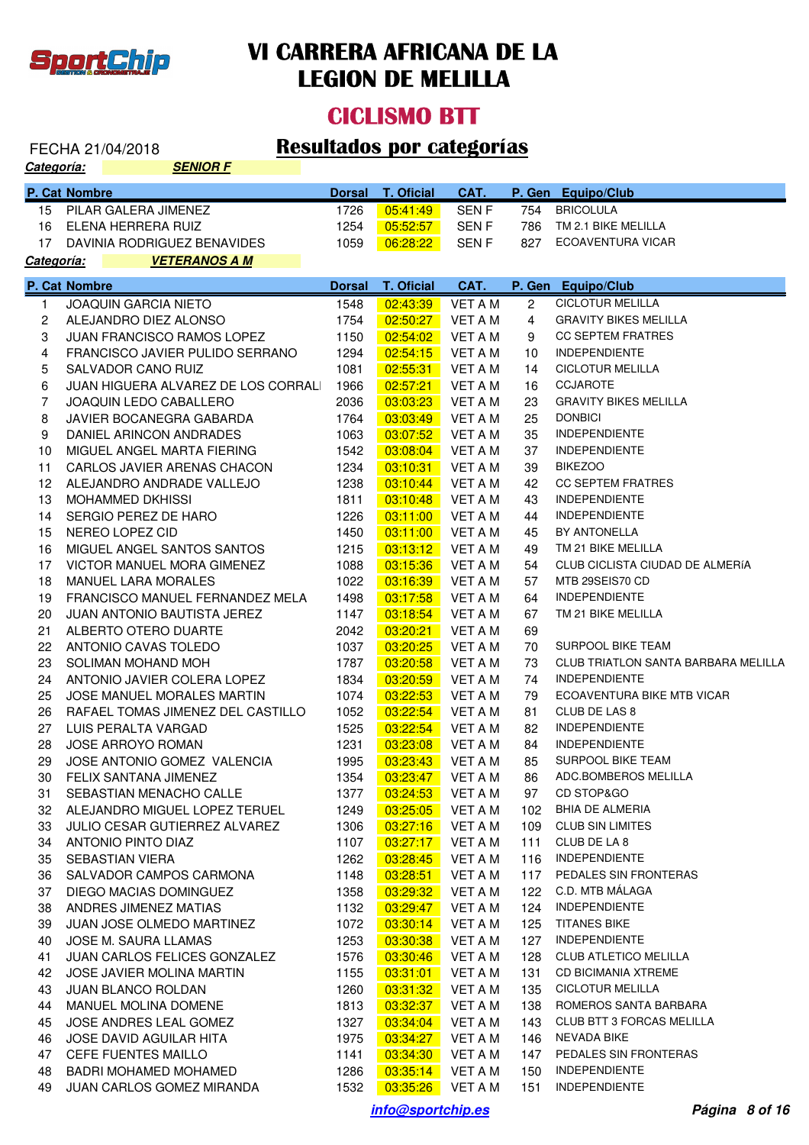

### **CICLISMO BTT**

# FECHA 21/04/2018 **Resultados por categorías**

| <u>Categoría:</u> |               | <b>SENIOR F</b>                    |               |                   |                  |                |                                            |
|-------------------|---------------|------------------------------------|---------------|-------------------|------------------|----------------|--------------------------------------------|
|                   | P. Cat Nombre |                                    | <b>Dorsal</b> | <b>T. Oficial</b> | CAT.             | P. Gen         | <b>Equipo/Club</b>                         |
| 15                |               | PILAR GALERA JIMENEZ               | 1726          | 05:41:49          | SEN <sub>F</sub> | 754            | <b>BRICOLULA</b>                           |
| 16                |               | ELENA HERRERA RUIZ                 | 1254          | 05:52:57          | SEN <sub>F</sub> | 786            | TM 2.1 BIKE MELILLA                        |
| 17                |               | DAVINIA RODRIGUEZ BENAVIDES        | 1059          | 06:28:22          | <b>SENF</b>      | 827            | ECOAVENTURA VICAR                          |
| <u>Categoría:</u> |               | <b>VETERANOS A M</b>               |               |                   |                  |                |                                            |
|                   | P. Cat Nombre |                                    | <b>Dorsal</b> | <b>T. Oficial</b> | CAT.             | P. Gen         | Equipo/Club                                |
| 1                 |               | JOAQUIN GARCIA NIETO               | 1548          | 02:43:39          | VET A M          | $\overline{2}$ | <b>CICLOTUR MELILLA</b>                    |
| 2                 |               | ALEJANDRO DIEZ ALONSO              | 1754          | 02:50:27          | <b>VET A M</b>   | 4              | <b>GRAVITY BIKES MELILLA</b>               |
| 3                 |               | <b>JUAN FRANCISCO RAMOS LOPEZ</b>  | 1150          | 02:54:02          | VET A M          | 9              | <b>CC SEPTEM FRATRES</b>                   |
| 4                 |               | FRANCISCO JAVIER PULIDO SERRANO    | 1294          | 02:54:15          | VET A M          | 10             | <b>INDEPENDIENTE</b>                       |
| 5                 |               | SALVADOR CANO RUIZ                 | 1081          | 02:55:31          | VET A M          | 14             | <b>CICLOTUR MELILLA</b>                    |
| 6                 |               | JUAN HIGUERA ALVAREZ DE LOS CORRAL | 1966          | 02:57:21          | VET A M          | 16             | <b>CCJAROTE</b>                            |
| $\overline{7}$    |               | <b>JOAQUIN LEDO CABALLERO</b>      | 2036          | 03:03:23          | VET A M          | 23             | <b>GRAVITY BIKES MELILLA</b>               |
| 8                 |               | JAVIER BOCANEGRA GABARDA           | 1764          | 03:03:49          | VET A M          | 25             | <b>DONBICI</b>                             |
| 9                 |               | DANIEL ARINCON ANDRADES            | 1063          | 03:07:52          | <b>VET A M</b>   | 35             | <b>INDEPENDIENTE</b>                       |
| 10                |               | MIGUEL ANGEL MARTA FIERING         | 1542          | 03:08:04          | VET A M          | 37             | <b>INDEPENDIENTE</b>                       |
| 11                |               | CARLOS JAVIER ARENAS CHACON        | 1234          | 03:10:31          | VET A M          | 39             | <b>BIKEZOO</b>                             |
| 12                |               | ALEJANDRO ANDRADE VALLEJO          | 1238          | 03:10:44          | VET A M          | 42             | <b>CC SEPTEM FRATRES</b>                   |
| 13                |               | <b>MOHAMMED DKHISSI</b>            | 1811          | 03:10:48          | VET A M          | 43             | <b>INDEPENDIENTE</b>                       |
| 14                |               | SERGIO PEREZ DE HARO               | 1226          | 03:11:00          | VET A M          | 44             | <b>INDEPENDIENTE</b>                       |
| 15                |               | NEREO LOPEZ CID                    | 1450          | 03:11:00          | VET A M          | 45             | BY ANTONELLA                               |
| 16                |               | MIGUEL ANGEL SANTOS SANTOS         | 1215          | 03:13:12          | VET A M          | 49             | TM 21 BIKE MELILLA                         |
| 17                |               | VICTOR MANUEL MORA GIMENEZ         | 1088          | 03:15:36          | VET A M          | 54             | CLUB CICLISTA CIUDAD DE ALMERÍA            |
| 18                |               | <b>MANUEL LARA MORALES</b>         | 1022          | 03:16:39          | VET A M          | 57             | MTB 29SEIS70 CD                            |
| 19                |               | FRANCISCO MANUEL FERNANDEZ MELA    | 1498          | 03:17:58          | <b>VET A M</b>   | 64             | <b>INDEPENDIENTE</b>                       |
| 20                |               | JUAN ANTONIO BAUTISTA JEREZ        | 1147          | 03:18:54          | VET A M          | 67             | TM 21 BIKE MELILLA                         |
| 21                |               | ALBERTO OTERO DUARTE               | 2042          | 03:20:21          | <b>VET A M</b>   | 69             |                                            |
| 22                |               | ANTONIO CAVAS TOLEDO               | 1037          | 03:20:25          | <b>VET A M</b>   | 70             | SURPOOL BIKE TEAM                          |
| 23                |               | SOLIMAN MOHAND MOH                 | 1787          | 03:20:58          | <b>VET A M</b>   | 73             | <b>CLUB TRIATLON SANTA BARBARA MELILLA</b> |
| 24                |               | ANTONIO JAVIER COLERA LOPEZ        | 1834          | 03:20:59          | <b>VET A M</b>   | 74             | <b>INDEPENDIENTE</b>                       |
| 25                |               | JOSE MANUEL MORALES MARTIN         | 1074          | 03:22:53          | <b>VET A M</b>   | 79             | ECOAVENTURA BIKE MTB VICAR                 |
| 26                |               | RAFAEL TOMAS JIMENEZ DEL CASTILLO  | 1052          | 03:22:54          | <b>VET A M</b>   | 81             | CLUB DE LAS 8                              |
| 27                |               | LUIS PERALTA VARGAD                | 1525          | 03:22:54          | VET A M          | 82             | <b>INDEPENDIENTE</b>                       |
| 28                |               | <b>JOSE ARROYO ROMAN</b>           | 1231          | 03:23:08          | VET A M          | 84             | <b>INDEPENDIENTE</b>                       |
| 29                |               | JOSE ANTONIO GOMEZ VALENCIA        | 1995          | 03:23:43          | <b>VET A M</b>   | 85             | <b>SURPOOL BIKE TEAM</b>                   |
| 30                |               | FELIX SANTANA JIMENEZ              | 1354          | 03:23:47          | VET A M          | 86             | ADC.BOMBEROS MELILLA                       |
| 31                |               | SEBASTIAN MENACHO CALLE            | 1377          | 03:24:53          | VET A M          | 97             | CD STOP&GO                                 |
| 32                |               | ALEJANDRO MIGUEL LOPEZ TERUEL      | 1249          | 03:25:05          | VET A M          | 102            | <b>BHIA DE ALMERIA</b>                     |
| 33                |               | JULIO CESAR GUTIERREZ ALVAREZ      | 1306          | 03:27:16          | VET A M          | 109            | <b>CLUB SIN LIMITES</b>                    |
| 34                |               | ANTONIO PINTO DIAZ                 | 1107          | 03:27:17          | VET A M          | 111            | CLUB DE LA 8                               |
| 35                |               | <b>SEBASTIAN VIERA</b>             | 1262          | 03:28:45          | VET A M          | 116            | <b>INDEPENDIENTE</b>                       |
| 36                |               | SALVADOR CAMPOS CARMONA            | 1148          | 03:28:51          | VET A M          | 117            | PEDALES SIN FRONTERAS                      |
| 37                |               | DIEGO MACIAS DOMINGUEZ             | 1358          | 03:29:32          | VET A M          | 122            | C.D. MTB MÁLAGA                            |
| 38                |               | ANDRES JIMENEZ MATIAS              | 1132          | 03:29:47          | VET A M          | 124            | <b>INDEPENDIENTE</b>                       |
| 39                |               | <b>JUAN JOSE OLMEDO MARTINEZ</b>   | 1072          | 03:30:14          | VET A M          | 125            | <b>TITANES BIKE</b>                        |
| 40                |               | JOSE M. SAURA LLAMAS               | 1253          | 03:30:38          | VET A M          | 127            | <b>INDEPENDIENTE</b>                       |
| 41                |               | JUAN CARLOS FELICES GONZALEZ       | 1576          | 03:30:46          | VET A M          | 128            | <b>CLUB ATLETICO MELILLA</b>               |
| 42                |               | JOSE JAVIER MOLINA MARTIN          | 1155          | 03:31:01          | VET A M          | 131            | <b>CD BICIMANIA XTREME</b>                 |
| 43                |               | <b>JUAN BLANCO ROLDAN</b>          | 1260          | 03:31:32          | VET A M          | 135            | <b>CICLOTUR MELILLA</b>                    |
| 44                |               | MANUEL MOLINA DOMENE               | 1813          | 03:32:37          | VET A M          | 138            | ROMEROS SANTA BARBARA                      |
| 45                |               | JOSE ANDRES LEAL GOMEZ             | 1327          | 03:34:04          | VET A M          | 143            | CLUB BTT 3 FORCAS MELILLA                  |
| 46                |               | JOSE DAVID AGUILAR HITA            | 1975          | 03:34:27          | VET A M          | 146            | NEVADA BIKE                                |
| 47                |               | <b>CEFE FUENTES MAILLO</b>         | 1141          | 03:34:30          | VET A M          | 147            | PEDALES SIN FRONTERAS                      |
| 48                |               | <b>BADRI MOHAMED MOHAMED</b>       | 1286          | 03:35:14          | VET A M          | 150            | <b>INDEPENDIENTE</b>                       |
| 49                |               | JUAN CARLOS GOMEZ MIRANDA          | 1532          | 03:35:26          | VET A M          | 151            | <b>INDEPENDIENTE</b>                       |
|                   |               |                                    |               |                   |                  |                |                                            |

**info@sportchip.es Página 8 of 16**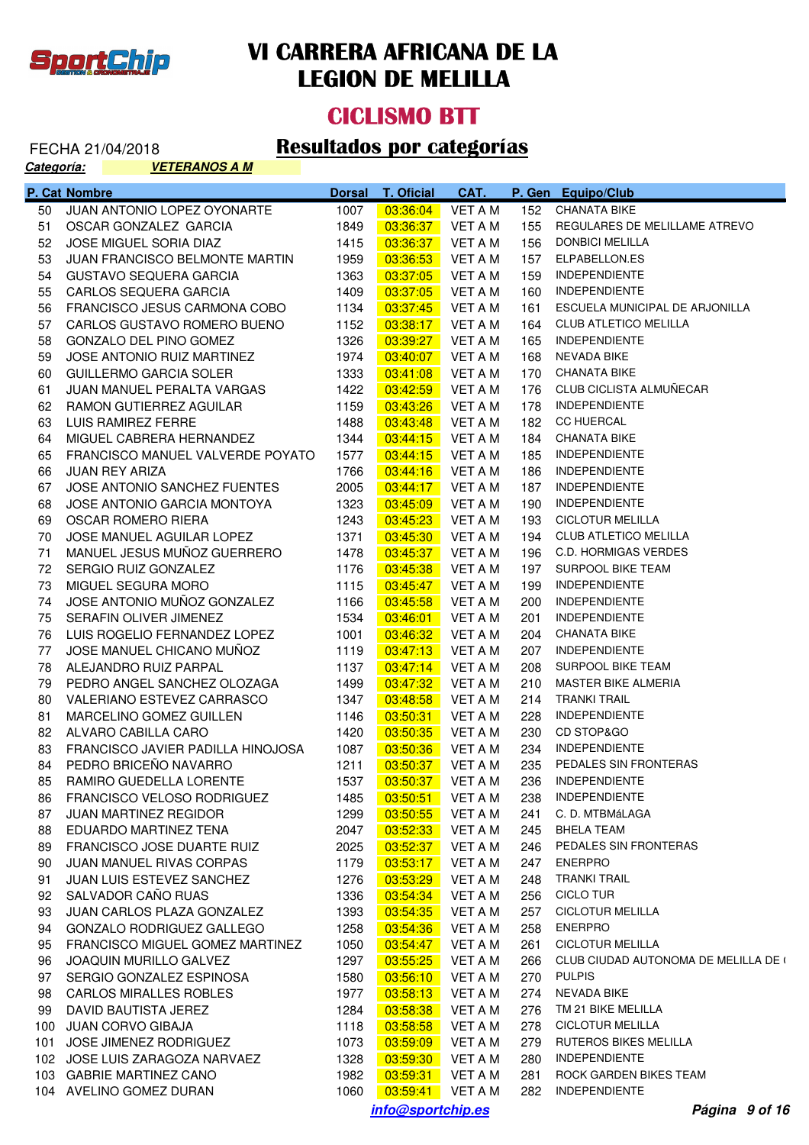

#### **CICLISMO BTT**

| Categoría: | <b>VETERANOS A M</b>              |               |                         |                |        |                                      |
|------------|-----------------------------------|---------------|-------------------------|----------------|--------|--------------------------------------|
|            | P. Cat Nombre                     | <b>Dorsal</b> | T. Oficial              | CAT.           | P. Gen | <b>Equipo/Club</b>                   |
| 50         | JUAN ANTONIO LOPEZ OYONARTE       | 1007          | 03:36:04                | VET A M        | 152    | <b>CHANATA BIKE</b>                  |
| 51         | OSCAR GONZALEZ GARCIA             | 1849          | 03:36:37                | VET A M        | 155    | REGULARES DE MELILLAME ATREVO        |
| 52         | JOSE MIGUEL SORIA DIAZ            | 1415          | 03:36:37                | VET A M        | 156    | <b>DONBICI MELILLA</b>               |
| 53         | JUAN FRANCISCO BELMONTE MARTIN    | 1959          | 03:36:53                | VET A M        | 157    | ELPABELLON.ES                        |
| 54         | <b>GUSTAVO SEQUERA GARCIA</b>     | 1363          | 03:37:05                | VET A M        | 159    | <b>INDEPENDIENTE</b>                 |
| 55         | CARLOS SEQUERA GARCIA             | 1409          | 03:37:05                | <b>VET A M</b> | 160    | <b>INDEPENDIENTE</b>                 |
| 56         | FRANCISCO JESUS CARMONA COBO      | 1134          | 03:37:45                | VET A M        | 161    | ESCUELA MUNICIPAL DE ARJONILLA       |
| 57         | CARLOS GUSTAVO ROMERO BUENO       | 1152          | 03:38:17                | VET A M        | 164    | <b>CLUB ATLETICO MELILLA</b>         |
| 58         | GONZALO DEL PINO GOMEZ            | 1326          | 03:39:27                | VET A M        | 165    | <b>INDEPENDIENTE</b>                 |
| 59         | JOSE ANTONIO RUIZ MARTINEZ        | 1974          | 03:40:07                | VET A M        | 168    | NEVADA BIKE                          |
| 60         | <b>GUILLERMO GARCIA SOLER</b>     | 1333          | 03:41:08                | VET A M        | 170    | <b>CHANATA BIKE</b>                  |
| 61         | JUAN MANUEL PERALTA VARGAS        | 1422          | 03:42:59                | VET A M        | 176    | CLUB CICLISTA ALMUÑECAR              |
| 62         | RAMON GUTIERREZ AGUILAR           | 1159          | 03:43:26                | VET A M        | 178    | <b>INDEPENDIENTE</b>                 |
| 63         | LUIS RAMIREZ FERRE                | 1488          | 03:43:48                | <b>VET A M</b> | 182    | <b>CC HUERCAL</b>                    |
|            |                                   |               |                         |                |        | <b>CHANATA BIKE</b>                  |
| 64         | MIGUEL CABRERA HERNANDEZ          | 1344          | 03:44:15                | VET A M        | 184    | <b>INDEPENDIENTE</b>                 |
| 65         | FRANCISCO MANUEL VALVERDE POYATO  | 1577          | 03:44:15                | VET A M        | 185    |                                      |
| 66         | <b>JUAN REY ARIZA</b>             | 1766          | 03:44:16                | VET A M        | 186    | <b>INDEPENDIENTE</b>                 |
| 67         | JOSE ANTONIO SANCHEZ FUENTES      | 2005          | 03:44:17                | VET A M        | 187    | <b>INDEPENDIENTE</b>                 |
| 68         | JOSE ANTONIO GARCIA MONTOYA       | 1323          | 03:45:09                | VET A M        | 190    | <b>INDEPENDIENTE</b>                 |
| 69         | OSCAR ROMERO RIERA                | 1243          | 03:45:23                | VET A M        | 193    | <b>CICLOTUR MELILLA</b>              |
| 70         | JOSE MANUEL AGUILAR LOPEZ         | 1371          | 03:45:30                | VET A M        | 194    | CLUB ATLETICO MELILLA                |
| 71         | MANUEL JESUS MUÑOZ GUERRERO       | 1478          | 03:45:37                | VET A M        | 196    | <b>C.D. HORMIGAS VERDES</b>          |
| 72         | SERGIO RUIZ GONZALEZ              | 1176          | 03:45:38                | VET A M        | 197    | SURPOOL BIKE TEAM                    |
| 73         | MIGUEL SEGURA MORO                | 1115          | 03:45:47                | VET A M        | 199    | <b>INDEPENDIENTE</b>                 |
| 74         | JOSE ANTONIO MUÑOZ GONZALEZ       | 1166          | 03:45:58                | VET A M        | 200    | <b>INDEPENDIENTE</b>                 |
| 75         | SERAFIN OLIVER JIMENEZ            | 1534          | 03:46:01                | VET A M        | 201    | <b>INDEPENDIENTE</b>                 |
| 76         | LUIS ROGELIO FERNANDEZ LOPEZ      | 1001          | 03:46:32                | VET A M        | 204    | <b>CHANATA BIKE</b>                  |
| 77         | JOSE MANUEL CHICANO MUÑOZ         | 1119          | 03:47:13                | VET A M        | 207    | <b>INDEPENDIENTE</b>                 |
| 78         | ALEJANDRO RUIZ PARPAL             | 1137          | 03:47:14                | VET A M        | 208    | SURPOOL BIKE TEAM                    |
| 79         | PEDRO ANGEL SANCHEZ OLOZAGA       | 1499          | 03:47:32                | VET A M        | 210    | MASTER BIKE ALMERIA                  |
| 80         | VALERIANO ESTEVEZ CARRASCO        | 1347          | 03:48:58                | VET A M        | 214    | <b>TRANKI TRAIL</b>                  |
| 81         | MARCELINO GOMEZ GUILLEN           | 1146          | 03:50:31                | VET A M        | 228    | <b>INDEPENDIENTE</b>                 |
| 82         | ALVARO CABILLA CARO               | 1420          | 03:50:35                | VET A M        | 230    | CD STOP&GO                           |
| 83         | FRANCISCO JAVIER PADILLA HINOJOSA | 1087          | 03:50:36                | VET A M        | 234    | <b>INDEPENDIENTE</b>                 |
| 84         | PEDRO BRICEÑO NAVARRO             |               | 1211  03:50:37  VET A M |                |        | 235 PEDALES SIN FRONTERAS            |
| 85         | RAMIRO GUEDELLA LORENTE           | 1537          | 03:50:37                | <b>VET A M</b> | 236    | <b>INDEPENDIENTE</b>                 |
| 86         | FRANCISCO VELOSO RODRIGUEZ        | 1485          | 03:50:51                | VET A M        | 238    | <b>INDEPENDIENTE</b>                 |
| 87         | <b>JUAN MARTINEZ REGIDOR</b>      | 1299          | 03:50:55                | <b>VET A M</b> | 241    | C. D. MTBMáLAGA                      |
| 88         | EDUARDO MARTINEZ TENA             | 2047          | 03:52:33                | VET A M        | 245    | <b>BHELA TEAM</b>                    |
| 89         | FRANCISCO JOSE DUARTE RUIZ        | 2025          | 03:52:37                | VET A M        | 246    | PEDALES SIN FRONTERAS                |
| 90         | JUAN MANUEL RIVAS CORPAS          | 1179          | 03:53:17                | VET A M        | 247    | <b>ENERPRO</b>                       |
| 91         | JUAN LUIS ESTEVEZ SANCHEZ         | 1276          | 03:53:29                | VET A M        | 248    | <b>TRANKI TRAIL</b>                  |
| 92         | SALVADOR CAÑO RUAS                | 1336          | 03:54:34                | VET A M        | 256    | <b>CICLO TUR</b>                     |
| 93         | JUAN CARLOS PLAZA GONZALEZ        | 1393          | 03:54:35                | VET A M        | 257    | <b>CICLOTUR MELILLA</b>              |
| 94         | GONZALO RODRIGUEZ GALLEGO         | 1258          | 03:54:36                | VET A M        | 258    | <b>ENERPRO</b>                       |
| 95         | FRANCISCO MIGUEL GOMEZ MARTINEZ   | 1050          | 03:54:47                | VET A M        | 261    | <b>CICLOTUR MELILLA</b>              |
| 96         | JOAQUIN MURILLO GALVEZ            | 1297          | 03:55:25                | VET A M        | 266    | CLUB CIUDAD AUTONOMA DE MELILLA DE ( |
| 97         | SERGIO GONZALEZ ESPINOSA          | 1580          |                         | VET A M        | 270    | <b>PULPIS</b>                        |
|            |                                   |               | 03:56:10                |                |        |                                      |
| 98         | <b>CARLOS MIRALLES ROBLES</b>     | 1977          | 03:58:13                | VET A M        | 274    | NEVADA BIKE                          |
| 99         | DAVID BAUTISTA JEREZ              | 1284          | 03:58:38                | VET A M        | 276    | TM 21 BIKE MELILLA                   |
|            | 100 JUAN CORVO GIBAJA             | 1118          | 03:58:58                | VET A M        | 278    | <b>CICLOTUR MELILLA</b>              |
|            | 101 JOSE JIMENEZ RODRIGUEZ        | 1073          | 03:59:09                | VET A M        | 279    | RUTEROS BIKES MELILLA                |
|            | 102 JOSE LUIS ZARAGOZA NARVAEZ    | 1328          | 03:59:30                | VET A M        | 280    | <b>INDEPENDIENTE</b>                 |
|            | 103 GABRIE MARTINEZ CANO          | 1982          | 03:59:31                | VET A M        | 281    | ROCK GARDEN BIKES TEAM               |
|            | 104 AVELINO GOMEZ DURAN           | 1060          | 03:59:41                | VET A M        | 282    | <b>INDEPENDIENTE</b>                 |
|            |                                   |               | info@sportchip.es       |                |        | Página 9 of 16                       |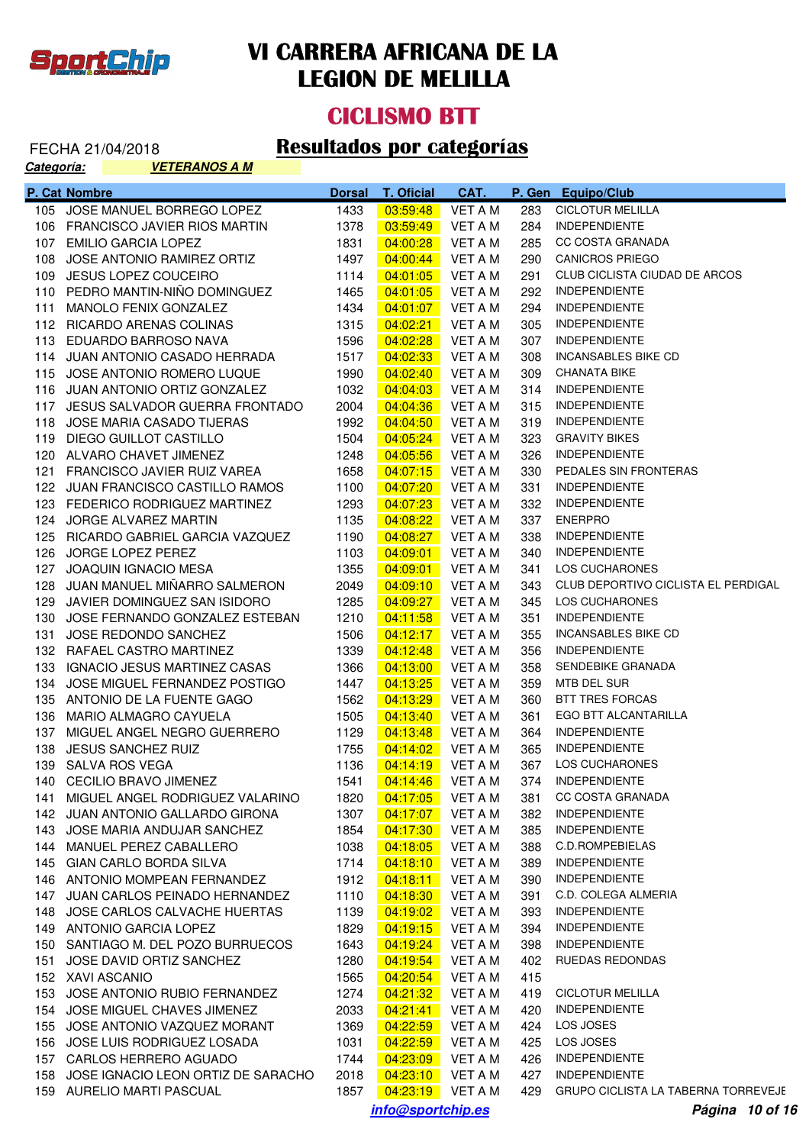

#### **CICLISMO BTT**

| <u>Categoría:</u> | <u>VETERANOS A M</u>                                           |               |                      |                    |            |                                                    |
|-------------------|----------------------------------------------------------------|---------------|----------------------|--------------------|------------|----------------------------------------------------|
|                   | P. Cat Nombre                                                  | <b>Dorsal</b> | <b>T. Oficial</b>    | CAT.               |            | P. Gen Equipo/Club                                 |
|                   | 105 JOSE MANUEL BORREGO LOPEZ                                  | 1433          | 03:59:48             | <b>VET A M</b>     | 283        | <b>CICLOTUR MELILLA</b>                            |
|                   | 106 FRANCISCO JAVIER RIOS MARTIN                               | 1378          | 03:59:49             | <b>VET A M</b>     | 284        | <b>INDEPENDIENTE</b>                               |
|                   | 107 EMILIO GARCIA LOPEZ                                        | 1831          | 04:00:28             | VET A M            | 285        | CC COSTA GRANADA                                   |
|                   | 108 JOSE ANTONIO RAMIREZ ORTIZ                                 | 1497          | 04:00:44             | VET A M            | 290        | <b>CANICROS PRIEGO</b>                             |
|                   | 109 JESUS LOPEZ COUCEIRO                                       | 1114          | 04:01:05             | VET A M            | 291        | CLUB CICLISTA CIUDAD DE ARCOS                      |
|                   | 110 PEDRO MANTIN-NIÑO DOMINGUEZ                                | 1465          | 04:01:05             | VET A M            | 292        | <b>INDEPENDIENTE</b>                               |
|                   | 111 MANOLO FENIX GONZALEZ                                      | 1434          | 04:01:07             | <b>VET A M</b>     | 294        | <b>INDEPENDIENTE</b>                               |
|                   | 112 RICARDO ARENAS COLINAS                                     | 1315          | 04:02:21             | <b>VET A M</b>     | 305        | <b>INDEPENDIENTE</b>                               |
|                   | 113 EDUARDO BARROSO NAVA                                       | 1596          | 04:02:28             | VET A M            | 307        | <b>INDEPENDIENTE</b>                               |
|                   | 114 JUAN ANTONIO CASADO HERRADA                                | 1517          | 04:02:33             | VET A M            | 308        | <b>INCANSABLES BIKE CD</b>                         |
|                   | 115 JOSE ANTONIO ROMERO LUQUE                                  | 1990          | 04:02:40             | VET A M            | 309        | <b>CHANATA BIKE</b>                                |
|                   | 116 JUAN ANTONIO ORTIZ GONZALEZ                                | 1032          | 04:04:03             | VET A M            | 314        | <b>INDEPENDIENTE</b>                               |
|                   | 117 JESUS SALVADOR GUERRA FRONTADO                             | 2004          | 04:04:36             | VET A M            | 315        | <b>INDEPENDIENTE</b>                               |
|                   | 118 JOSE MARIA CASADO TIJERAS                                  | 1992          | 04:04:50             | VET A M            | 319        | <b>INDEPENDIENTE</b>                               |
|                   | 119 DIEGO GUILLOT CASTILLO                                     | 1504          | 04:05:24             | VET A M            | 323        | <b>GRAVITY BIKES</b>                               |
|                   | 120 ALVARO CHAVET JIMENEZ                                      | 1248          | 04:05:56             | VET A M            | 326        | <b>INDEPENDIENTE</b>                               |
|                   | 121 FRANCISCO JAVIER RUIZ VAREA                                | 1658          | 04:07:15             | VET A M            | 330        | PEDALES SIN FRONTERAS                              |
|                   | 122 JUAN FRANCISCO CASTILLO RAMOS                              | 1100          | 04:07:20             | VET A M            | 331        | <b>INDEPENDIENTE</b>                               |
|                   | 123 FEDERICO RODRIGUEZ MARTINEZ                                | 1293          | 04:07:23             | <b>VET A M</b>     | 332        | <b>INDEPENDIENTE</b>                               |
|                   | 124 JORGE ALVAREZ MARTIN                                       | 1135          | 04:08:22             | <b>VET A M</b>     | 337        | <b>ENERPRO</b>                                     |
|                   | 125 RICARDO GABRIEL GARCIA VAZQUEZ                             | 1190          | 04:08:27             | <b>VET A M</b>     | 338        | <b>INDEPENDIENTE</b>                               |
|                   | 126 JORGE LOPEZ PEREZ                                          | 1103          | 04:09:01             | VET A M            | 340        | <b>INDEPENDIENTE</b>                               |
|                   | 127 JOAQUIN IGNACIO MESA                                       | 1355          | 04:09:01             | VET A M            | 341        | LOS CUCHARONES                                     |
|                   | 128 JUAN MANUEL MIÑARRO SALMERON                               | 2049          | 04:09:10             | VET A M            | 343        | CLUB DEPORTIVO CICLISTA EL PERDIGAL                |
|                   | 129 JAVIER DOMINGUEZ SAN ISIDORO                               | 1285          | 04:09:27             | VET A M            | 345        | LOS CUCHARONES                                     |
| 130               | JOSE FERNANDO GONZALEZ ESTEBAN                                 | 1210          | 04:11:58             | VET A M            | 351        | <b>INDEPENDIENTE</b>                               |
| 131               | JOSE REDONDO SANCHEZ                                           | 1506          | 04:12:17             | VET A M            | 355        | <b>INCANSABLES BIKE CD</b><br><b>INDEPENDIENTE</b> |
|                   | 132 RAFAEL CASTRO MARTINEZ<br>133 IGNACIO JESUS MARTINEZ CASAS | 1339<br>1366  | 04:12:48<br>04:13:00 | VET A M<br>VET A M | 356<br>358 | SENDEBIKE GRANADA                                  |
|                   | 134 JOSE MIGUEL FERNANDEZ POSTIGO                              | 1447          | 04:13:25             | VET A M            | 359        | MTB DEL SUR                                        |
|                   | 135 ANTONIO DE LA FUENTE GAGO                                  | 1562          | 04:13:29             | VET A M            | 360        | <b>BTT TRES FORCAS</b>                             |
|                   | 136 MARIO ALMAGRO CAYUELA                                      | 1505          | 04:13:40             | VET A M            | 361        | EGO BTT ALCANTARILLA                               |
|                   | 137 MIGUEL ANGEL NEGRO GUERRERO                                | 1129          | 04:13:48             | VET A M            | 364        | <b>INDEPENDIENTE</b>                               |
|                   | 138 JESUS SANCHEZ RUIZ                                         | 1755          | 04:14:02             | VET A M            | 365        | <b>INDEPENDIENTE</b>                               |
|                   | 139 SALVA ROS VEGA                                             | 1136          |                      |                    |            | 367 LOS CUCHARONES                                 |
|                   | 140 CECILIO BRAVO JIMENEZ                                      | 1541          | $04:14:46$ VET A M   |                    |            | 374 INDEPENDIENTE                                  |
|                   | 141 MIGUEL ANGEL RODRIGUEZ VALARINO                            | 1820          | 04:17:05             | VET A M            | 381        | <b>CC COSTA GRANADA</b>                            |
|                   | 142 JUAN ANTONIO GALLARDO GIRONA                               | 1307          | 04:17:07             | VET A M            | 382        | <b>INDEPENDIENTE</b>                               |
|                   | 143 JOSE MARIA ANDUJAR SANCHEZ                                 | 1854          | 04:17:30             | VET A M            | 385        | <b>INDEPENDIENTE</b>                               |
|                   | 144 MANUEL PEREZ CABALLERO                                     | 1038          | 04:18:05             | VET A M            | 388        | C.D.ROMPEBIELAS                                    |
|                   | 145 GIAN CARLO BORDA SILVA                                     | 1714          | 04:18:10             | VET A M            | 389        | <b>INDEPENDIENTE</b>                               |
|                   | 146 ANTONIO MOMPEAN FERNANDEZ                                  | 1912          | 04:18:11             | VET A M            | 390        | <b>INDEPENDIENTE</b>                               |
|                   | 147 JUAN CARLOS PEINADO HERNANDEZ                              | 1110          | 04:18:30             | VET A M            | 391        | C.D. COLEGA ALMERIA                                |
|                   | 148 JOSE CARLOS CALVACHE HUERTAS                               | 1139          | 04:19:02             | VET A M            | 393        | <b>INDEPENDIENTE</b>                               |
|                   | 149 ANTONIO GARCIA LOPEZ                                       | 1829          | 04:19:15             | VET A M            | 394        | <b>INDEPENDIENTE</b>                               |
|                   | 150 SANTIAGO M. DEL POZO BURRUECOS                             | 1643          | 04:19:24             | VET A M            | 398        | <b>INDEPENDIENTE</b>                               |
|                   | 151 JOSE DAVID ORTIZ SANCHEZ                                   | 1280          | 04:19:54             | VET A M            | 402        | RUEDAS REDONDAS                                    |
|                   | 152 XAVI ASCANIO                                               | 1565          | 04:20:54             | VET A M            | 415        |                                                    |
|                   | 153 JOSE ANTONIO RUBIO FERNANDEZ                               | 1274          | 04:21:32             | VET A M            |            | 419 CICLOTUR MELILLA                               |
|                   | 154 JOSE MIGUEL CHAVES JIMENEZ                                 | 2033          | 04:21:41             | VET A M            | 420        | <b>INDEPENDIENTE</b>                               |
|                   | 155 JOSE ANTONIO VAZQUEZ MORANT                                | 1369          | 04:22:59             | VET A M            | 424        | LOS JOSES                                          |
|                   | 156 JOSE LUIS RODRIGUEZ LOSADA                                 | 1031          | 04:22:59             | VET A M            | 425        | LOS JOSES                                          |
|                   | 157 CARLOS HERRERO AGUADO                                      | 1744          | 04:23:09             | VET A M            |            | 426 INDEPENDIENTE                                  |
|                   | 158 JOSE IGNACIO LEON ORTIZ DE SARACHO                         | 2018          | 04:23:10             | VET A M            | 427        | <b>INDEPENDIENTE</b>                               |
|                   | 159 AURELIO MARTI PASCUAL                                      | 1857          | $04:23:19$ VET A M   |                    |            | 429 GRUPO CICLISTA LA TABERNA TORREVEJE            |
|                   |                                                                |               | info@sportchip.es    |                    |            | Página 10 of 16                                    |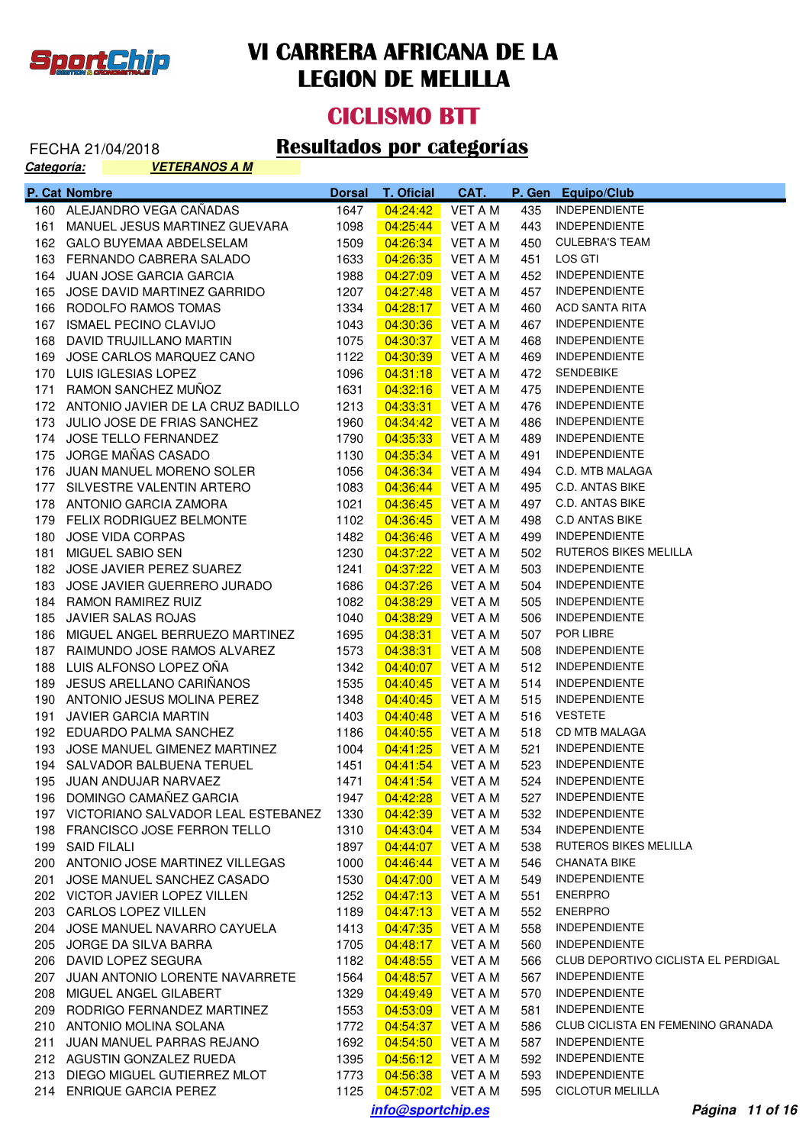

#### **CICLISMO BTT**

| <u>Categoría:</u> | <b>VETERANOS A M</b>                   |               |                    |                |      |                                     |
|-------------------|----------------------------------------|---------------|--------------------|----------------|------|-------------------------------------|
|                   | P. Cat Nombre                          | <b>Dorsal</b> | <b>T. Oficial</b>  | CAT.           |      | P. Gen Equipo/Club                  |
|                   | 160 ALEJANDRO VEGA CAÑADAS             | 1647          | 04:24:42           | <b>VET A M</b> | 435  | <b>INDEPENDIENTE</b>                |
| 161               | MANUEL JESUS MARTINEZ GUEVARA          | 1098          | 04:25:44           | <b>VET A M</b> | 443  | <b>INDEPENDIENTE</b>                |
|                   | 162 GALO BUYEMAA ABDELSELAM            | 1509          | 04:26:34           | VET A M        | 450  | <b>CULEBRA'S TEAM</b>               |
|                   | 163 FERNANDO CABRERA SALADO            | 1633          | 04:26:35           | VET A M        | 451  | LOS GTI                             |
|                   | 164 JUAN JOSE GARCIA GARCIA            | 1988          | 04:27:09           | VET A M        | 452  | <b>INDEPENDIENTE</b>                |
| 165               | JOSE DAVID MARTINEZ GARRIDO            | 1207          | 04:27:48           | VET A M        | 457  | <b>INDEPENDIENTE</b>                |
|                   | 166 RODOLFO RAMOS TOMAS                | 1334          | 04:28:17           | VET A M        | 460  | <b>ACD SANTA RITA</b>               |
|                   | 167 ISMAEL PECINO CLAVIJO              | 1043          | 04:30:36           | VET A M        | 467  | <b>INDEPENDIENTE</b>                |
|                   | 168 DAVID TRUJILLANO MARTIN            | 1075          | 04:30:37           | VET A M        | 468  | <b>INDEPENDIENTE</b>                |
| 169               | JOSE CARLOS MARQUEZ CANO               | 1122          | 04:30:39           | VET A M        | 469  | <b>INDEPENDIENTE</b>                |
|                   | 170 LUIS IGLESIAS LOPEZ                | 1096          | 04:31:18           | VET A M        | 472. | <b>SENDEBIKE</b>                    |
| 171               | RAMON SANCHEZ MUÑOZ                    | 1631          | 04:32:16           | VET A M        | 475  | <b>INDEPENDIENTE</b>                |
|                   | 172 ANTONIO JAVIER DE LA CRUZ BADILLO  | 1213          | 04:33:31           | VET A M        | 476  | <b>INDEPENDIENTE</b>                |
|                   | 173 JULIO JOSE DE FRIAS SANCHEZ        | 1960          | 04:34:42           | VET A M        | 486  | <b>INDEPENDIENTE</b>                |
|                   | 174 JOSE TELLO FERNANDEZ               | 1790          | 04:35:33           | VET A M        | 489  | <b>INDEPENDIENTE</b>                |
|                   | 175 JORGE MAÑAS CASADO                 | 1130          | 04:35:34           | VET A M        | 491  | <b>INDEPENDIENTE</b>                |
|                   | 176 JUAN MANUEL MORENO SOLER           | 1056          | 04:36:34           | VET A M        | 494  | C.D. MTB MALAGA                     |
|                   | 177 SILVESTRE VALENTIN ARTERO          | 1083          | 04:36:44           | VET A M        | 495  | <b>C.D. ANTAS BIKE</b>              |
|                   | 178 ANTONIO GARCIA ZAMORA              | 1021          | 04:36:45           | VET A M        | 497  | <b>C.D. ANTAS BIKE</b>              |
|                   | 179 FELIX RODRIGUEZ BELMONTE           | 1102          | 04:36:45           | VET A M        | 498  | <b>C.D ANTAS BIKE</b>               |
| 180               | <b>JOSE VIDA CORPAS</b>                | 1482          | 04:36:46           | VET A M        | 499  | <b>INDEPENDIENTE</b>                |
| 181               | MIGUEL SABIO SEN                       | 1230          | 04:37:22           | VET A M        | 502  | <b>RUTEROS BIKES MELILLA</b>        |
|                   | 182 JOSE JAVIER PEREZ SUAREZ           | 1241          | 04:37:22           | VET A M        | 503  | <b>INDEPENDIENTE</b>                |
|                   | 183 JOSE JAVIER GUERRERO JURADO        | 1686          | 04:37:26           | VET A M        | 504  | <b>INDEPENDIENTE</b>                |
|                   | 184 RAMON RAMIREZ RUIZ                 | 1082          | 04:38:29           | VET A M        | 505  | <b>INDEPENDIENTE</b>                |
| 185               | JAVIER SALAS ROJAS                     | 1040          | 04:38:29           | VET A M        | 506  | <b>INDEPENDIENTE</b>                |
|                   | 186 MIGUEL ANGEL BERRUEZO MARTINEZ     | 1695          | 04:38:31           | VET A M        | 507  | POR LIBRE                           |
| 187               | RAIMUNDO JOSE RAMOS ALVAREZ            | 1573          | 04:38:31           | VET A M        | 508  | <b>INDEPENDIENTE</b>                |
| 188               | LUIS ALFONSO LOPEZ OÑA                 | 1342          | 04:40:07           | VET A M        | 512  | <b>INDEPENDIENTE</b>                |
| 189               | JESUS ARELLANO CARIÑANOS               | 1535          | 04:40:45           | VET A M        | 514  | <b>INDEPENDIENTE</b>                |
|                   | 190 ANTONIO JESUS MOLINA PEREZ         | 1348          | 04:40:45           | VET A M        | 515  | <b>INDEPENDIENTE</b>                |
| 191               | <b>JAVIER GARCIA MARTIN</b>            | 1403          | 04:40:48           | VET A M        | 516  | <b>VESTETE</b>                      |
|                   | 192 EDUARDO PALMA SANCHEZ              | 1186          | 04:40:55           | VET A M        | 518  | CD MTB MALAGA                       |
|                   | 193 JOSE MANUEL GIMENEZ MARTINEZ       | 1004          | 04:41:25           | VET A M        | 521  | <b>INDEPENDIENTE</b>                |
|                   | 194 SALVADOR BALBUENA TERUEL           | 1451          | 04:41:54           | VET A M        | 523  | <b>INDEPENDIENTE</b>                |
|                   | 195 JUAN ANDUJAR NARVAEZ               | 1471          | 04:41:54           | VET A M        | 524  | <b>INDEPENDIENTE</b>                |
|                   | 196 DOMINGO CAMAÑEZ GARCIA             | 1947          | 04:42:28           | VET A M        | 527  | <b>INDEPENDIENTE</b>                |
|                   | 197 VICTORIANO SALVADOR LEAL ESTEBANEZ | 1330          | 04:42:39           | VET A M        | 532  | <b>INDEPENDIENTE</b>                |
|                   | 198 FRANCISCO JOSE FERRON TELLO        | 1310          | 04:43:04           | VET A M        | 534  | <b>INDEPENDIENTE</b>                |
|                   | 199 SAID FILALI                        | 1897          | 04:44:07           | VET A M        | 538  | RUTEROS BIKES MELILLA               |
|                   | 200 ANTONIO JOSE MARTINEZ VILLEGAS     | 1000          | 04:46:44           | VET A M        | 546  | <b>CHANATA BIKE</b>                 |
| 201               | JOSE MANUEL SANCHEZ CASADO             | 1530          | 04:47:00           | VET A M        | 549  | <b>INDEPENDIENTE</b>                |
|                   | 202 VICTOR JAVIER LOPEZ VILLEN         | 1252          | 04:47:13           | VET A M        | 551  | <b>ENERPRO</b>                      |
|                   | 203 CARLOS LOPEZ VILLEN                | 1189          | 04:47:13           | VET A M        | 552  | <b>ENERPRO</b>                      |
|                   | 204 JOSE MANUEL NAVARRO CAYUELA        | 1413          | 04:47:35           | VET A M        | 558  | <b>INDEPENDIENTE</b>                |
|                   | 205 JORGE DA SILVA BARRA               | 1705          | 04:48:17           | VET A M        | 560  | <b>INDEPENDIENTE</b>                |
|                   | 206 DAVID LOPEZ SEGURA                 | 1182          | 04:48:55           | VET A M        | 566  | CLUB DEPORTIVO CICLISTA EL PERDIGAL |
|                   | 207 JUAN ANTONIO LORENTE NAVARRETE     | 1564          | 04:48:57           | VET A M        | 567  | <b>INDEPENDIENTE</b>                |
|                   | 208 MIGUEL ANGEL GILABERT              | 1329          | 04:49:49           | VET A M        | 570  | <b>INDEPENDIENTE</b>                |
|                   | 209 RODRIGO FERNANDEZ MARTINEZ         | 1553          | 04:53:09           | VET A M        | 581  | <b>INDEPENDIENTE</b>                |
|                   | 210 ANTONIO MOLINA SOLANA              | 1772          | 04:54:37           | VET A M        | 586  | CLUB CICLISTA EN FEMENINO GRANADA   |
|                   | 211 JUAN MANUEL PARRAS REJANO          | 1692          | 04:54:50           | VET A M        | 587  | <b>INDEPENDIENTE</b>                |
|                   | 212 AGUSTIN GONZALEZ RUEDA             | 1395          | 04:56:12           | VET A M        | 592  | <b>INDEPENDIENTE</b>                |
|                   | 213 DIEGO MIGUEL GUTIERREZ MLOT        | 1773          | 04:56:38           | VET A M        | 593  | <b>INDEPENDIENTE</b>                |
|                   | 214 ENRIQUE GARCIA PEREZ               | 1125          | $04:57:02$ VET A M |                | 595  | <b>CICLOTUR MELILLA</b>             |
|                   |                                        |               | info@sportchip.es  |                |      | Página 11 of 16                     |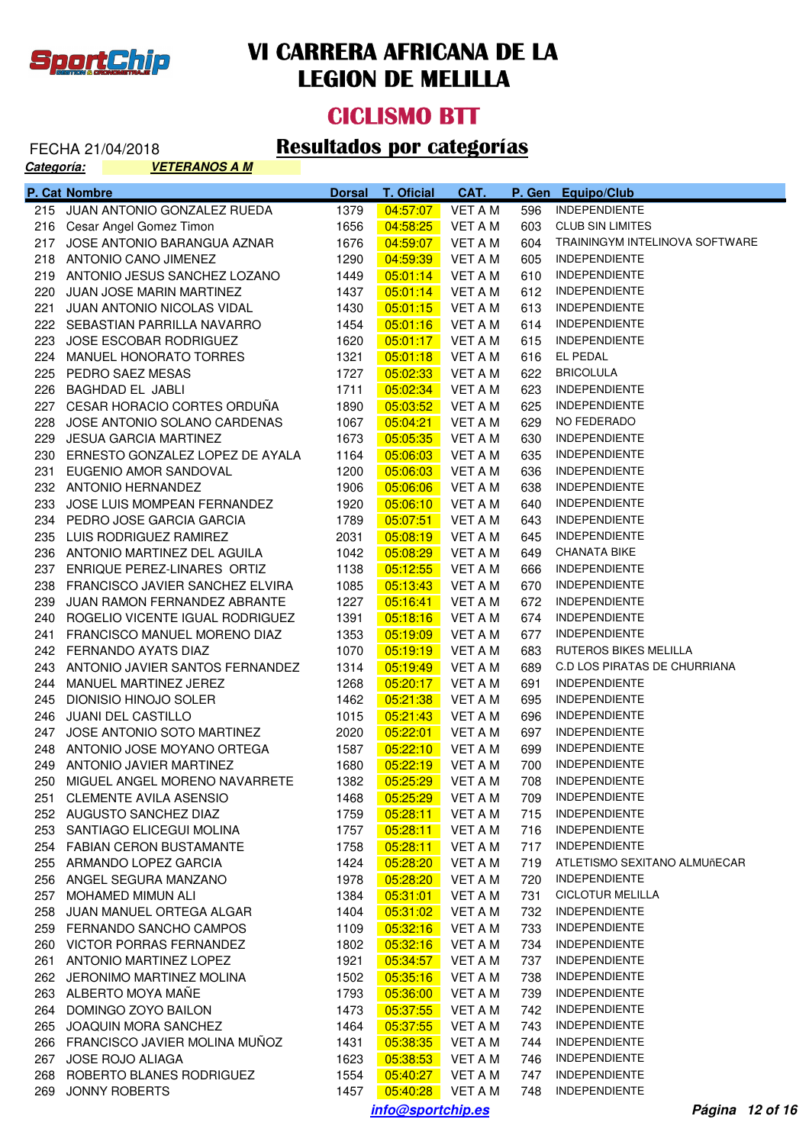

#### **CICLISMO BTT**

| <u>Categoría:</u> | <u>VETERANOS A M</u>                |               |                   |                |     |                                |
|-------------------|-------------------------------------|---------------|-------------------|----------------|-----|--------------------------------|
|                   | P. Cat Nombre                       | <b>Dorsal</b> | <b>T. Oficial</b> | CAT.           |     | P. Gen Equipo/Club             |
|                   | 215 JUAN ANTONIO GONZALEZ RUEDA     | 1379          | 04:57:07          | VET A M        | 596 | <b>INDEPENDIENTE</b>           |
|                   | 216 Cesar Angel Gomez Timon         | 1656          | 04:58:25          | VET A M        | 603 | <b>CLUB SIN LIMITES</b>        |
|                   | 217 JOSE ANTONIO BARANGUA AZNAR     | 1676          | 04:59:07          | VET A M        | 604 | TRAININGYM INTELINOVA SOFTWARE |
|                   | 218 ANTONIO CANO JIMENEZ            | 1290          | 04:59:39          | VET A M        | 605 | <b>INDEPENDIENTE</b>           |
|                   | 219 ANTONIO JESUS SANCHEZ LOZANO    | 1449          | 05:01:14          | VET A M        | 610 | <b>INDEPENDIENTE</b>           |
|                   | 220 JUAN JOSE MARIN MARTINEZ        | 1437          | 05:01:14          | VET A M        |     | 612 INDEPENDIENTE              |
|                   | 221 JUAN ANTONIO NICOLAS VIDAL      | 1430          | 05:01:15          | VET A M        | 613 | <b>INDEPENDIENTE</b>           |
|                   | 222 SEBASTIAN PARRILLA NAVARRO      | 1454          | 05:01:16          | VET A M        | 614 | INDEPENDIENTE                  |
|                   | 223 JOSE ESCOBAR RODRIGUEZ          | 1620          | 05:01:17          | VET A M        | 615 | INDEPENDIENTE                  |
|                   | 224 MANUEL HONORATO TORRES          | 1321          | 05:01:18          | VET A M        | 616 | EL PEDAL                       |
|                   | 225 PEDRO SAEZ MESAS                | 1727          | 05:02:33          | VET A M        | 622 | <b>BRICOLULA</b>               |
|                   | 226 BAGHDAD EL JABLI                | 1711          | 05:02:34          | VET A M        | 623 | <b>INDEPENDIENTE</b>           |
|                   | 227 CESAR HORACIO CORTES ORDUNA     | 1890          | 05:03:52          | VET A M        | 625 | <b>INDEPENDIENTE</b>           |
|                   | 228 JOSE ANTONIO SOLANO CARDENAS    | 1067          | 05:04:21          | VET A M        | 629 | NO FEDERADO                    |
|                   | 229 JESUA GARCIA MARTINEZ           | 1673          | 05:05:35          | VET A M        | 630 | <b>INDEPENDIENTE</b>           |
|                   | 230 ERNESTO GONZALEZ LOPEZ DE AYALA | 1164          | 05:06:03          | VET A M        | 635 | <b>INDEPENDIENTE</b>           |
|                   | 231 EUGENIO AMOR SANDOVAL           | 1200          | 05:06:03          | VET A M        | 636 | <b>INDEPENDIENTE</b>           |
|                   | 232 ANTONIO HERNANDEZ               | 1906          | 05:06:06          | VET A M        | 638 | <b>INDEPENDIENTE</b>           |
|                   | 233 JOSE LUIS MOMPEAN FERNANDEZ     | 1920          | 05:06:10          | VET A M        | 640 | <b>INDEPENDIENTE</b>           |
|                   | 234 PEDRO JOSE GARCIA GARCIA        | 1789          | 05:07:51          | VET A M        | 643 | <b>INDEPENDIENTE</b>           |
|                   | 235 LUIS RODRIGUEZ RAMIREZ          | 2031          | 05:08:19          | VET A M        | 645 | <b>INDEPENDIENTE</b>           |
|                   | 236 ANTONIO MARTINEZ DEL AGUILA     | 1042          | 05:08:29          | VET A M        | 649 | <b>CHANATA BIKE</b>            |
|                   | 237 ENRIQUE PEREZ-LINARES ORTIZ     | 1138          | 05:12:55          | VET A M        | 666 | <b>INDEPENDIENTE</b>           |
|                   | 238 FRANCISCO JAVIER SANCHEZ ELVIRA | 1085          | <u>05:13:43</u>   | VET A M        | 670 | INDEPENDIENTE                  |
|                   | 239 JUAN RAMON FERNANDEZ ABRANTE    | 1227          | 05:16:41          | VET A M        |     | 672 INDEPENDIENTE              |
|                   | 240 ROGELIO VICENTE IGUAL RODRIGUEZ | 1391          | 05:18:16          | VET A M        |     | 674 INDEPENDIENTE              |
|                   | 241 FRANCISCO MANUEL MORENO DIAZ    | 1353          | 05:19:09          | VET A M        | 677 | INDEPENDIENTE                  |
|                   | 242 FERNANDO AYATS DIAZ             | 1070          | 05:19:19          | VET A M        | 683 | RUTEROS BIKES MELILLA          |
|                   | 243 ANTONIO JAVIER SANTOS FERNANDEZ | 1314          | 05:19:49          | VET A M        | 689 | C.D LOS PIRATAS DE CHURRIANA   |
|                   | 244 MANUEL MARTINEZ JEREZ           | 1268          | 05:20:17          | VET A M        | 691 | <b>INDEPENDIENTE</b>           |
|                   | 245 DIONISIO HINOJO SOLER           | 1462          | 05:21:38          | VET A M        | 695 | <b>INDEPENDIENTE</b>           |
|                   | 246 JUANI DEL CASTILLO              | 1015          | 05:21:43          | VET A M        | 696 | <b>INDEPENDIENTE</b>           |
|                   | 247 JOSE ANTONIO SOTO MARTINEZ      | 2020          | 05:22:01          | VET A M        | 697 | INDEPENDIENTE                  |
|                   | 248 ANTONIO JOSE MOYANO ORTEGA      | 1587          | 05:22:10          | VET A M        | 699 | <b>INDEPENDIENTE</b>           |
|                   | 249 ANTONIO JAVIER MARTINEZ         | 1680          | 05:22:19          | VET A M        | 700 | <b>INDEPENDIENTE</b>           |
|                   | 250 MIGUEL ANGEL MORENO NAVARRETE   | 1382          | 05:25:29          | <b>VET A M</b> | 708 | <b>INDEPENDIENTE</b>           |
| 251               | <b>CLEMENTE AVILA ASENSIO</b>       | 1468          | 05:25:29          | <b>VET A M</b> | 709 | <b>INDEPENDIENTE</b>           |
|                   | 252 AUGUSTO SANCHEZ DIAZ            | 1759          | 05:28:11          | <b>VET A M</b> | 715 | <b>INDEPENDIENTE</b>           |
|                   | 253 SANTIAGO ELICEGUI MOLINA        | 1757          | 05:28:11          | <b>VET A M</b> | 716 | <b>INDEPENDIENTE</b>           |
|                   | 254 FABIAN CERON BUSTAMANTE         | 1758          | 05:28:11          | VET A M        | 717 | <b>INDEPENDIENTE</b>           |
|                   | 255 ARMANDO LOPEZ GARCIA            | 1424          | 05:28:20          | <b>VET A M</b> | 719 | ATLETISMO SEXITANO ALMUñECAR   |
|                   | 256 ANGEL SEGURA MANZANO            | 1978          | 05:28:20          | VET A M        | 720 | <b>INDEPENDIENTE</b>           |
|                   | 257 MOHAMED MIMUN ALI               | 1384          | 05:31:01          | VET A M        | 731 | <b>CICLOTUR MELILLA</b>        |
| 258               | JUAN MANUEL ORTEGA ALGAR            | 1404          | 05:31:02          | VET A M        | 732 | <b>INDEPENDIENTE</b>           |
|                   | 259 FERNANDO SANCHO CAMPOS          | 1109          | 05:32:16          | VET A M        | 733 | <b>INDEPENDIENTE</b>           |
|                   | 260 VICTOR PORRAS FERNANDEZ         | 1802          | 05:32:16          | VET A M        | 734 | <b>INDEPENDIENTE</b>           |
| 261               | ANTONIO MARTINEZ LOPEZ              | 1921          | 05:34:57          | VET A M        | 737 | <b>INDEPENDIENTE</b>           |
|                   | 262 JERONIMO MARTINEZ MOLINA        | 1502          | 05:35:16          | VET A M        | 738 | <b>INDEPENDIENTE</b>           |
|                   | 263 ALBERTO MOYA MAÑE               | 1793          | 05:36:00          | VET A M        | 739 | <b>INDEPENDIENTE</b>           |
|                   | 264 DOMINGO ZOYO BAILON             | 1473          | 05:37:55          | VET A M        | 742 | <b>INDEPENDIENTE</b>           |
| 265               | JOAQUIN MORA SANCHEZ                | 1464          | 05:37:55          | <b>VET A M</b> | 743 | <b>INDEPENDIENTE</b>           |
|                   | 266 FRANCISCO JAVIER MOLINA MUÑOZ   | 1431          | 05:38:35          | VET A M        | 744 | <b>INDEPENDIENTE</b>           |
| 267               | <b>JOSE ROJO ALIAGA</b>             | 1623          | 05:38:53          | VET A M        | 746 | <b>INDEPENDIENTE</b>           |
| 268               | ROBERTO BLANES RODRIGUEZ            | 1554          | 05:40:27          | VET A M        | 747 | <b>INDEPENDIENTE</b>           |
| 269               | <b>JONNY ROBERTS</b>                | 1457          | 05:40:28          | VET A M        | 748 | <b>INDEPENDIENTE</b>           |
|                   |                                     |               | info@sportchip.es |                |     | Página 12 of 16                |
|                   |                                     |               |                   |                |     |                                |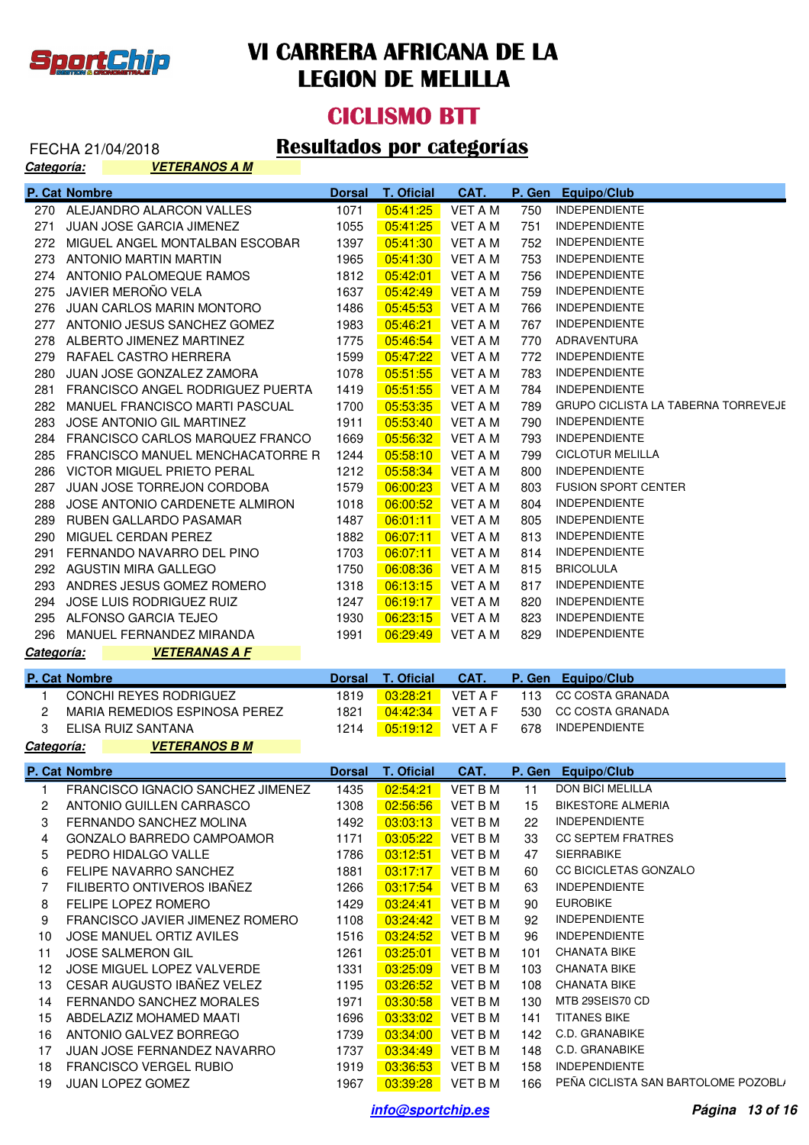

**Categoría: VETERANOS A M**

# **VI CARRERA AFRICANA DE LA LEGION DE MELILLA**

#### **CICLISMO BTT**

| <u>categoria:</u> | <u>VEIERANUS A M</u>                |               |                   |                |               |                                     |
|-------------------|-------------------------------------|---------------|-------------------|----------------|---------------|-------------------------------------|
|                   | P. Cat Nombre                       | <b>Dorsal</b> | <b>T. Oficial</b> | CAT.           | P. Gen        | <b>Equipo/Club</b>                  |
|                   | 270 ALEJANDRO ALARCON VALLES        | 1071          | 05:41:25          | <b>VET A M</b> | 750           | <b>INDEPENDIENTE</b>                |
| 271               | JUAN JOSE GARCIA JIMENEZ            | 1055          | 05:41:25          | <b>VET A M</b> | 751           | <b>INDEPENDIENTE</b>                |
|                   | 272 MIGUEL ANGEL MONTALBAN ESCOBAR  | 1397          | 05:41:30          | <b>VET A M</b> | 752           | <b>INDEPENDIENTE</b>                |
|                   | 273 ANTONIO MARTIN MARTIN           | 1965          | 05:41:30          | <b>VET A M</b> | 753           | <b>INDEPENDIENTE</b>                |
|                   | 274 ANTONIO PALOMEQUE RAMOS         | 1812          | 05:42:01          | <b>VET A M</b> | 756           | <b>INDEPENDIENTE</b>                |
| 275               | JAVIER MEROÑO VELA                  | 1637          | 05:42:49          | <b>VET A M</b> | 759           | <b>INDEPENDIENTE</b>                |
|                   | 276 JUAN CARLOS MARIN MONTORO       | 1486          | 05:45:53          | <b>VET A M</b> | 766           | <b>INDEPENDIENTE</b>                |
|                   | 277 ANTONIO JESUS SANCHEZ GOMEZ     | 1983          | 05:46:21          | <b>VET A M</b> | 767           | <b>INDEPENDIENTE</b>                |
|                   | 278 ALBERTO JIMENEZ MARTINEZ        | 1775          | 05:46:54          | <b>VET A M</b> | 770           | ADRAVENTURA                         |
|                   | 279 RAFAEL CASTRO HERRERA           | 1599          | 05:47:22          | <b>VET A M</b> | 772           | <b>INDEPENDIENTE</b>                |
| 280               | JUAN JOSE GONZALEZ ZAMORA           | 1078          | 05:51:55          | <b>VET A M</b> | 783           | <b>INDEPENDIENTE</b>                |
| 281               | FRANCISCO ANGEL RODRIGUEZ PUERTA    | 1419          | 05:51:55          | <b>VET A M</b> | 784           | <b>INDEPENDIENTE</b>                |
|                   | 282 MANUEL FRANCISCO MARTI PASCUAL  | 1700          | 05:53:35          | <b>VET A M</b> | 789           | GRUPO CICLISTA LA TABERNA TORREVEJE |
| 283               | JOSE ANTONIO GIL MARTINEZ           | 1911          | 05:53:40          | <b>VET A M</b> | 790           | <b>INDEPENDIENTE</b>                |
|                   | 284 FRANCISCO CARLOS MARQUEZ FRANCO | 1669          | 05:56:32          | <b>VET A M</b> | 793           | <b>INDEPENDIENTE</b>                |
| 285               | FRANCISCO MANUEL MENCHACATORRE R    | 1244          | 05:58:10          | <b>VET A M</b> | 799           | <b>CICLOTUR MELILLA</b>             |
|                   | 286 VICTOR MIGUEL PRIETO PERAL      | 1212          | 05:58:34          | <b>VET A M</b> | 800           | <b>INDEPENDIENTE</b>                |
| 287               | JUAN JOSE TORREJON CORDOBA          | 1579          | 06:00:23          | <b>VET A M</b> | 803           | <b>FUSION SPORT CENTER</b>          |
| 288               | JOSE ANTONIO CARDENETE ALMIRON      | 1018          | 06:00:52          | <b>VET A M</b> | 804           | <b>INDEPENDIENTE</b>                |
| 289               | RUBEN GALLARDO PASAMAR              | 1487          | 06:01:11          | <b>VET A M</b> | 805           | <b>INDEPENDIENTE</b>                |
| 290               | MIGUEL CERDAN PEREZ                 | 1882          | 06:07:11          | <b>VET A M</b> | 813           | <b>INDEPENDIENTE</b>                |
| 291               | FERNANDO NAVARRO DEL PINO           | 1703          | 06:07:11          | <b>VET A M</b> | 814           | <b>INDEPENDIENTE</b>                |
|                   | 292 AGUSTIN MIRA GALLEGO            | 1750          | 06:08:36          | <b>VET A M</b> | 815           | <b>BRICOLULA</b>                    |
|                   | 293 ANDRES JESUS GOMEZ ROMERO       | 1318          | 06:13:15          | <b>VET A M</b> | 817           | <b>INDEPENDIENTE</b>                |
| 294               | JOSE LUIS RODRIGUEZ RUIZ            | 1247          | 06:19:17          | <b>VET A M</b> | 820           | <b>INDEPENDIENTE</b>                |
|                   | 295 ALFONSO GARCIA TEJEO            | 1930          | 06:23:15          | <b>VET A M</b> | 823           | <b>INDEPENDIENTE</b>                |
|                   |                                     |               |                   |                |               |                                     |
|                   | 296 MANUEL FERNANDEZ MIRANDA        | 1991          | 06:29:49          | VET A M        | 829           | <b>INDEPENDIENTE</b>                |
| Categoría:        | <b>VETERANAS A F</b>                |               |                   |                |               |                                     |
|                   |                                     |               |                   |                |               |                                     |
|                   | P. Cat Nombre                       | <b>Dorsal</b> | <b>T. Oficial</b> | CAT.           |               | P. Gen Equipo/Club                  |
| 1                 | CONCHI REYES RODRIGUEZ              | 1819          | 03:28:21          | <b>VET A F</b> | 113           | <b>CC COSTA GRANADA</b>             |
| $\overline{c}$    | MARIA REMEDIOS ESPINOSA PEREZ       | 1821          | 04:42:34          | <b>VET A F</b> | 530           | <b>CC COSTA GRANADA</b>             |
| 3                 | ELISA RUIZ SANTANA                  | 1214          | 05:19:12          | <b>VET A F</b> | 678           | <b>INDEPENDIENTE</b>                |
|                   | <b>VETERANOS B M</b>                |               |                   |                |               |                                     |
|                   | <b>P. Cat Nombre</b>                | <b>Dorsal</b> | <b>T. Oficial</b> | CAT.           | <u>P. Gen</u> | Equipo/Club                         |
| 1                 | FRANCISCO IGNACIO SANCHEZ JIMENEZ   | 1435          | 02:54:21          | VET B M        | 11            | <b>DON BICI MELILLA</b>             |
| 2                 | ANTONIO GUILLEN CARRASCO            | 1308          | 02:56:56          | VET B M        | 15            | <b>BIKESTORE ALMERIA</b>            |
| 3                 | FERNANDO SANCHEZ MOLINA             | 1492          | 03:03:13          | VET B M        | 22            | <b>INDEPENDIENTE</b>                |
| 4                 | <b>GONZALO BARREDO CAMPOAMOR</b>    | 1171          | 03:05:22          | VET B M        | 33            | <b>CC SEPTEM FRATRES</b>            |
| 5                 | PEDRO HIDALGO VALLE                 | 1786          | 03:12:51          | VET B M        | 47            | <b>SIERRABIKE</b>                   |
| 6                 | FELIPE NAVARRO SANCHEZ              | 1881          | 03:17:17          | VET B M        | 60            | CC BICICLETAS GONZALO               |
| 7                 | FILIBERTO ONTIVEROS IBAÑEZ          | 1266          | 03:17:54          | VET B M        | 63            | <b>INDEPENDIENTE</b>                |
| 8                 | FELIPE LOPEZ ROMERO                 | 1429          | 03:24:41          | VET B M        | 90            | <b>EUROBIKE</b>                     |
| 9                 | FRANCISCO JAVIER JIMENEZ ROMERO     | 1108          | 03:24:42          | VET B M        | 92            | <b>INDEPENDIENTE</b>                |
| 10                | <b>JOSE MANUEL ORTIZ AVILES</b>     | 1516          | 03:24:52          | VET B M        | 96            | <b>INDEPENDIENTE</b>                |
| 11                | <b>JOSE SALMERON GIL</b>            | 1261          | 03:25:01          | VET B M        | 101           | <b>CHANATA BIKE</b>                 |
| 12                | JOSE MIGUEL LOPEZ VALVERDE          | 1331          | 03:25:09          | VET B M        | 103           | <b>CHANATA BIKE</b>                 |
| 13                | CESAR AUGUSTO IBAÑEZ VELEZ          | 1195          | 03:26:52          | VET B M        | 108           | <b>CHANATA BIKE</b>                 |
| 14                | FERNANDO SANCHEZ MORALES            | 1971          | 03:30:58          | VET B M        | 130           | MTB 29SEIS70 CD                     |
| 15                | ABDELAZIZ MOHAMED MAATI             | 1696          | 03:33:02          | VET B M        | 141           | <b>TITANES BIKE</b>                 |
| 16                | ANTONIO GALVEZ BORREGO              | 1739          | 03:34:00          | VET B M        | 142           | C.D. GRANABIKE                      |
| 17                | JUAN JOSE FERNANDEZ NAVARRO         | 1737          | 03:34:49          | VET B M        | 148           | C.D. GRANABIKE                      |
| Categoría:<br>18  | <b>FRANCISCO VERGEL RUBIO</b>       | 1919          | 03:36:53          | VET B M        | 158           | <b>INDEPENDIENTE</b>                |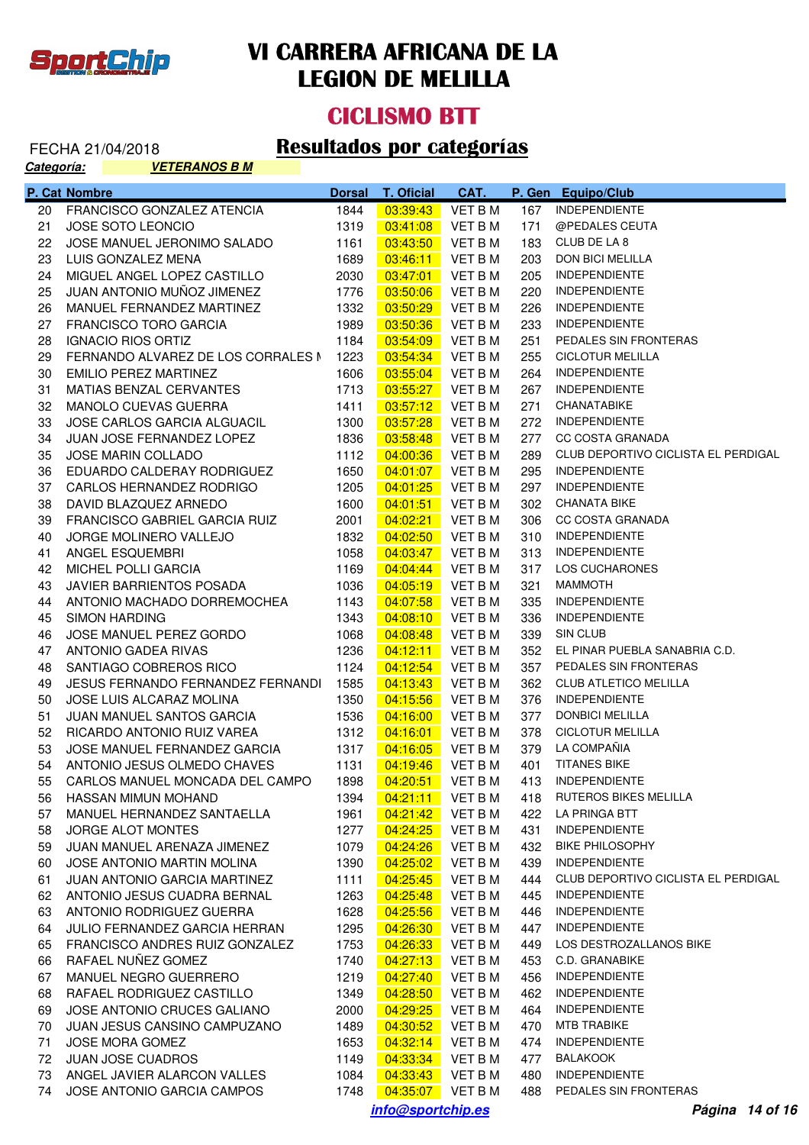

#### **CICLISMO BTT**

| <u>Categoría:</u> | <u>VETERANOS B M</u>                |               |                      |                    |            |                                     |
|-------------------|-------------------------------------|---------------|----------------------|--------------------|------------|-------------------------------------|
|                   | P. Cat Nombre                       | <b>Dorsal</b> | <b>T. Oficial</b>    | CAT.               |            | P. Gen Equipo/Club                  |
| 20                | <b>FRANCISCO GONZALEZ ATENCIA</b>   | 1844          | 03:39:43             | <b>VET B M</b>     | 167        | <b>INDEPENDIENTE</b>                |
| 21                | <b>JOSE SOTO LEONCIO</b>            | 1319          | 03:41:08             | <b>VET B M</b>     | 171        | @PEDALES CEUTA                      |
| 22                | JOSE MANUEL JERONIMO SALADO         | 1161          | 03:43:50             | <b>VET BM</b>      | 183        | CLUB DE LA 8                        |
| 23                | LUIS GONZALEZ MENA                  | 1689          | 03:46:11             | <b>VET BM</b>      | 203        | <b>DON BICI MELILLA</b>             |
| 24                | MIGUEL ANGEL LOPEZ CASTILLO         | 2030          | 03:47:01             | <b>VET BM</b>      | 205        | <b>INDEPENDIENTE</b>                |
| 25                | JUAN ANTONIO MUÑOZ JIMENEZ          | 1776          | 03:50:06             | <b>VET BM</b>      | 220        | <b>INDEPENDIENTE</b>                |
| 26                | MANUEL FERNANDEZ MARTINEZ           | 1332          | 03:50:29             | <b>VET BM</b>      | 226        | <b>INDEPENDIENTE</b>                |
| 27                | <b>FRANCISCO TORO GARCIA</b>        | 1989          | 03:50:36             | <b>VET BM</b>      | 233        | <b>INDEPENDIENTE</b>                |
| 28                | <b>IGNACIO RIOS ORTIZ</b>           | 1184          | 03:54:09             | <b>VET BM</b>      | 251        | PEDALES SIN FRONTERAS               |
| 29                | FERNANDO ALVAREZ DE LOS CORRALES N  | 1223          | 03:54:34             | <b>VET BM</b>      | 255        | <b>CICLOTUR MELILLA</b>             |
| 30                | EMILIO PEREZ MARTINEZ               | 1606          | 03:55:04             | <b>VET BM</b>      | 264        | <b>INDEPENDIENTE</b>                |
| 31                | MATIAS BENZAL CERVANTES             | 1713          | 03:55:27             | <b>VET BM</b>      | 267        | <b>INDEPENDIENTE</b>                |
| 32                | MANOLO CUEVAS GUERRA                | 1411          | 03:57:12             | <b>VET BM</b>      | 271        | CHANATABIKE                         |
| 33                | JOSE CARLOS GARCIA ALGUACIL         | 1300          | 03:57:28             | <b>VET BM</b>      | 272        | <b>INDEPENDIENTE</b>                |
| 34                | JUAN JOSE FERNANDEZ LOPEZ           | 1836          | 03:58:48             | <b>VET BM</b>      | 277        | <b>CC COSTA GRANADA</b>             |
| 35                | <b>JOSE MARIN COLLADO</b>           | 1112          | 04:00:36             | <b>VET BM</b>      | 289        | CLUB DEPORTIVO CICLISTA EL PERDIGAL |
| 36                | EDUARDO CALDERAY RODRIGUEZ          | 1650          | 04:01:07             | <b>VET BM</b>      | 295        | <b>INDEPENDIENTE</b>                |
| 37                | CARLOS HERNANDEZ RODRIGO            | 1205          | 04:01:25             | <b>VET BM</b>      | 297        | <b>INDEPENDIENTE</b>                |
| 38                | DAVID BLAZQUEZ ARNEDO               | 1600          | 04:01:51             | <b>VET B M</b>     | 302        | <b>CHANATA BIKE</b>                 |
| 39                | FRANCISCO GABRIEL GARCIA RUIZ       | 2001          | 04:02:21             | <b>VET BM</b>      | 306        | <b>CC COSTA GRANADA</b>             |
| 40                | <b>JORGE MOLINERO VALLEJO</b>       | 1832          | 04:02:50             | <b>VET BM</b>      | 310        | <b>INDEPENDIENTE</b>                |
| 41                | ANGEL ESQUEMBRI                     | 1058          | 04:03:47             | <b>VET BM</b>      | 313        | <b>INDEPENDIENTE</b>                |
| 42                | MICHEL POLLI GARCIA                 | 1169          | 04:04:44             | <b>VET BM</b>      | 317        | LOS CUCHARONES                      |
| 43                | JAVIER BARRIENTOS POSADA            | 1036          | 04:05:19             | <b>VET BM</b>      | 321        | <b>MAMMOTH</b>                      |
| 44                | ANTONIO MACHADO DORREMOCHEA         | 1143          | 04:07:58             | <b>VET BM</b>      | 335        | <b>INDEPENDIENTE</b>                |
| 45                | <b>SIMON HARDING</b>                | 1343          | 04:08:10             | <b>VET BM</b>      | 336        | <b>INDEPENDIENTE</b>                |
| 46                | JOSE MANUEL PEREZ GORDO             | 1068          | 04:08:48             | <b>VET BM</b>      | 339        | SIN CLUB                            |
| 47                | ANTONIO GADEA RIVAS                 | 1236          | 04:12:11             | <b>VET BM</b>      | 352        | EL PINAR PUEBLA SANABRIA C.D.       |
| 48                | SANTIAGO COBREROS RICO              | 1124          | 04:12:54             | <b>VET BM</b>      | 357        | PEDALES SIN FRONTERAS               |
| 49                | JESUS FERNANDO FERNANDEZ FERNANDI   | 1585          |                      | <b>VET BM</b>      | 362        | CLUB ATLETICO MELILLA               |
|                   | JOSE LUIS ALCARAZ MOLINA            | 1350          | 04:13:43<br>04:15:56 | <b>VET BM</b>      | 376        | <b>INDEPENDIENTE</b>                |
| 50                | JUAN MANUEL SANTOS GARCIA           | 1536          |                      | <b>VET BM</b>      | 377        | <b>DONBICI MELILLA</b>              |
| 51                |                                     |               | 04:16:00             |                    |            | <b>CICLOTUR MELILLA</b>             |
| 52                | RICARDO ANTONIO RUIZ VAREA          | 1312          | 04:16:01             | VET B M            | 378<br>379 | LA COMPAÑIA                         |
| 53                | JOSE MANUEL FERNANDEZ GARCIA        | 1317          | 04:16:05             | <b>VET B M</b>     |            |                                     |
|                   | 54 ANTONIO JESUS OLMEDO CHAVES      | 1131          |                      | $04:19:46$ VET B M |            | 401 TITANES BIKE                    |
|                   | 55 CARLOS MANUEL MONCADA DEL CAMPO  | 1898          | 04:20:51             | VET B M            |            | 413 INDEPENDIENTE                   |
| 56                | HASSAN MIMUN MOHAND                 | 1394          | 04:21:11             | VET B M            |            | 418 RUTEROS BIKES MELILLA           |
| 57                | MANUEL HERNANDEZ SANTAELLA          | 1961          | 04:21:42             | VET B M            | 422        | LA PRINGA BTT                       |
| 58                | <b>JORGE ALOT MONTES</b>            | 1277          | 04:24:25             | VET B M            | 431        | <b>INDEPENDIENTE</b>                |
| 59                | JUAN MANUEL ARENAZA JIMENEZ         | 1079          | 04:24:26             | VET B M            | 432        | <b>BIKE PHILOSOPHY</b>              |
| 60                | JOSE ANTONIO MARTIN MOLINA          | 1390          | 04:25:02             | VET B M            | 439        | <b>INDEPENDIENTE</b>                |
| 61                | <b>JUAN ANTONIO GARCIA MARTINEZ</b> | 1111          | 04:25:45             | VET B M            | 444        | CLUB DEPORTIVO CICLISTA EL PERDIGAL |
| 62                | ANTONIO JESUS CUADRA BERNAL         | 1263          | 04:25:48             | VET B M            | 445        | INDEPENDIENTE                       |
| 63                | ANTONIO RODRIGUEZ GUERRA            | 1628          | 04:25:56             | VET B M            | 446        | <b>INDEPENDIENTE</b>                |
| 64                | JULIO FERNANDEZ GARCIA HERRAN       | 1295          | 04:26:30             | VET B M            | 447        | <b>INDEPENDIENTE</b>                |
| 65                | FRANCISCO ANDRES RUIZ GONZALEZ      | 1753          | 04:26:33             | VET B M            | 449        | LOS DESTROZALLANOS BIKE             |
| 66                | RAFAEL NUÑEZ GOMEZ                  | 1740          | 04:27:13             | VET B M            | 453        | C.D. GRANABIKE                      |
| 67                | MANUEL NEGRO GUERRERO               | 1219          | 04:27:40             | VET B M            | 456        | <b>INDEPENDIENTE</b>                |
| 68                | RAFAEL RODRIGUEZ CASTILLO           | 1349          | 04:28:50             | VET B M            | 462        | <b>INDEPENDIENTE</b>                |
| 69                | JOSE ANTONIO CRUCES GALIANO         | 2000          | 04:29:25             | VET B M            | 464        | <b>INDEPENDIENTE</b>                |
| 70                | JUAN JESUS CANSINO CAMPUZANO        | 1489          | 04:30:52             | VET B M            | 470        | MTB TRABIKE                         |
| 71                | JOSE MORA GOMEZ                     | 1653          | 04:32:14             | VET B M            | 474        | <b>INDEPENDIENTE</b>                |
| 72                | <b>JUAN JOSE CUADROS</b>            | 1149          | 04:33:34             | VET B M            | 477        | <b>BALAKOOK</b>                     |
| 73                | ANGEL JAVIER ALARCON VALLES         | 1084          | 04:33:43             | VET B M            |            | 480 INDEPENDIENTE                   |
| 74                | JOSE ANTONIO GARCIA CAMPOS          | 1748          |                      | $04:35:07$ VET B M |            | 488 PEDALES SIN FRONTERAS           |
|                   | Página 14 of 16                     |               |                      |                    |            |                                     |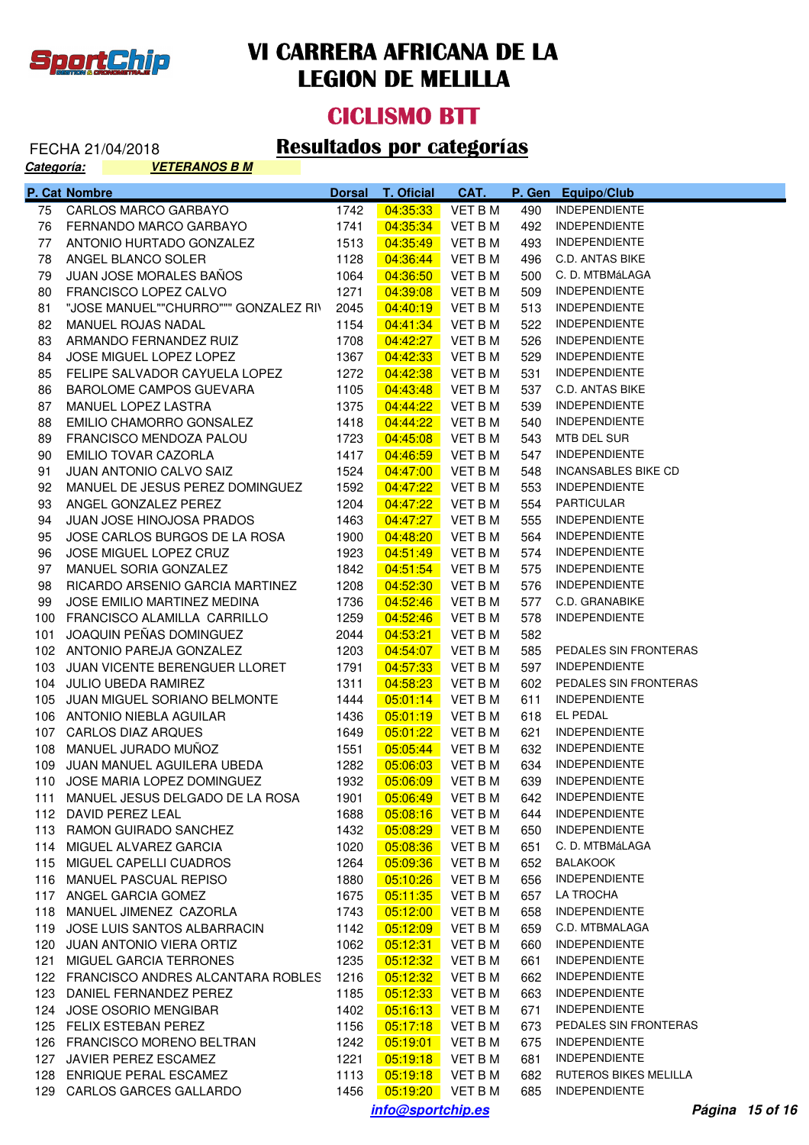

**Categoría: VETERANOS B M**

# **VI CARRERA AFRICANA DE LA LEGION DE MELILLA**

#### **CICLISMO BTT**

| Categoria:<br><u>VEIERANOS B M</u> |                                       |               |                   |                |        |                            |  |  |
|------------------------------------|---------------------------------------|---------------|-------------------|----------------|--------|----------------------------|--|--|
|                                    | P. Cat Nombre                         | <b>Dorsal</b> | <b>T. Oficial</b> | CAT.           | P. Gen | <b>Equipo/Club</b>         |  |  |
| 75                                 | <b>CARLOS MARCO GARBAYO</b>           | 1742          | 04:35:33          | <b>VET B M</b> | 490    | <b>INDEPENDIENTE</b>       |  |  |
| 76                                 | FERNANDO MARCO GARBAYO                | 1741          | 04:35:34          | <b>VET BM</b>  | 492    | <b>INDEPENDIENTE</b>       |  |  |
| 77                                 | ANTONIO HURTADO GONZALEZ              | 1513          | 04:35:49          | VET B M        | 493    | <b>INDEPENDIENTE</b>       |  |  |
| 78                                 | ANGEL BLANCO SOLER                    | 1128          | 04:36:44          | <b>VET BM</b>  | 496    | <b>C.D. ANTAS BIKE</b>     |  |  |
| 79                                 | <b>JUAN JOSE MORALES BAÑOS</b>        | 1064          | 04:36:50          | <b>VET BM</b>  | 500    | C. D. MTBMáLAGA            |  |  |
| 80                                 | FRANCISCO LOPEZ CALVO                 | 1271          | 04:39:08          | <b>VET BM</b>  | 509    | <b>INDEPENDIENTE</b>       |  |  |
| 81                                 | "JOSE MANUEL""CHURRO""" GONZALEZ RI\  | 2045          | 04:40:19          | <b>VET BM</b>  | 513    | <b>INDEPENDIENTE</b>       |  |  |
| 82                                 | <b>MANUEL ROJAS NADAL</b>             | 1154          | 04:41:34          | <b>VET BM</b>  | 522    | <b>INDEPENDIENTE</b>       |  |  |
| 83                                 | ARMANDO FERNANDEZ RUIZ                | 1708          | 04:42:27          | VET B M        | 526    | <b>INDEPENDIENTE</b>       |  |  |
| 84                                 | JOSE MIGUEL LOPEZ LOPEZ               | 1367          | 04:42:33          | VET B M        | 529    | <b>INDEPENDIENTE</b>       |  |  |
| 85                                 | FELIPE SALVADOR CAYUELA LOPEZ         | 1272          | 04:42:38          | VET B M        | 531    | <b>INDEPENDIENTE</b>       |  |  |
| 86                                 | <b>BAROLOME CAMPOS GUEVARA</b>        | 1105          | 04:43:48          | VET B M        | 537    | <b>C.D. ANTAS BIKE</b>     |  |  |
| 87                                 | MANUEL LOPEZ LASTRA                   | 1375          | 04:44:22          | VET B M        | 539    | <b>INDEPENDIENTE</b>       |  |  |
| 88                                 | EMILIO CHAMORRO GONSALEZ              | 1418          | 04:44:22          | VET B M        | 540    | <b>INDEPENDIENTE</b>       |  |  |
| 89                                 | FRANCISCO MENDOZA PALOU               | 1723          | 04:45:08          | VET B M        | 543    | MTB DEL SUR                |  |  |
| 90                                 | EMILIO TOVAR CAZORLA                  | 1417          | 04:46:59          | VET B M        | 547    | <b>INDEPENDIENTE</b>       |  |  |
| 91                                 | <b>JUAN ANTONIO CALVO SAIZ</b>        | 1524          | 04:47:00          | VET B M        | 548    | <b>INCANSABLES BIKE CD</b> |  |  |
| 92                                 | MANUEL DE JESUS PEREZ DOMINGUEZ       | 1592          | 04:47:22          | VET B M        | 553    | <b>INDEPENDIENTE</b>       |  |  |
| 93                                 | ANGEL GONZALEZ PEREZ                  | 1204          | 04:47:22          | VET B M        |        | 554 PARTICULAR             |  |  |
| 94                                 | <b>JUAN JOSE HINOJOSA PRADOS</b>      | 1463          | 04:47:27          | VET B M        | 555    | <b>INDEPENDIENTE</b>       |  |  |
| 95                                 | JOSE CARLOS BURGOS DE LA ROSA         | 1900          | 04:48:20          | VET B M        | 564    | INDEPENDIENTE              |  |  |
| 96                                 | JOSE MIGUEL LOPEZ CRUZ                | 1923          | 04:51:49          | VET B M        | 574    | INDEPENDIENTE              |  |  |
| 97                                 | MANUEL SORIA GONZALEZ                 | 1842          | 04:51:54          | VET B M        | 575    | <b>INDEPENDIENTE</b>       |  |  |
| 98                                 | RICARDO ARSENIO GARCIA MARTINEZ       | 1208          | 04:52:30          | VET B M        | 576 -  | INDEPENDIENTE              |  |  |
| 99                                 | JOSE EMILIO MARTINEZ MEDINA           | 1736          | 04:52:46          | VET B M        | 577    | C.D. GRANABIKE             |  |  |
|                                    | 100 FRANCISCO ALAMILLA CARRILLO       | 1259          | 04:52:46          | VET B M        | 578    | <b>INDEPENDIENTE</b>       |  |  |
| 101                                | JOAQUIN PEÑAS DOMINGUEZ               | 2044          | 04:53:21          | VET B M        | 582    |                            |  |  |
|                                    | 102 ANTONIO PAREJA GONZALEZ           | 1203          | 04:54:07          | VET B M        | 585    | PEDALES SIN FRONTERAS      |  |  |
|                                    | 103 JUAN VICENTE BERENGUER LLORET     | 1791          | 04:57:33          | VET B M        | 597    | <b>INDEPENDIENTE</b>       |  |  |
|                                    | 104 JULIO UBEDA RAMIREZ               | 1311          | 04:58:23          | VET B M        | 602    | PEDALES SIN FRONTERAS      |  |  |
|                                    | 105 JUAN MIGUEL SORIANO BELMONTE      | 1444          | 05:01:14          | VET B M        | 611    | <b>INDEPENDIENTE</b>       |  |  |
|                                    | 106 ANTONIO NIEBLA AGUILAR            | 1436          | 05:01:19          | VET B M        | 618    | EL PEDAL                   |  |  |
|                                    | 107 CARLOS DIAZ ARQUES                | 1649          | 05:01:22          | VET B M        | 621    | <b>INDEPENDIENTE</b>       |  |  |
|                                    | 108 MANUEL JURADO MUÑOZ               | 1551          | 05:05:44          | VET B M        | 632    | INDEPENDIENTE              |  |  |
|                                    | 109 JUAN MANUEL AGUILERA UBEDA        | 1282          | 05:06:03          | VET B M        |        | 634 INDEPENDIENTE          |  |  |
|                                    | 110 JOSE MARIA LOPEZ DOMINGUEZ        | 1932          | 05:06:09          | <b>VET BM</b>  | 639    | INDEPENDIENTE              |  |  |
| 111                                | MANUEL JESUS DELGADO DE LA ROSA       | 1901          | 05:06:49          | <b>VET BM</b>  | 642    | <b>INDEPENDIENTE</b>       |  |  |
|                                    | 112 DAVID PEREZ LEAL                  | 1688          | 05:08:16          | <b>VET BM</b>  | 644    | <b>INDEPENDIENTE</b>       |  |  |
|                                    | 113 RAMON GUIRADO SANCHEZ             | 1432          | 05:08:29          | <b>VET BM</b>  | 650    | <b>INDEPENDIENTE</b>       |  |  |
|                                    | 114 MIGUEL ALVAREZ GARCIA             | 1020          | 05:08:36          | <b>VET BM</b>  | 651    | C. D. MTBMáLAGA            |  |  |
|                                    | 115 MIGUEL CAPELLI CUADROS            | 1264          | 05:09:36          | <b>VET BM</b>  | 652    | <b>BALAKOOK</b>            |  |  |
|                                    | 116 MANUEL PASCUAL REPISO             | 1880          | 05:10:26          | <b>VET BM</b>  | 656    | <b>INDEPENDIENTE</b>       |  |  |
|                                    | 117 ANGEL GARCIA GOMEZ                | 1675          | 05:11:35          | <b>VET BM</b>  | 657    | LA TROCHA                  |  |  |
|                                    | 118 MANUEL JIMENEZ CAZORLA            | 1743          | 05:12:00          | <b>VET BM</b>  | 658    | <b>INDEPENDIENTE</b>       |  |  |
| 119                                | JOSE LUIS SANTOS ALBARRACIN           | 1142          | 05:12:09          | <b>VET BM</b>  | 659    | C.D. MTBMALAGA             |  |  |
| 120                                | <b>JUAN ANTONIO VIERA ORTIZ</b>       | 1062          | 05:12:31          | <b>VET BM</b>  | 660    | <b>INDEPENDIENTE</b>       |  |  |
| 121                                | MIGUEL GARCIA TERRONES                | 1235          | 05:12:32          | <b>VET BM</b>  | 661    | <b>INDEPENDIENTE</b>       |  |  |
|                                    | 122 FRANCISCO ANDRES ALCANTARA ROBLES | 1216          | 05:12:32          | <b>VET BM</b>  | 662    | <b>INDEPENDIENTE</b>       |  |  |
| 123                                | DANIEL FERNANDEZ PEREZ                | 1185          | 05:12:33          | <b>VET BM</b>  | 663    | <b>INDEPENDIENTE</b>       |  |  |
|                                    | 124 JOSE OSORIO MENGIBAR              | 1402          | 05:16:13          | <b>VET BM</b>  | 671    | <b>INDEPENDIENTE</b>       |  |  |
|                                    | 125 FELIX ESTEBAN PEREZ               | 1156          | 05:17:18          | <b>VET BM</b>  | 673    | PEDALES SIN FRONTERAS      |  |  |
|                                    | 126 FRANCISCO MORENO BELTRAN          | 1242          | 05:19:01          | <b>VET BM</b>  | 675    | <b>INDEPENDIENTE</b>       |  |  |
| 127                                | JAVIER PEREZ ESCAMEZ                  | 1221          | 05:19:18          | <b>VET BM</b>  | 681    | <b>INDEPENDIENTE</b>       |  |  |
|                                    | 128 ENRIQUE PERAL ESCAMEZ             | 1113          | 05:19:18          | <b>VET BM</b>  | 682    | RUTEROS BIKES MELILLA      |  |  |
| 129                                | CARLOS GARCES GALLARDO                | 1456          | 05:19:20          | VET B M        | 685    | INDEPENDIENTE              |  |  |
|                                    | info@sportchip.es<br>Página 15 of 16  |               |                   |                |        |                            |  |  |